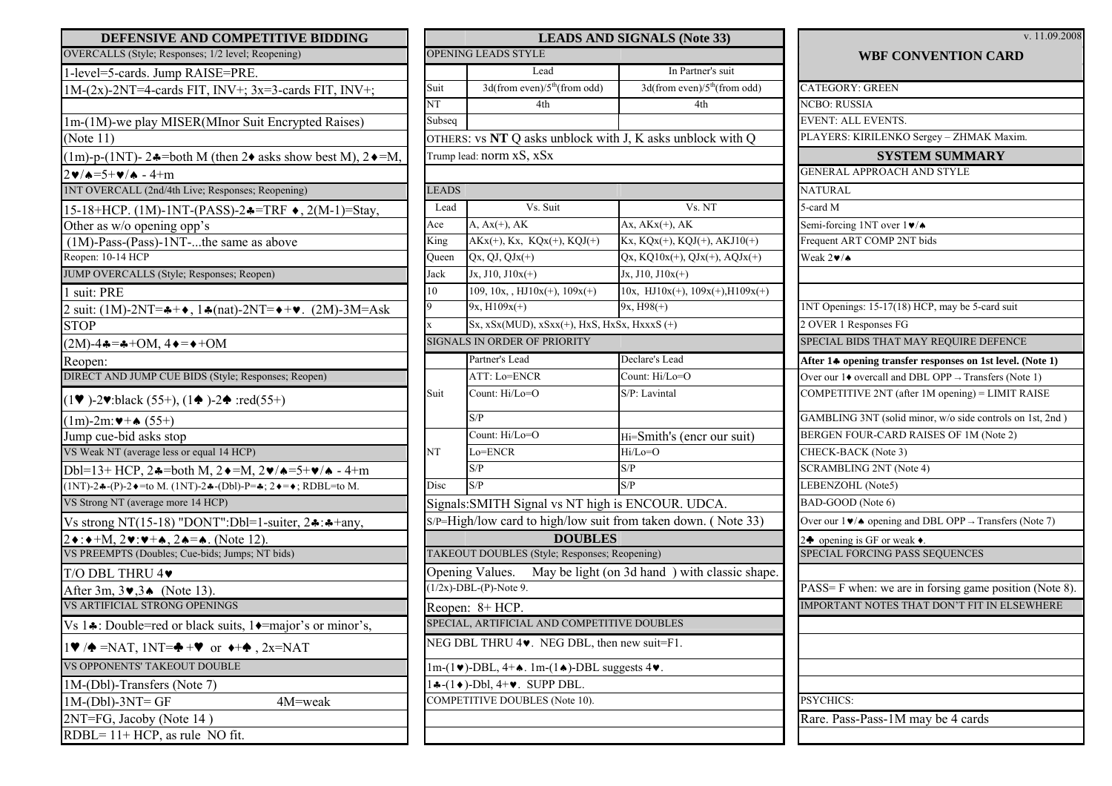| OPENING LEADS STYLE<br>OVERCALLS (Style; Responses; 1/2 level; Reopening)<br>In Partner's suit<br>Lead<br>1-level=5-cards. Jump RAISE=PRE.<br>$3d$ (from even)/ $5th$ (from odd)<br>Suit<br>$1M-(2x)$ -2NT=4-cards FIT, INV+; $3x=3$ -cards FIT, INV+;<br>$\overline{\text{NT}}$<br>4th<br>4th<br>Subseq<br>1m-(1M)-we play MISER(MInor Suit Encrypted Raises)<br>(Note 11)<br>OTHERS: vs NT Q asks unblock with J, K asks unblock with Q<br>Trump lead: norm xS, xSx<br>$(1m)$ -p- $(1NT)$ - 2 $\ast$ =both M (then 2 $\ast$ asks show best M), 2 $\ast$ =M,<br>$2 \cdot 4 = 5 + \cdot 4$ - 4+m<br>1NT OVERCALL (2nd/4th Live; Responses; Reopening)<br><b>LEADS</b><br>Vs. Suit<br>Lead<br>Vs. NT<br>15-18+HCP. (1M)-1NT-(PASS)-2♣=TRF ♦, 2(M-1)=Stay,<br>$Ax, AKx(+), AK$<br>$A, Ax(+)$ , $AK$<br>Ace<br>Other as w/o opening opp's<br>$AKx(+)$ , Kx, KQx(+), KQJ(+)<br>King<br>$(1M)$ -Pass- $(Pass)$ -1NT-the same as above<br>Reopen: 10-14 HCP<br>$Qx, QJ, \overline{QJx(+)}$<br>Queen<br>JUMP OVERCALLS (Style; Responses; Reopen)<br>$Jx, J10, J10x(+)$<br>Jack<br>$Jx, J10, J10x(+)$<br>10<br>109, 10x, , HJ10x(+), $109x(+)$<br>1 suit: PRE<br>$9x, H98(+)$<br>9<br>$9x, H109x(+)$<br>2 suit: $(1M)$ -2NT= $\clubsuit + \diamond$ , $1 \clubsuit$ (nat)-2NT= $\diamond + \diamond$ . (2M)-3M=Ask<br>$Sx, xSx(MUD), xSxx(+), HxS, HxSx, HxxxS (+)$<br><b>STOP</b><br>$\mathbf{x}$<br><b>SIGNALS IN ORDER OF PRIORITY</b><br>$(2M) - 4 - - + + OM$ , $4 - - + OM$<br>Partner's Lead<br>Declare's Lead<br>Reopen:<br>DIRECT AND JUMP CUE BIDS (Style; Responses; Reopen)<br>ATT: Lo=ENCR<br>Count: Hi/Lo=O<br>Count: Hi/Lo=O<br>S/P: Lavintal<br>Suit<br>$(1\blacktriangleright)$ -2 $\blacktriangleright$ :black (55+), (1 $\blacktriangleright$ )-2 $\blacktriangleright$ :red(55+)<br>S/P<br>$(1m)$ -2m: $+$ (55+)<br>Count: Hi/Lo=O<br>Jump cue-bid asks stop<br>Hi=Smith's (encr our suit)<br>VS Weak NT (average less or equal 14 HCP)<br>NT<br>Lo=ENCR<br>Hi/Lo=O<br>S/P<br>S/P<br>Dbl=13+ HCP, 2 $\triangle$ =both M, 2 $\triangle$ =M, 2 $\triangleright$ / $\triangle$ =5+ $\triangleright$ / $\triangle$ - 4+m<br>S/P<br>S/P<br>Disc | DEFENSIVE AND COMPETITIVE BIDDING                             | <b>LEADS AND SIGNALS (Note 33)</b> |  |                                       |  |  |  |  |
|---------------------------------------------------------------------------------------------------------------------------------------------------------------------------------------------------------------------------------------------------------------------------------------------------------------------------------------------------------------------------------------------------------------------------------------------------------------------------------------------------------------------------------------------------------------------------------------------------------------------------------------------------------------------------------------------------------------------------------------------------------------------------------------------------------------------------------------------------------------------------------------------------------------------------------------------------------------------------------------------------------------------------------------------------------------------------------------------------------------------------------------------------------------------------------------------------------------------------------------------------------------------------------------------------------------------------------------------------------------------------------------------------------------------------------------------------------------------------------------------------------------------------------------------------------------------------------------------------------------------------------------------------------------------------------------------------------------------------------------------------------------------------------------------------------------------------------------------------------------------------------------------------------------------------------------------------------------------------------------------------------------------------------------------------------------------------------------------------------------------------------------------------------|---------------------------------------------------------------|------------------------------------|--|---------------------------------------|--|--|--|--|
|                                                                                                                                                                                                                                                                                                                                                                                                                                                                                                                                                                                                                                                                                                                                                                                                                                                                                                                                                                                                                                                                                                                                                                                                                                                                                                                                                                                                                                                                                                                                                                                                                                                                                                                                                                                                                                                                                                                                                                                                                                                                                                                                                         |                                                               |                                    |  |                                       |  |  |  |  |
|                                                                                                                                                                                                                                                                                                                                                                                                                                                                                                                                                                                                                                                                                                                                                                                                                                                                                                                                                                                                                                                                                                                                                                                                                                                                                                                                                                                                                                                                                                                                                                                                                                                                                                                                                                                                                                                                                                                                                                                                                                                                                                                                                         |                                                               |                                    |  |                                       |  |  |  |  |
|                                                                                                                                                                                                                                                                                                                                                                                                                                                                                                                                                                                                                                                                                                                                                                                                                                                                                                                                                                                                                                                                                                                                                                                                                                                                                                                                                                                                                                                                                                                                                                                                                                                                                                                                                                                                                                                                                                                                                                                                                                                                                                                                                         |                                                               |                                    |  | $3d$ (from even)/ $5th$ (from odd)    |  |  |  |  |
|                                                                                                                                                                                                                                                                                                                                                                                                                                                                                                                                                                                                                                                                                                                                                                                                                                                                                                                                                                                                                                                                                                                                                                                                                                                                                                                                                                                                                                                                                                                                                                                                                                                                                                                                                                                                                                                                                                                                                                                                                                                                                                                                                         |                                                               |                                    |  |                                       |  |  |  |  |
|                                                                                                                                                                                                                                                                                                                                                                                                                                                                                                                                                                                                                                                                                                                                                                                                                                                                                                                                                                                                                                                                                                                                                                                                                                                                                                                                                                                                                                                                                                                                                                                                                                                                                                                                                                                                                                                                                                                                                                                                                                                                                                                                                         |                                                               |                                    |  |                                       |  |  |  |  |
|                                                                                                                                                                                                                                                                                                                                                                                                                                                                                                                                                                                                                                                                                                                                                                                                                                                                                                                                                                                                                                                                                                                                                                                                                                                                                                                                                                                                                                                                                                                                                                                                                                                                                                                                                                                                                                                                                                                                                                                                                                                                                                                                                         |                                                               |                                    |  |                                       |  |  |  |  |
|                                                                                                                                                                                                                                                                                                                                                                                                                                                                                                                                                                                                                                                                                                                                                                                                                                                                                                                                                                                                                                                                                                                                                                                                                                                                                                                                                                                                                                                                                                                                                                                                                                                                                                                                                                                                                                                                                                                                                                                                                                                                                                                                                         |                                                               |                                    |  |                                       |  |  |  |  |
|                                                                                                                                                                                                                                                                                                                                                                                                                                                                                                                                                                                                                                                                                                                                                                                                                                                                                                                                                                                                                                                                                                                                                                                                                                                                                                                                                                                                                                                                                                                                                                                                                                                                                                                                                                                                                                                                                                                                                                                                                                                                                                                                                         |                                                               |                                    |  |                                       |  |  |  |  |
|                                                                                                                                                                                                                                                                                                                                                                                                                                                                                                                                                                                                                                                                                                                                                                                                                                                                                                                                                                                                                                                                                                                                                                                                                                                                                                                                                                                                                                                                                                                                                                                                                                                                                                                                                                                                                                                                                                                                                                                                                                                                                                                                                         |                                                               |                                    |  |                                       |  |  |  |  |
|                                                                                                                                                                                                                                                                                                                                                                                                                                                                                                                                                                                                                                                                                                                                                                                                                                                                                                                                                                                                                                                                                                                                                                                                                                                                                                                                                                                                                                                                                                                                                                                                                                                                                                                                                                                                                                                                                                                                                                                                                                                                                                                                                         |                                                               |                                    |  |                                       |  |  |  |  |
|                                                                                                                                                                                                                                                                                                                                                                                                                                                                                                                                                                                                                                                                                                                                                                                                                                                                                                                                                                                                                                                                                                                                                                                                                                                                                                                                                                                                                                                                                                                                                                                                                                                                                                                                                                                                                                                                                                                                                                                                                                                                                                                                                         |                                                               |                                    |  |                                       |  |  |  |  |
|                                                                                                                                                                                                                                                                                                                                                                                                                                                                                                                                                                                                                                                                                                                                                                                                                                                                                                                                                                                                                                                                                                                                                                                                                                                                                                                                                                                                                                                                                                                                                                                                                                                                                                                                                                                                                                                                                                                                                                                                                                                                                                                                                         |                                                               |                                    |  | Kx, KQx(+), KQJ(+), AKJ10(+)          |  |  |  |  |
|                                                                                                                                                                                                                                                                                                                                                                                                                                                                                                                                                                                                                                                                                                                                                                                                                                                                                                                                                                                                                                                                                                                                                                                                                                                                                                                                                                                                                                                                                                                                                                                                                                                                                                                                                                                                                                                                                                                                                                                                                                                                                                                                                         |                                                               |                                    |  | $Qx, KQ10x(+)$ , $QJx(+)$ , $AQJx(+)$ |  |  |  |  |
|                                                                                                                                                                                                                                                                                                                                                                                                                                                                                                                                                                                                                                                                                                                                                                                                                                                                                                                                                                                                                                                                                                                                                                                                                                                                                                                                                                                                                                                                                                                                                                                                                                                                                                                                                                                                                                                                                                                                                                                                                                                                                                                                                         |                                                               |                                    |  |                                       |  |  |  |  |
|                                                                                                                                                                                                                                                                                                                                                                                                                                                                                                                                                                                                                                                                                                                                                                                                                                                                                                                                                                                                                                                                                                                                                                                                                                                                                                                                                                                                                                                                                                                                                                                                                                                                                                                                                                                                                                                                                                                                                                                                                                                                                                                                                         |                                                               |                                    |  | 10x, HJ10x(+), $109x(+)$ , H109x(+)   |  |  |  |  |
|                                                                                                                                                                                                                                                                                                                                                                                                                                                                                                                                                                                                                                                                                                                                                                                                                                                                                                                                                                                                                                                                                                                                                                                                                                                                                                                                                                                                                                                                                                                                                                                                                                                                                                                                                                                                                                                                                                                                                                                                                                                                                                                                                         |                                                               |                                    |  |                                       |  |  |  |  |
|                                                                                                                                                                                                                                                                                                                                                                                                                                                                                                                                                                                                                                                                                                                                                                                                                                                                                                                                                                                                                                                                                                                                                                                                                                                                                                                                                                                                                                                                                                                                                                                                                                                                                                                                                                                                                                                                                                                                                                                                                                                                                                                                                         |                                                               |                                    |  |                                       |  |  |  |  |
|                                                                                                                                                                                                                                                                                                                                                                                                                                                                                                                                                                                                                                                                                                                                                                                                                                                                                                                                                                                                                                                                                                                                                                                                                                                                                                                                                                                                                                                                                                                                                                                                                                                                                                                                                                                                                                                                                                                                                                                                                                                                                                                                                         |                                                               |                                    |  |                                       |  |  |  |  |
|                                                                                                                                                                                                                                                                                                                                                                                                                                                                                                                                                                                                                                                                                                                                                                                                                                                                                                                                                                                                                                                                                                                                                                                                                                                                                                                                                                                                                                                                                                                                                                                                                                                                                                                                                                                                                                                                                                                                                                                                                                                                                                                                                         |                                                               |                                    |  |                                       |  |  |  |  |
|                                                                                                                                                                                                                                                                                                                                                                                                                                                                                                                                                                                                                                                                                                                                                                                                                                                                                                                                                                                                                                                                                                                                                                                                                                                                                                                                                                                                                                                                                                                                                                                                                                                                                                                                                                                                                                                                                                                                                                                                                                                                                                                                                         |                                                               |                                    |  |                                       |  |  |  |  |
|                                                                                                                                                                                                                                                                                                                                                                                                                                                                                                                                                                                                                                                                                                                                                                                                                                                                                                                                                                                                                                                                                                                                                                                                                                                                                                                                                                                                                                                                                                                                                                                                                                                                                                                                                                                                                                                                                                                                                                                                                                                                                                                                                         |                                                               |                                    |  |                                       |  |  |  |  |
|                                                                                                                                                                                                                                                                                                                                                                                                                                                                                                                                                                                                                                                                                                                                                                                                                                                                                                                                                                                                                                                                                                                                                                                                                                                                                                                                                                                                                                                                                                                                                                                                                                                                                                                                                                                                                                                                                                                                                                                                                                                                                                                                                         |                                                               |                                    |  |                                       |  |  |  |  |
|                                                                                                                                                                                                                                                                                                                                                                                                                                                                                                                                                                                                                                                                                                                                                                                                                                                                                                                                                                                                                                                                                                                                                                                                                                                                                                                                                                                                                                                                                                                                                                                                                                                                                                                                                                                                                                                                                                                                                                                                                                                                                                                                                         |                                                               |                                    |  |                                       |  |  |  |  |
|                                                                                                                                                                                                                                                                                                                                                                                                                                                                                                                                                                                                                                                                                                                                                                                                                                                                                                                                                                                                                                                                                                                                                                                                                                                                                                                                                                                                                                                                                                                                                                                                                                                                                                                                                                                                                                                                                                                                                                                                                                                                                                                                                         |                                                               |                                    |  |                                       |  |  |  |  |
|                                                                                                                                                                                                                                                                                                                                                                                                                                                                                                                                                                                                                                                                                                                                                                                                                                                                                                                                                                                                                                                                                                                                                                                                                                                                                                                                                                                                                                                                                                                                                                                                                                                                                                                                                                                                                                                                                                                                                                                                                                                                                                                                                         |                                                               |                                    |  |                                       |  |  |  |  |
|                                                                                                                                                                                                                                                                                                                                                                                                                                                                                                                                                                                                                                                                                                                                                                                                                                                                                                                                                                                                                                                                                                                                                                                                                                                                                                                                                                                                                                                                                                                                                                                                                                                                                                                                                                                                                                                                                                                                                                                                                                                                                                                                                         | $(1NT)$ -2♣-(P)-2♦=to M. (1NT)-2♣-(Dbl)-P=♣; 2♦=♦; RDBL=to M. |                                    |  |                                       |  |  |  |  |
| VS Strong NT (average more 14 HCP)<br>Signals: SMITH Signal vs NT high is ENCOUR. UDCA.                                                                                                                                                                                                                                                                                                                                                                                                                                                                                                                                                                                                                                                                                                                                                                                                                                                                                                                                                                                                                                                                                                                                                                                                                                                                                                                                                                                                                                                                                                                                                                                                                                                                                                                                                                                                                                                                                                                                                                                                                                                                 |                                                               |                                    |  |                                       |  |  |  |  |
| S/P=High/low card to high/low suit from taken down. (Note 33)<br>Vs strong NT(15-18) "DONT":Dbl=1-suiter, $2 \cdot \cdot \cdot$ ++any,                                                                                                                                                                                                                                                                                                                                                                                                                                                                                                                                                                                                                                                                                                                                                                                                                                                                                                                                                                                                                                                                                                                                                                                                                                                                                                                                                                                                                                                                                                                                                                                                                                                                                                                                                                                                                                                                                                                                                                                                                  |                                                               |                                    |  |                                       |  |  |  |  |
| <b>DOUBLES</b><br>$2\bullet:\bullet+M, 2\bullet:\bullet+\bullet, 2\bullet=\bullet$ . (Note 12)                                                                                                                                                                                                                                                                                                                                                                                                                                                                                                                                                                                                                                                                                                                                                                                                                                                                                                                                                                                                                                                                                                                                                                                                                                                                                                                                                                                                                                                                                                                                                                                                                                                                                                                                                                                                                                                                                                                                                                                                                                                          |                                                               |                                    |  |                                       |  |  |  |  |
| VS PREEMPTS (Doubles; Cue-bids; Jumps; NT bids)<br>TAKEOUT DOUBLES (Style; Responses; Reopening)                                                                                                                                                                                                                                                                                                                                                                                                                                                                                                                                                                                                                                                                                                                                                                                                                                                                                                                                                                                                                                                                                                                                                                                                                                                                                                                                                                                                                                                                                                                                                                                                                                                                                                                                                                                                                                                                                                                                                                                                                                                        |                                                               |                                    |  |                                       |  |  |  |  |
| May be light (on 3d hand) with classic shap<br>Opening Values.<br>T/O DBL THRU 4                                                                                                                                                                                                                                                                                                                                                                                                                                                                                                                                                                                                                                                                                                                                                                                                                                                                                                                                                                                                                                                                                                                                                                                                                                                                                                                                                                                                                                                                                                                                                                                                                                                                                                                                                                                                                                                                                                                                                                                                                                                                        |                                                               |                                    |  |                                       |  |  |  |  |
| $(1/2x)$ -DBL-(P)-Note 9.<br>After 3m, $3\blacktriangledown, 3\blacktriangle$ (Note 13).                                                                                                                                                                                                                                                                                                                                                                                                                                                                                                                                                                                                                                                                                                                                                                                                                                                                                                                                                                                                                                                                                                                                                                                                                                                                                                                                                                                                                                                                                                                                                                                                                                                                                                                                                                                                                                                                                                                                                                                                                                                                |                                                               |                                    |  |                                       |  |  |  |  |
| <b>VS ARTIFICIAL STRONG OPENINGS</b><br>Reopen: 8+ HCP.                                                                                                                                                                                                                                                                                                                                                                                                                                                                                                                                                                                                                                                                                                                                                                                                                                                                                                                                                                                                                                                                                                                                                                                                                                                                                                                                                                                                                                                                                                                                                                                                                                                                                                                                                                                                                                                                                                                                                                                                                                                                                                 |                                                               |                                    |  |                                       |  |  |  |  |
| Vs 1.: Double=red or black suits, 1. The major's or minor's,<br>SPECIAL, ARTIFICIAL AND COMPETITIVE DOUBLES                                                                                                                                                                                                                                                                                                                                                                                                                                                                                                                                                                                                                                                                                                                                                                                                                                                                                                                                                                                                                                                                                                                                                                                                                                                                                                                                                                                                                                                                                                                                                                                                                                                                                                                                                                                                                                                                                                                                                                                                                                             |                                                               |                                    |  |                                       |  |  |  |  |
| NEG DBL THRU 4. NEG DBL, then new suit=F1.<br>$1\blacktriangledown/\blacktriangle$ =NAT, 1NT= $\blacktriangle$ + $\blacktriangledown$ or $\blacktriangledown + \blacktriangleleft$ , 2x=NAT                                                                                                                                                                                                                                                                                                                                                                                                                                                                                                                                                                                                                                                                                                                                                                                                                                                                                                                                                                                                                                                                                                                                                                                                                                                                                                                                                                                                                                                                                                                                                                                                                                                                                                                                                                                                                                                                                                                                                             |                                                               |                                    |  |                                       |  |  |  |  |
| VS OPPONENTS' TAKEOUT DOUBLE<br>$1m-(1\blacktriangleright)$ -DBL, 4+ $\blacktriangle$ . 1m-(1 $\blacktriangle$ )-DBL suggests 4 $\blacktriangleright$ .                                                                                                                                                                                                                                                                                                                                                                                                                                                                                                                                                                                                                                                                                                                                                                                                                                                                                                                                                                                                                                                                                                                                                                                                                                                                                                                                                                                                                                                                                                                                                                                                                                                                                                                                                                                                                                                                                                                                                                                                 |                                                               |                                    |  |                                       |  |  |  |  |
| 1M-(Dbl)-Transfers (Note 7)<br>$1 \cdot (-1 \cdot -1)$ -Dbl, 4+ $\cdot$ . SUPP DBL.                                                                                                                                                                                                                                                                                                                                                                                                                                                                                                                                                                                                                                                                                                                                                                                                                                                                                                                                                                                                                                                                                                                                                                                                                                                                                                                                                                                                                                                                                                                                                                                                                                                                                                                                                                                                                                                                                                                                                                                                                                                                     |                                                               |                                    |  |                                       |  |  |  |  |
| COMPETITIVE DOUBLES (Note 10).<br>$1M-(Db1)-3NT=GF$<br>4M=weak                                                                                                                                                                                                                                                                                                                                                                                                                                                                                                                                                                                                                                                                                                                                                                                                                                                                                                                                                                                                                                                                                                                                                                                                                                                                                                                                                                                                                                                                                                                                                                                                                                                                                                                                                                                                                                                                                                                                                                                                                                                                                          |                                                               |                                    |  |                                       |  |  |  |  |
| 2NT=FG, Jacoby (Note 14)                                                                                                                                                                                                                                                                                                                                                                                                                                                                                                                                                                                                                                                                                                                                                                                                                                                                                                                                                                                                                                                                                                                                                                                                                                                                                                                                                                                                                                                                                                                                                                                                                                                                                                                                                                                                                                                                                                                                                                                                                                                                                                                                |                                                               |                                    |  |                                       |  |  |  |  |
| RDBL= $11+$ HCP, as rule NO fit.                                                                                                                                                                                                                                                                                                                                                                                                                                                                                                                                                                                                                                                                                                                                                                                                                                                                                                                                                                                                                                                                                                                                                                                                                                                                                                                                                                                                                                                                                                                                                                                                                                                                                                                                                                                                                                                                                                                                                                                                                                                                                                                        |                                                               |                                    |  |                                       |  |  |  |  |

| DEFENSIVE AND COMPETITIVE BIDDING                                                                                                             |              |                                                                                                              | <b>LEADS AND SIGNALS (Note 33)</b>            | v. 11.09.2008                                                                         |
|-----------------------------------------------------------------------------------------------------------------------------------------------|--------------|--------------------------------------------------------------------------------------------------------------|-----------------------------------------------|---------------------------------------------------------------------------------------|
| OVERCALLS (Style; Responses; 1/2 level; Reopening)                                                                                            |              | OPENING LEADS STYLE                                                                                          |                                               | <b>WBF CONVENTION CARD</b>                                                            |
| 1-level=5-cards. Jump RAISE=PRE.                                                                                                              |              | Lead                                                                                                         | In Partner's suit                             |                                                                                       |
| $1M-(2x)$ -2NT=4-cards FIT, INV+; $3x=3$ -cards FIT, INV+;                                                                                    | Suit         | $3d$ (from even)/ $5th$ (from odd)                                                                           | $3d$ (from even)/ $5th$ (from odd)            | <b>CATEGORY: GREEN</b>                                                                |
|                                                                                                                                               | NT           | 4th                                                                                                          | 4th                                           | <b>NCBO: RUSSIA</b>                                                                   |
| 1m-(1M)-we play MISER(MInor Suit Encrypted Raises)                                                                                            | Subseq       |                                                                                                              |                                               | <b>EVENT: ALL EVENTS.</b>                                                             |
| (Note 11)                                                                                                                                     |              | OTHERS: vs NT Q asks unblock with J, K asks unblock with Q                                                   |                                               | PLAYERS: KIRILENKO Sergey - ZHMAK Maxim.                                              |
| $(1m)$ -p- $(1NT)$ - 2 $\clubsuit$ =both M (then 2 $\diamond$ asks show best M), 2 $\diamond$ =M.                                             |              | Trump lead: norm xS, xSx                                                                                     |                                               | <b>SYSTEM SUMMARY</b>                                                                 |
| $2 \cdot 4 = 5 + \cdot 4$ - 4+m                                                                                                               |              |                                                                                                              |                                               | GENERAL APPROACH AND STYLE                                                            |
| INT OVERCALL (2nd/4th Live; Responses; Reopening)                                                                                             | <b>LEADS</b> |                                                                                                              |                                               | <b>NATURAL</b>                                                                        |
| 15-18+HCP. (1M)-1NT-(PASS)-2♣=TRF ♦, 2(M-1)=Stay,                                                                                             | Lead         | Vs. Suit                                                                                                     | Vs. NT                                        | 5-card M                                                                              |
| Other as w/o opening opp's                                                                                                                    | Ace          | $A, Ax(+)$ , $AK$                                                                                            | $Ax, AKx(+), AK$                              | Semi-forcing 1NT over 1 $\sqrt{*}$                                                    |
| $(1M)$ -Pass-(Pass)-1NT-the same as above                                                                                                     | King         | $AKx(+)$ , Kx, KQx(+), KQJ(+)                                                                                | $Kx, KQ\overline{x(+), KQJ(+), AKJ10(+)}$     | Frequent ART COMP 2NT bids                                                            |
| Reopen: 10-14 HCP                                                                                                                             | <b>Dueen</b> | $Qx, QJ, QJx(+)$                                                                                             | $Qx, KQ10x(+)$ , $QJx(+)$ , $AQJx(+)$         | Weak $2\nu/\spadesuit$                                                                |
| JUMP OVERCALLS (Style; Responses; Reopen)                                                                                                     | Jack         | $Jx, J10, J10x(+)$                                                                                           | $Jx, J10, J10x(+)$                            |                                                                                       |
| 1 suit: PRE                                                                                                                                   | 10           | 109, 10x, , HJ10x(+), $109x(+)$                                                                              | 10x, HJ10x(+), $109x(+)$ , H109x(+)           |                                                                                       |
| 2 suit: $(1M)$ -2NT= $\clubsuit + \diamond$ , $1 \clubsuit (nat)$ -2NT= $\diamond + \diamond$ . $(2M)$ -3M=Ask                                |              | $9x, H109x(+)$                                                                                               | $9x, H98(+)$                                  | 1NT Openings: 15-17(18) HCP, may be 5-card suit                                       |
| <b>STOP</b>                                                                                                                                   |              | $Sx, xSx(MUD), xSxx(+)$ , $HxS, HxSx, HxxxS (+)$                                                             |                                               | 2 OVER 1 Responses FG                                                                 |
| $(2M) - 4 - - + + OM$ , $4 - - + OM$                                                                                                          |              | <b>SIGNALS IN ORDER OF PRIORITY</b>                                                                          |                                               | SPECIAL BIDS THAT MAY REQUIRE DEFENCE                                                 |
| Reopen:                                                                                                                                       |              | Partner's Lead                                                                                               | Declare's Lead                                | After 14 opening transfer responses on 1st level. (Note 1)                            |
| DIRECT AND JUMP CUE BIDS (Style; Responses; Reopen)                                                                                           |              | ATT: Lo=ENCR                                                                                                 | Count: $Hi/I_0 = O$                           | Over our $1\blacklozenge$ overcall and DBL OPP $\rightarrow$ Transfers (Note 1)       |
| $(1\blacktriangleright)$ -2 $\blacktriangleright$ :black (55+), (1 $\blacktriangleright$ )-2 $\blacktriangleright$ :red(55+)                  | Suit         | Count: Hi/Lo=O                                                                                               | S/P: Lavintal                                 | COMPETITIVE 2NT (after 1M opening) = LIMIT RAISE                                      |
| $(1m) - 2m$ : $\blacktriangleright$ + $\blacklozenge$ $(55+)$                                                                                 |              | S/P                                                                                                          |                                               | GAMBLING 3NT (solid minor, w/o side controls on 1st, 2nd)                             |
| Jump cue-bid asks stop                                                                                                                        |              | Count: Hi/Lo=O                                                                                               | Hi=Smith's (encr our suit)                    | BERGEN FOUR-CARD RAISES OF 1M (Note 2)                                                |
| VS Weak NT (average less or equal 14 HCP)                                                                                                     | NT           | Lo=ENCR                                                                                                      | Hi/Lo=O                                       | CHECK-BACK (Note 3)                                                                   |
| Dbl=13+ HCP, 2 $\triangle$ =both M, 2 $\triangle$ =M, 2 $\triangleright$ / $\triangle$ =5+ $\triangleright$ / $\triangle$ - 4+m               |              | S/P                                                                                                          | S/P                                           | SCRAMBLING 2NT (Note 4)                                                               |
| $(1NT)$ -24-(P)-2 $\bullet$ =to M. (1NT)-24-(Dbl)-P=4; 2 $\bullet$ = $\bullet$ ; RDBL=to M.                                                   | Disc         | S/P                                                                                                          | S/P                                           | LEBENZOHL (Note5)                                                                     |
| VS Strong NT (average more 14 HCP)                                                                                                            |              | Signals: SMITH Signal vs NT high is ENCOUR. UDCA.                                                            |                                               | BAD-GOOD (Note 6)                                                                     |
| Vs strong NT(15-18) "DONT":Dbl=1-suiter, $2 \cdot \cdot \cdot$ +any,                                                                          |              | S/P=High/low card to high/low suit from taken down. (Note 33)                                                |                                               | Over our $1 \vee \wedge \bullet$ opening and DBL OPP $\rightarrow$ Transfers (Note 7) |
| $2\bullet: \bullet + M, 2\bullet: \bullet + \bullet, 2\bullet = \bullet.$ (Note 12).                                                          |              | <b>DOUBLES</b>                                                                                               |                                               | 2 <sup><math>\bullet</math></sup> opening is GF or weak $\bullet$ .                   |
| VS PREEMPTS (Doubles; Cue-bids; Jumps; NT bids)                                                                                               |              | TAKEOUT DOUBLES (Style; Responses; Reopening)                                                                |                                               | SPECIAL FORCING PASS SEQUENCES                                                        |
| T/O DBL THRU 4                                                                                                                                |              | <b>Opening Values.</b>                                                                                       | May be light (on 3d hand) with classic shape. |                                                                                       |
| After 3m, $3\vee 3\wedge$ (Note 13).                                                                                                          |              | $(1/2x)$ -DBL-(P)-Note 9.                                                                                    |                                               | PASS= F when: we are in forsing game position (Note 8).                               |
| <b>VS ARTIFICIAL STRONG OPENINGS</b>                                                                                                          |              | Reopen: 8+ HCP.                                                                                              |                                               | <b>IMPORTANT NOTES THAT DON'T FIT IN ELSEWHERE</b>                                    |
| Vs $1\clubsuit$ : Double=red or black suits, $1\spadesuit$ =major's or minor's,                                                               |              | SPECIAL, ARTIFICIAL AND COMPETITIVE DOUBLES                                                                  |                                               |                                                                                       |
| $1\blacktriangledown/\blacktriangle$ =NAT, 1NT= $\blacktriangle$ + $\blacktriangledown$ or $\blacktriangledown + \blacktriangleleft$ , 2x=NAT |              | NEG DBL THRU 4. NEG DBL, then new suit=F1.                                                                   |                                               |                                                                                       |
| VS OPPONENTS' TAKEOUT DOUBLE                                                                                                                  |              | $1m-(1\blacktriangleright)$ -DBL, $4+\spadesuit$ . $1m-(1\spadesuit)$ -DBL suggests $4\blacktriangleright$ . |                                               |                                                                                       |
| 1M-(Dbl)-Transfers (Note 7)                                                                                                                   |              | $\left[ \bullet -(1 \bullet) \right] - Db1$ , 4+ $\bullet$ . SUPP DBL.                                       |                                               |                                                                                       |
| $1M-(Db1)-3NT=GF$<br>4M=weak                                                                                                                  |              | COMPETITIVE DOUBLES (Note 10).                                                                               |                                               | PSYCHICS:                                                                             |
| 2NT=FG, Jacoby (Note 14)                                                                                                                      |              |                                                                                                              |                                               | Rare. Pass-Pass-1M may be 4 cards                                                     |
| RDBL= 11+ HCP, as rule NO fit.                                                                                                                |              |                                                                                                              |                                               |                                                                                       |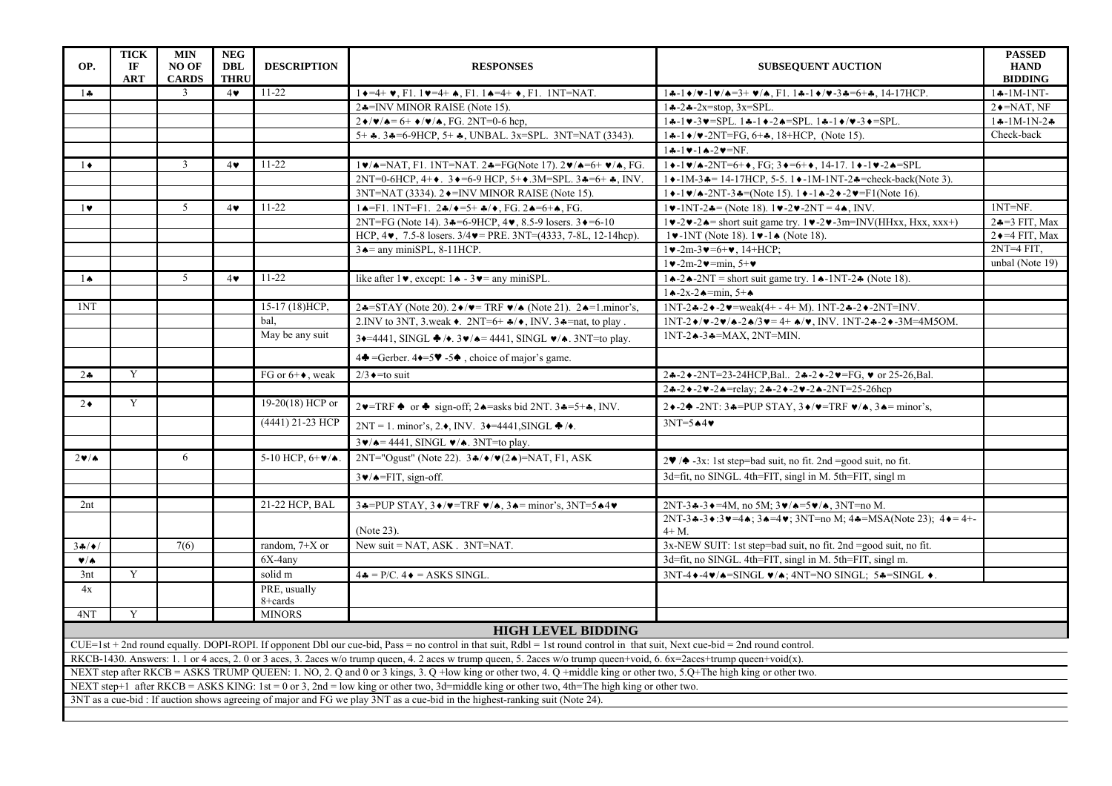| OP.                                                                                                                                                                    | <b>TICK</b><br>IF<br><b>ART</b> | <b>MIN</b><br>NO OF<br><b>CARDS</b> | <b>NEG</b><br><b>DBL</b><br><b>THRU</b>                                                                  | <b>DESCRIPTION</b>          | <b>RESPONSES</b>                                                                                                                                                                | <b>SUBSEQUENT AUCTION</b>                                                                                                                                                                             | <b>PASSED</b><br><b>HAND</b><br><b>BIDDING</b> |  |
|------------------------------------------------------------------------------------------------------------------------------------------------------------------------|---------------------------------|-------------------------------------|----------------------------------------------------------------------------------------------------------|-----------------------------|---------------------------------------------------------------------------------------------------------------------------------------------------------------------------------|-------------------------------------------------------------------------------------------------------------------------------------------------------------------------------------------------------|------------------------------------------------|--|
| $1 +$                                                                                                                                                                  |                                 | 3                                   | $4\bullet$                                                                                               | $11-22$                     | $1 \rightarrow 4+ \vee$ , F1. $1 \vee 4+ \wedge$ , F1. $1 \rightarrow 4+ \vee$ , F1. 1NT=NAT.                                                                                   | $1 - 1$ $\sqrt{v} - 1$ $\sqrt{A} = 3 + \sqrt{A}$ , F1, $1 - 1$ $\sqrt{v} - 3$ $\sqrt{A} = 6 + 3$ , 14-17HCP.                                                                                          | $1 - 1M-1NT-$                                  |  |
|                                                                                                                                                                        |                                 |                                     |                                                                                                          |                             | 2.4=INV MINOR RAISE (Note 15).                                                                                                                                                  | $1 - 2 - 2x = stop. 3x = SPI.$                                                                                                                                                                        | $2 \rightarrow$ =NAT, NF                       |  |
|                                                                                                                                                                        |                                 |                                     |                                                                                                          |                             | $2\blacklozenge/\blacktriangledown/\blacktriangle = 6+ \blacktriangledown/\blacktriangledown/\blacktriangle$ , FG. 2NT=0-6 hcp,                                                 | $1*-1 \vee -3 \vee =$ SPL. $1*-1 \vee -2 \wedge =$ SPL. $1*-1 \vee \vee -3 \vee =$ SPL.                                                                                                               | $1 - 1M - 1N - 2$                              |  |
|                                                                                                                                                                        |                                 |                                     |                                                                                                          |                             | 5+ $\clubsuit$ . 3 $\clubsuit$ =6-9HCP, 5+ $\clubsuit$ , UNBAL. 3x=SPL. 3NT=NAT (3343).                                                                                         | $1 - 1$ +/v-2NT=FG, 6+4, 18+HCP, (Note 15).                                                                                                                                                           | Check-back                                     |  |
|                                                                                                                                                                        |                                 |                                     |                                                                                                          |                             |                                                                                                                                                                                 | $1 - 1 - 1 - 2 = NF$ .                                                                                                                                                                                |                                                |  |
| $1 \bullet$                                                                                                                                                            |                                 | $\overline{3}$                      | $4\bullet$                                                                                               | $11-22$                     | $1\blacktriangledown/\blacktriangle =$ NAT, F1. 1NT=NAT. 2 $\blacktriangle =$ FG(Note 17). 2 $\blacktriangledown/\blacktriangle =$ 6+ $\blacktriangledown/\blacktriangle$ , FG. | $1\bullet -1\bullet/4 - 2NT = 6 + \bullet$ , FG; $3\bullet = 6 + \bullet$ , 14-17. $1\bullet -1\bullet -2\bullet = SPI$                                                                               |                                                |  |
|                                                                                                                                                                        |                                 |                                     |                                                                                                          |                             | 2NT=0-6HCP, 4+ $\bullet$ . 3 $\bullet$ =6-9 HCP, 5+ $\bullet$ .3M=SPL. 3 $\bullet$ =6+ $\bullet$ , INV.                                                                         | $1 \cdot -1 M - 3 = 14 - 17 HCP$ , 5-5, $1 \cdot -1 M - 1 N T - 2 =$ check-back(Note 3).                                                                                                              |                                                |  |
|                                                                                                                                                                        |                                 |                                     |                                                                                                          |                             | 3NT=NAT (3334). 2♦=INV MINOR RAISE (Note 15).<br>$1 \cdot -1 \cdot \sqrt{4 - 2NT - 3} = (Note 15)$ . $1 \cdot -1 \cdot -2 \cdot -2 \cdot = F1(Note 16)$ .                       |                                                                                                                                                                                                       |                                                |  |
| $1$ v                                                                                                                                                                  |                                 | $5^{\circ}$                         | $4\bullet$                                                                                               | $11-22$                     | $1 \triangle = F1$ . 1NT=F1. 2 $\triangle \angle$ + = 5+ $\triangle \angle$ + $FG$ . 2 $\triangle = 6 + \triangle$ , FG.                                                        | $1\vee -1NT - 2\clubsuit = (Note 18), 1\vee -2\vee -2NT = 4\spadesuit, INV.$<br>$1NT=NF$ .                                                                                                            |                                                |  |
|                                                                                                                                                                        |                                 |                                     |                                                                                                          |                             | 2NT=FG (Note 14). $3 \div 5 - 9$ HCP, $4 \vee$ , 8.5-9 losers. $3 \div 5 - 10$                                                                                                  | $1 \vee -2 \vee -2 \wedge =$ short suit game try. $1 \vee -2 \vee -3m =$ INV(HHxx, Hxx, xxx+)                                                                                                         | $2 - 3$ FIT, Max                               |  |
|                                                                                                                                                                        |                                 |                                     |                                                                                                          |                             | HCP, $4\blacktriangleright$ , 7.5-8 losers. $3/4\blacktriangleright$ = PRE. 3NT=(4333, 7-8L, 12-14hcp).                                                                         | $1\blacktriangleright -1NT$ (Note 18). $1\blacktriangleright -1\blacktriangle$ (Note 18).                                                                                                             | $2 \rightarrow 4$ FIT, Max                     |  |
|                                                                                                                                                                        |                                 |                                     |                                                                                                          |                             | $3 \triangle =$ any miniSPL, 8-11HCP.                                                                                                                                           | $1 \vee -2m -3 \vee = 6 + \vee$ , 14+HCP;                                                                                                                                                             | $2NT=4 FIT.$                                   |  |
|                                                                                                                                                                        |                                 |                                     |                                                                                                          |                             |                                                                                                                                                                                 | $1\blacktriangleright$ -2m-2 $\blacktriangleright$ =min, 5+ $\blacktriangleright$                                                                                                                     | unbal (Note 19)                                |  |
| $1 \spadesuit$                                                                                                                                                         |                                 | 5 <sup>5</sup>                      | $4\bullet$                                                                                               | $11 - 22$                   | like after $1 \vee$ , except: $1 \triangle -3 \vee =$ any miniSPL.                                                                                                              | $1 \triangle -2 \triangle -2NT$ = short suit game try. $1 \triangle -1NT - 2 \triangle $ (Note 18).                                                                                                   |                                                |  |
|                                                                                                                                                                        |                                 |                                     |                                                                                                          |                             |                                                                                                                                                                                 | $1 \triangle -2x - 2 \triangle = min, 5 + \triangle$                                                                                                                                                  |                                                |  |
| 1NT                                                                                                                                                                    |                                 |                                     |                                                                                                          | 15-17 (18) HCP,             | 2.4=STAY (Note 20). $2\blacklozenge/\blacktriangledown$ TRF $\blacktriangledown/\blacktriangle$ (Note 21). 2.4=1.minor's,                                                       | $1NT - 2 - 2$ + $-2$ v = weak(4+ - 4+ M). $1NT - 2 - 2$ + $-2NT = INV$ .                                                                                                                              |                                                |  |
|                                                                                                                                                                        |                                 |                                     |                                                                                                          | bal.                        | 2. INV to 3NT, 3. weak $\bullet$ . 2NT=6+ $\clubsuit$ / $\bullet$ , INV. 3 $\clubsuit$ =nat, to play.                                                                           | $1NT - 2 \cdot / \nu - 2 \cdot / \lambda - 2 \cdot / 3 \cdot = 4 + \lambda / \nu$ , INV. 1NT-2 $\lambda$ -2 $\lambda$ -3M=4M5OM.                                                                      |                                                |  |
|                                                                                                                                                                        |                                 |                                     |                                                                                                          | May be any suit             | $3 \rightarrow 4441$ , SINGL $\clubsuit$ / $\bullet$ . $3 \vee$ / $\bullet$ = 4441, SINGL $\vee$ / $\bullet$ . 3NT=to play.                                                     | $1NT-2 \triangle -3 = MAX$ , $2NT=MIN$ .                                                                                                                                                              |                                                |  |
|                                                                                                                                                                        |                                 |                                     |                                                                                                          |                             | $4\spadesuit$ =Gerber. $4\spadesuit$ =5 $\clubsuit$ -5 $\spadesuit$ , choice of major's game.                                                                                   |                                                                                                                                                                                                       |                                                |  |
| $2\bullet$                                                                                                                                                             | Y                               |                                     |                                                                                                          | FG or $6+\bullet$ , weak    | $2/3 \rightarrow \text{to suit}$                                                                                                                                                | 2÷-2→-2NT=23-24HCP,Bal 2÷-2→-2→=FG, v or 25-26,Bal.                                                                                                                                                   |                                                |  |
|                                                                                                                                                                        |                                 |                                     |                                                                                                          |                             |                                                                                                                                                                                 | $24 - 24 - 24 =$ relay; $24 - 24 - 24 - 2N$ T=25-26hcp                                                                                                                                                |                                                |  |
| $2\bullet$                                                                                                                                                             | Y                               |                                     |                                                                                                          | 19-20(18) HCP or            | $2\blacktriangledown$ =TRF $\blacklozenge$ or $\blacklozenge$ sign-off; 2 $\blacklozenge$ =asks bid 2NT. 3 $\blacklozenge$ =5+ $\blacktriangleleft$ , INV.                      | 2 + -2 $\blacklozenge$ -2NT: 3 = PUP STAY, 3 $\blacklozenge$ / $\blacktriangledown$ = TRF $\blacktriangledown/\blacktriangle$ , 3 $\blacktriangle$ = minor's,                                         |                                                |  |
|                                                                                                                                                                        |                                 |                                     |                                                                                                          | (4441) 21-23 HCP            | $2NT = 1$ , minor's, 2. $\bullet$ , INV. 3 $\bullet = 4441$ , SINGL $\bullet / \bullet$ .                                                                                       | $3NT=5$ $*4$ $*$                                                                                                                                                                                      |                                                |  |
|                                                                                                                                                                        |                                 |                                     | $3\blacktriangleright/\blacktriangle = 4441$ , SINGL $\blacktriangleright/\blacktriangle$ . 3NT=to play. |                             |                                                                                                                                                                                 |                                                                                                                                                                                                       |                                                |  |
| $2 \cdot 4$                                                                                                                                                            |                                 | 6                                   |                                                                                                          | 5-10 HCP, $6+\frac{1}{2}$ . | 2NT="Ogust" (Note 22). $3\frac{1}{2}$ $\sqrt{\sqrt{2}}$ $\sqrt{\sqrt{2}}$ $=$ NAT, F1, ASK                                                                                      | $2\Psi$ / $\blacklozenge$ -3x: 1st step=bad suit, no fit. 2nd =good suit, no fit.                                                                                                                     |                                                |  |
|                                                                                                                                                                        |                                 |                                     |                                                                                                          |                             | $3\blacktriangleright$ / $\blacktriangle$ =FIT, sign-off.                                                                                                                       | 3d=fit, no SINGL. 4th=FIT, singl in M. 5th=FIT, singl m                                                                                                                                               |                                                |  |
|                                                                                                                                                                        |                                 |                                     |                                                                                                          | 21-22 HCP, BAL              |                                                                                                                                                                                 |                                                                                                                                                                                                       |                                                |  |
| 2nt                                                                                                                                                                    |                                 |                                     |                                                                                                          |                             | $3\clubsuit =$ PUP STAY, $3\blacklozenge/\blacktriangledown =$ TRF $\blacktriangledown/\blacktriangle$ , $3\blacktriangle =$ minor's, $3NT=5\blacktriangle 4\blacktriangledown$ | $2NT - 3 - 3 = 4M$ , no 5M; $3\nu/(-5\nu/(-3NT) = 5M)$ .<br>2NT-3 $\bullet$ -3 $\bullet$ :3 $\bullet$ =4 $\bullet$ ; 3 $\bullet$ =4 $\bullet$ ; 3NT=no M; 4 $\bullet$ =MSA(Note 23); 4 $\bullet$ =4+- |                                                |  |
|                                                                                                                                                                        |                                 |                                     |                                                                                                          |                             | (Note 23).                                                                                                                                                                      | $4+M$ .                                                                                                                                                                                               |                                                |  |
| 34/4/                                                                                                                                                                  |                                 | 7(6)                                |                                                                                                          | random, $7+X$ or            | New suit = NAT, ASK $. 3NT=NAT$ .                                                                                                                                               | 3x-NEW SUIT: 1st step=bad suit, no fit. 2nd =good suit, no fit.                                                                                                                                       |                                                |  |
| V/A                                                                                                                                                                    |                                 |                                     |                                                                                                          | 6X-4any                     |                                                                                                                                                                                 | 3d=fit, no SINGL. 4th=FIT, singl in M. 5th=FIT, singl m.                                                                                                                                              |                                                |  |
| 3nt                                                                                                                                                                    | Y                               |                                     |                                                                                                          | solid m                     | $4\clubsuit$ = P/C. $4\spadesuit$ = ASKS SINGL.                                                                                                                                 | $3NT-4 \cdot -4 \cdot / \cdot = \text{SINGL} \cdot / \cdot$ ; 4NT=NO SINGL; 5 $\cdot = \text{SINGL} \cdot$ .                                                                                          |                                                |  |
| 4x                                                                                                                                                                     |                                 |                                     |                                                                                                          | PRE, usually                |                                                                                                                                                                                 |                                                                                                                                                                                                       |                                                |  |
|                                                                                                                                                                        |                                 |                                     |                                                                                                          | 8+cards                     |                                                                                                                                                                                 |                                                                                                                                                                                                       |                                                |  |
| 4NT                                                                                                                                                                    | Y                               |                                     |                                                                                                          | <b>MINORS</b>               |                                                                                                                                                                                 |                                                                                                                                                                                                       |                                                |  |
|                                                                                                                                                                        |                                 |                                     |                                                                                                          |                             | <b>HIGH LEVEL BIDDING</b>                                                                                                                                                       |                                                                                                                                                                                                       |                                                |  |
|                                                                                                                                                                        |                                 |                                     |                                                                                                          |                             | CUE=1st + 2nd round equally. DOPI-ROPI. If opponent Dbl our cue-bid, Pass = no control in that suit, Rdbl = 1st round control in that suit, Next cue-bid = 2nd round control.   |                                                                                                                                                                                                       |                                                |  |
| RKCB-1430. Answers: 1. 1 or 4 aces, 2. 0 or 3 aces, 3. 2aces w/o trump queen, 4. 2 aces w trump queen, 5. 2aces w/o trump queen+void, 6. 6x=2aces+trump queen+void(x). |                                 |                                     |                                                                                                          |                             |                                                                                                                                                                                 |                                                                                                                                                                                                       |                                                |  |
| NEXT step after RKCB = ASKS TRUMP QUEEN: 1. NO, 2. Q and 0 or 3 kings, 3. Q +low king or other two, 4. Q +middle king or other two, 5. Q+The high king or other two.   |                                 |                                     |                                                                                                          |                             |                                                                                                                                                                                 |                                                                                                                                                                                                       |                                                |  |
| NEXT step+1 after RKCB = ASKS KING: 1st = 0 or 3, 2nd = low king or other two, 3d=middle king or other two, 4th=The high king or other two.                            |                                 |                                     |                                                                                                          |                             |                                                                                                                                                                                 |                                                                                                                                                                                                       |                                                |  |
| 3NT as a cue-bid : If auction shows agreeing of major and FG we play 3NT as a cue-bid in the highest-ranking suit (Note 24).                                           |                                 |                                     |                                                                                                          |                             |                                                                                                                                                                                 |                                                                                                                                                                                                       |                                                |  |
|                                                                                                                                                                        |                                 |                                     |                                                                                                          |                             |                                                                                                                                                                                 |                                                                                                                                                                                                       |                                                |  |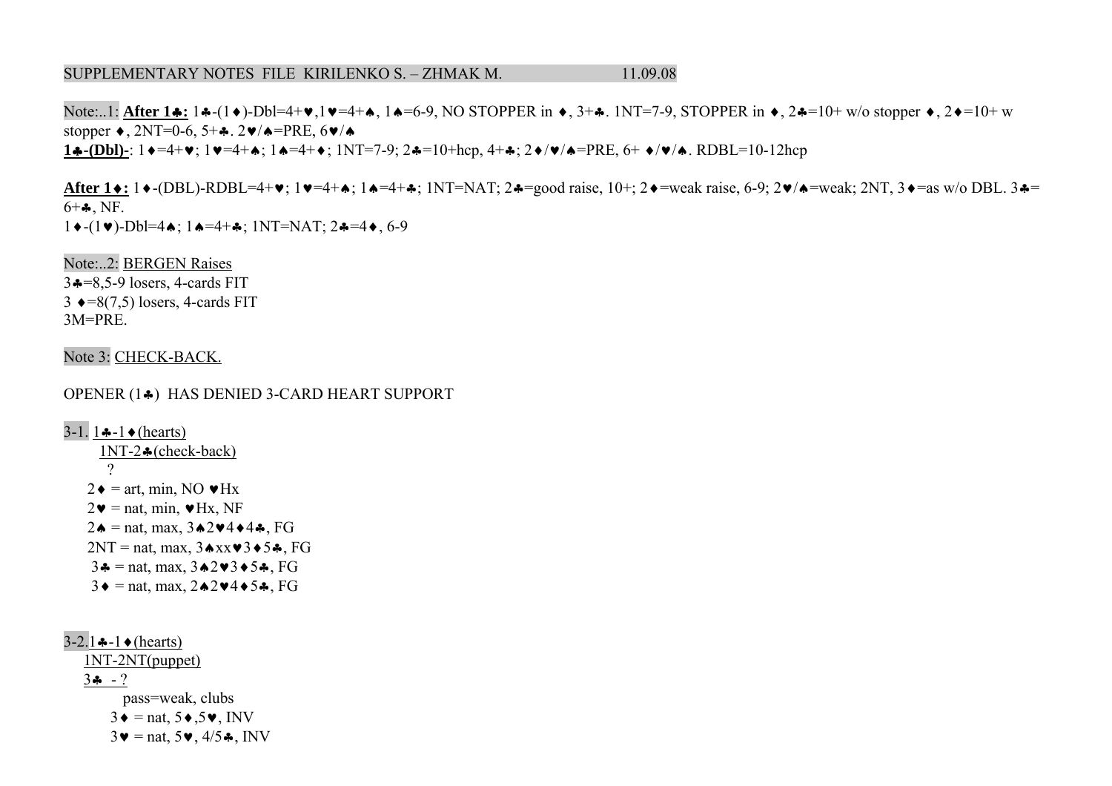#### SUPPLEMENTARY NOTES FILE KIRILENKO S. - ZHMAK M. 11.09.08

Note:..1: **After 1♣: 1♣**-(1♦)-Dbl=4+♥,1♥=4+♠, 1♠=6-9, NO STOPPER in ♦, 3+♣. 1NT=7-9, STOPPER in ♦, 2♣=10+ w/o stopper ♦, 2♦=10+ w stopper ♦, 2NT=0-6, 5+ ♣. 2♥/♠=PRE, 6 ♥/♠**1♣·(Dbl)-**: 1♦=4+♥; 1♥=4+♠; 1♠=4+♦; 1NT=7-9; 2♣=10+hcp, 4+♣; 2♦/♥/♠=PRE, 6+ ♦/♥/♠. RDBL=10-12hcp

**After 1 ♦:** 1 ♦ -(DBL)-RDBL=4+ ♥; 1 ♥=4+★; 1▲=4+♣; 1NT=NAT; 2♣=good raise, 10+; 2♦=weak raise, 6-9; 2♥/♠=weak; 2NT, 3♦=as w/o DBL. 3♣=  $6+$   $\clubsuit$ , NF. 1◆-(1♥)-Dbl=4♠; 1♠=4+♣; 1NT=NAT; 2♣=4♦, 6-9

Note:..2: BERGEN Raises 3 ♣=8,5-9 losers, 4-cards FIT  $3 \leftrightarrow =8(7,5)$  losers, 4-cards FIT 3M=PRE.

Note 3: CHECK-BACK.

OPENER (1 ♣) HAS DENIED 3-CARD HEART SUPPORT

3-1. 1**∻**-1◆(hearts)  $1NT-2$   $\bullet$  (check-back)  $\gamma$  $2 \bullet = \text{art}, \text{min}, \text{NO} \bullet \text{Hx}$  $2\mathbf{v}$  = nat, min,  $\mathbf{v}$ Hx, NF  $2 \cdot \bullet =$ nat, max,  $3 \cdot 2 \cdot 4 \cdot 4 \cdot 5$ , FG  $2NT = nat$ , max,  $3 \triangle x \times 3 \triangle 5 \triangle 5$ , FG  $3 \triangleq \text{ = nat}, \text{max}, 3 \triangle 2 \blacktriangleright 3 \blacktriangleright 5 \clubsuit, \text{ FG}$  $3 \blacklozenge = \text{nat}, \text{max}, 2 \blacktriangle 2 \blacktriangledown 4 \blacktriangle 5 \clubsuit, \text{FG}$ 

3-2.1 **♣**-1 ♦ (hearts) 1NT-2NT(puppet) 3♣ - ? pass=weak, clubs  $3 \bullet = \text{nat}, 5 \bullet, 5 \bullet, \text{INV}$  $3\blacktriangledown =$  nat,  $5\blacktriangledown$ ,  $4/5\clubsuit$ , INV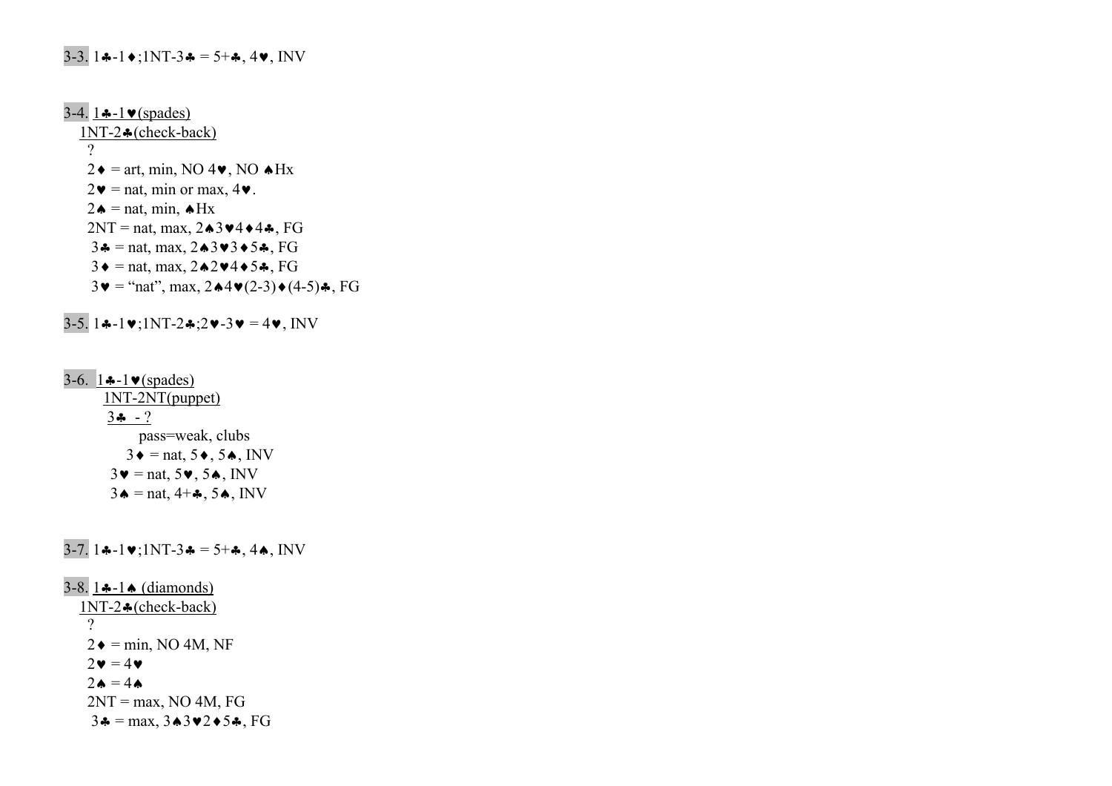# 3-3. 1 $\div$ :1NT-3 $\div$  = 5+ $\div$ , 4 $\vee$ , INV

3-4.  $1 \cdot -1 \cdot \cdot$  (spades) 1NT-2♣(check-back) ?  $2\bullet = \text{art}, \text{min}, \text{NO } 4\bullet, \text{NO } \bullet \text{Hx}$  $2\mathbf{v} = \text{nat}, \text{min or max}, 4\mathbf{v}.$ 2  $\triangle$  = nat, min,  $\triangle$ Hx  $2NT = nat$ , max,  $2\triangle 3\blacktriangledown 4\blacktriangle 4\clubsuit$ , FG 3 $\triangle$  = nat, max, 2 $\triangle$ 3 $\blacktriangleright$ 3 $\blacktriangleright$ 5 $\triangle$ , FG  $3\bullet$  = nat, max,  $2\spadesuit 2\spadesuit 4\spadesuit 5\clubsuit$ , FG  $3\mathbf{v} = \text{``nat''}, \max, 2\mathbf{A} \mathbf{4} \mathbf{v} (2-3) \mathbf{A} (4-5) \mathbf{A}, \text{FG}$ 

3-5. 1♣-1♥;1NT-2♣;2♥-3♥ = 4♥, INV

3-6.  $1 - 1 \cdot \text{(spades)}$  1NT-2NT(puppet)  $3\clubsuit$  - ? pass=weak, clubs  $3\bullet$  = nat,  $5\bullet$ ,  $5\bullet$ , INV  $3\blacktriangledown =$  nat,  $5\blacktriangledown$ ,  $5\blacktriangle$ , INV  $3\bullet$  = nat,  $4+\clubsuit$ ,  $5\bullet$ , INV

3-7. 1♣-1♥;1NT-3♣ = 5+♣, 4♠, INV

3-8. 1♣-1♠ (diamonds) 1NT-2♣(check-back) ?  $2\bullet = \text{min}$ , NO 4M, NF  $2\mathbf{v} = 4\mathbf{v}$  $2\spadesuit = 4\spadesuit$  $2NT = max$ , NO 4M, FG  $3\clubsuit = \text{max}, 3\spadesuit 3\spadesuit 2\spadesuit 5\clubsuit, \text{FG}$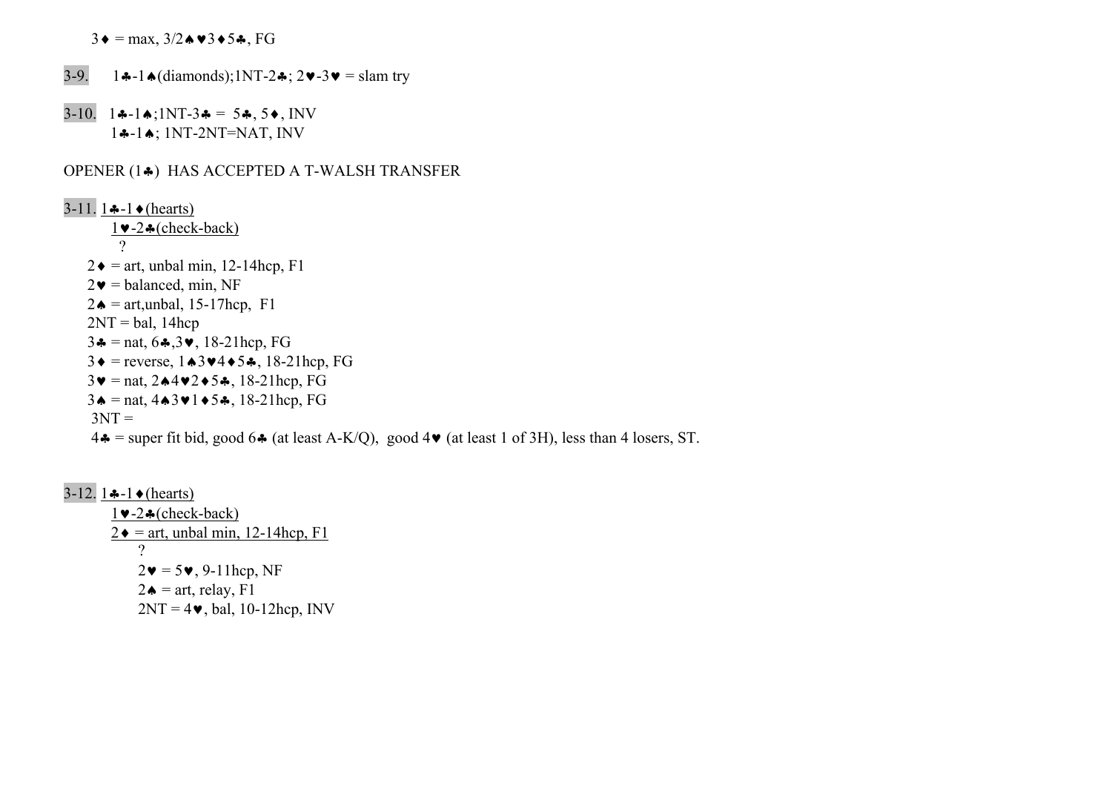$3\blacklozenge = \max$ ,  $3/2\blacktriangle \blacktriangledown 3\blacktriangle 5\blacktriangle$ , FG

- 3-9. 1♣-1♠(diamonds);1NT-2♣; 2♥-3♥ = slam try
- 3-10. 1♣-1♠;1NT-3♣ = 5♣, 5♦, INV 1♣-1♠; 1NT-2NT=NAT, INV

# OPENER (1♣) HAS ACCEPTED A T-WALSH TRANSFER

3-11. 1 $\div$ -1 $\div$ (hearts) 1♥-2♣(check-back) ?  $2 \bullet =$  art, unbal min, 12-14hcp, F1  $2\blacktriangledown$  = balanced, min, NF  $2\bullet$  = art, unbal, 15-17hcp, F1  $2NT = bal$ , 14hcp 3 $\triangleq$  = nat, 6 $\triangleq$ , 3 $\vee$ , 18-21hcp, FG 3♦ = reverse, 1♠3♥4♦5♣, 18-21hcp, FG 3♥ = nat, 2♠4♥2♦5♣, 18-21hcp, FG 3♠ = nat, 4♠3♥1♦5♣, 18-21hcp, FG  $3NT =$  $4\clubsuit$  = super fit bid, good 6 $\clubsuit$  (at least A-K/Q), good 4 $\blacktriangledown$  (at least 1 of 3H), less than 4 losers, ST.

3-12. 1 $\ast$ -1 $\ast$  (hearts)  $1 \blacktriangleright -2 \clubsuit$  (check-back)  $2 \triangleleft$  = art, unbal min, 12-14hcp, F1 ?  $2\mathbf{v} = 5\mathbf{v}$ , 9-11hcp, NF  $2\spadesuit$  = art, relay, F1  $2NT = 4\blacktriangleright$ , bal, 10-12hcp, INV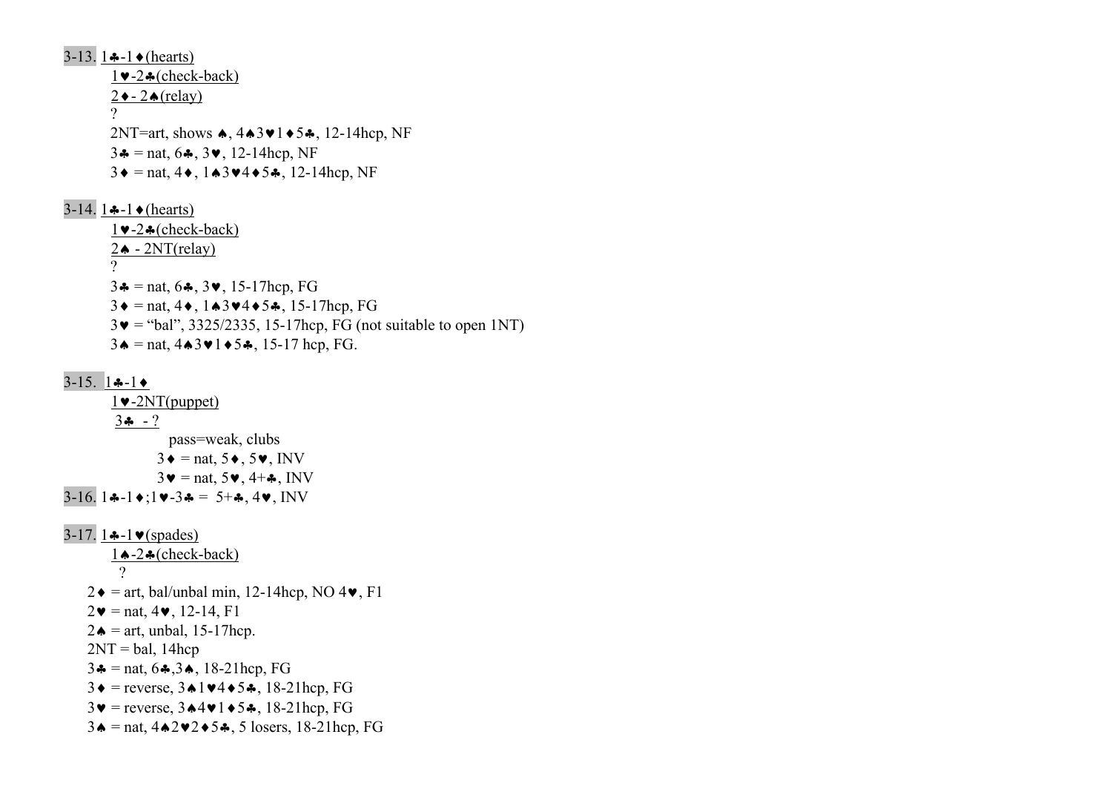3-13. 1 $\div$ -1 $\div$ (hearts) 1♥-2♣(check-back)  $2 \triangleleft - 2 \triangleleft ($ relay  $\mathcal{P}$  2NT=art, shows ♠, 4♠3♥1♦5♣, 12-14hcp, NF  $3\clubsuit = \text{nat}, 6\clubsuit, 3\spadesuit, 12-14\text{hcp}, NF$  $3\bullet$  = nat,  $4\bullet$ ,  $1\bullet 3\bullet 4\bullet 5\bullet$ , 12-14hcp, NF 3-14. 1 $\ast$ -1 $\ast$  (hearts) 1♥-2♣(check-back) 2♦ -  $2NT$ (relay)  $\gamma$  $3\clubsuit = \text{nat}, 6\clubsuit, 3\spadesuit, 15-17\text{hcp}, FG$  $3\bullet$  = nat,  $4\bullet$ ,  $1\bullet 3\bullet 4\bullet 5\bullet$ ,  $15-17$ hcp, FG  $3\mathbf{v}$  = "bal", 3325/2335, 15-17hcp, FG (not suitable to open 1NT)  $3\spadesuit$  = nat,  $4\spadesuit 3\spadesuit 1\spadesuit 5\clubsuit$ , 15-17 hcp, FG. 3-15. <u>1♣-1♦</u> 1♥-2NT(puppet)  $3 - ?$  pass=weak, clubs  $3\bullet$  = nat,  $5\bullet$ ,  $5\bullet$ , INV  $3\mathbf{v} = \text{nat}, 5\mathbf{v}, 4+\mathbf{A}, \text{INV}$ 

3-16. 1 $\clubsuit$ -1 $\spadesuit$ ;1 $\blacktriangleright$ -3 $\clubsuit$  = 5+ $\clubsuit$ , 4 $\blacktriangleright$ , INV

3-17. 1 $\triangle 1 \vee$ (spades) 1♠-2♣(check-back) ?  $2\bullet$  = art, bal/unbal min, 12-14hcp, NO 4 $\bullet$ , F1  $2\bullet$  = nat,  $4\bullet$ , 12-14, F1  $2\bullet$  = art, unbal, 15-17hcp.  $2NT = bal$ , 14hcp 3 $\triangleq$  = nat, 6 $\triangleq$ , 3 $\triangleq$ , 18-21hcp, FG 3♦ = reverse, 3♠1♥4♦5♣, 18-21hcp, FG 3♥ = reverse, 3♠4♥1♦5♣, 18-21hcp, FG  $3\spadesuit$  = nat,  $4\spadesuit 2\spadesuit 2\spadesuit 5\spadesuit$ , 5 losers, 18-21hcp, FG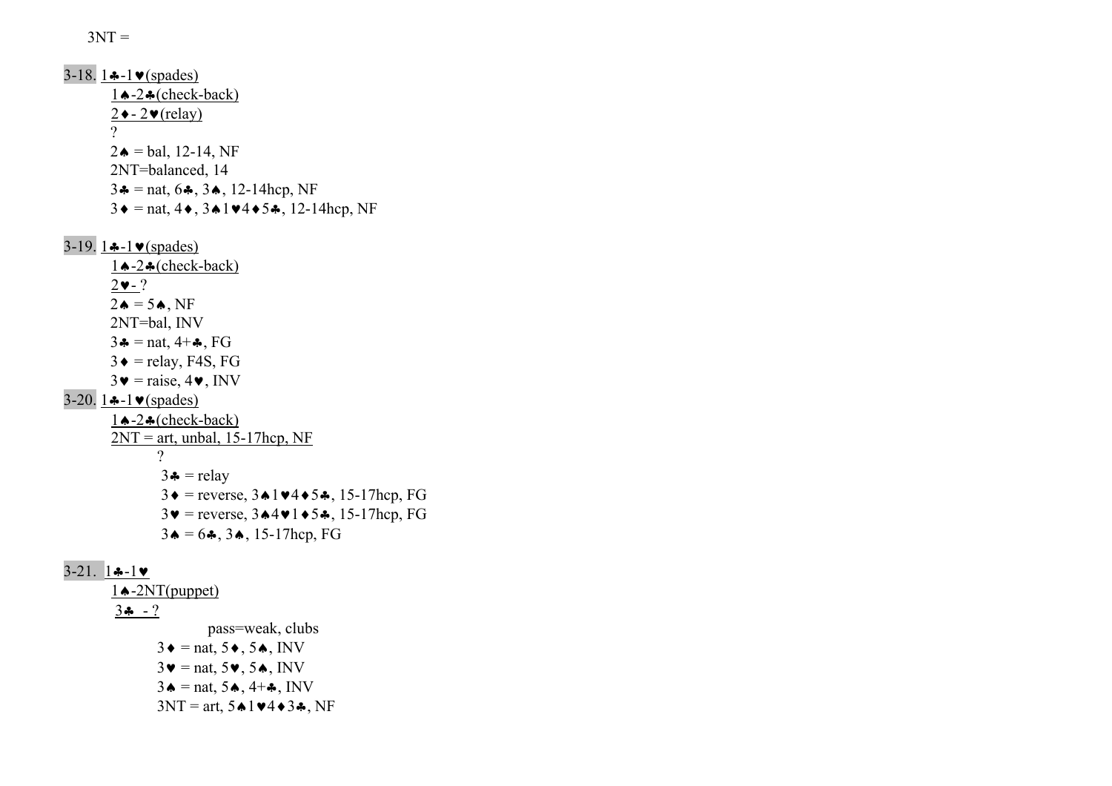$3NT =$ 

3-18. 1 $\div$ -1 $\vee$ (spades) 1♠-2♣(check-back)  $2 \rightarrow -2 \cdot (relay)$  ?  $2\spadesuit$  = bal, 12-14, NF 2NT=balanced, 14 3 $\triangleq$  = nat, 6 $\triangleq$ , 3 $\triangleq$ , 12-14hcp, NF  $3\bullet$  = nat,  $4\bullet$ ,  $3\bullet1\bullet4\bullet5\bullet$ , 12-14hcp, NF 3-19. 1 $\div$ -1 $\vee$ (spades) 1♠-2♣(check-back)  $2\blacktriangledown - ?$  $2\spadesuit$  = 5 $\spadesuit$ , NF 2NT=bal, INV  $3 \triangleq \text{ = nat}, 4 + \clubsuit, FG$  $3 \triangleleft$  = relay, F4S, FG  $3\mathbf{v}$  = raise,  $4\mathbf{v}$ , INV 3-20.  $1 - 1 \cdot \text{(spades)}$  1♠-2♣(check-back)  $2NT = art$ , unbal, 15-17hcp, NF ?  $3 \triangleq \text{relay}$  $3\bullet$  = reverse,  $3\bullet1\bullet4\bullet5\bullet$ ,  $15-17$ hcp, FG  $3\blacktriangledown$  = reverse,  $3\blacktriangle 4\blacktriangledown 1\blacktriangle 5\clubsuit$ , 15-17hcp, FG  $3\spadesuit = 6\clubsuit$ ,  $3\spadesuit$ , 15-17hcp, FG 3-21. 1♣-1♥ 1♠-2NT(puppet)  $3 - ?$  pass=weak, clubs  $3\bullet$  = nat,  $5\bullet$ ,  $5\bullet$ , INV  $3\blacktriangledown =$  nat,  $5\blacktriangledown$ ,  $5\blacktriangle$ , INV  $3\bullet$  = nat,  $5\bullet$ ,  $4+\bullet$ , INV  $3NT = art, 5 \cdot 1 \cdot 4 \cdot 3 \cdot$ , NF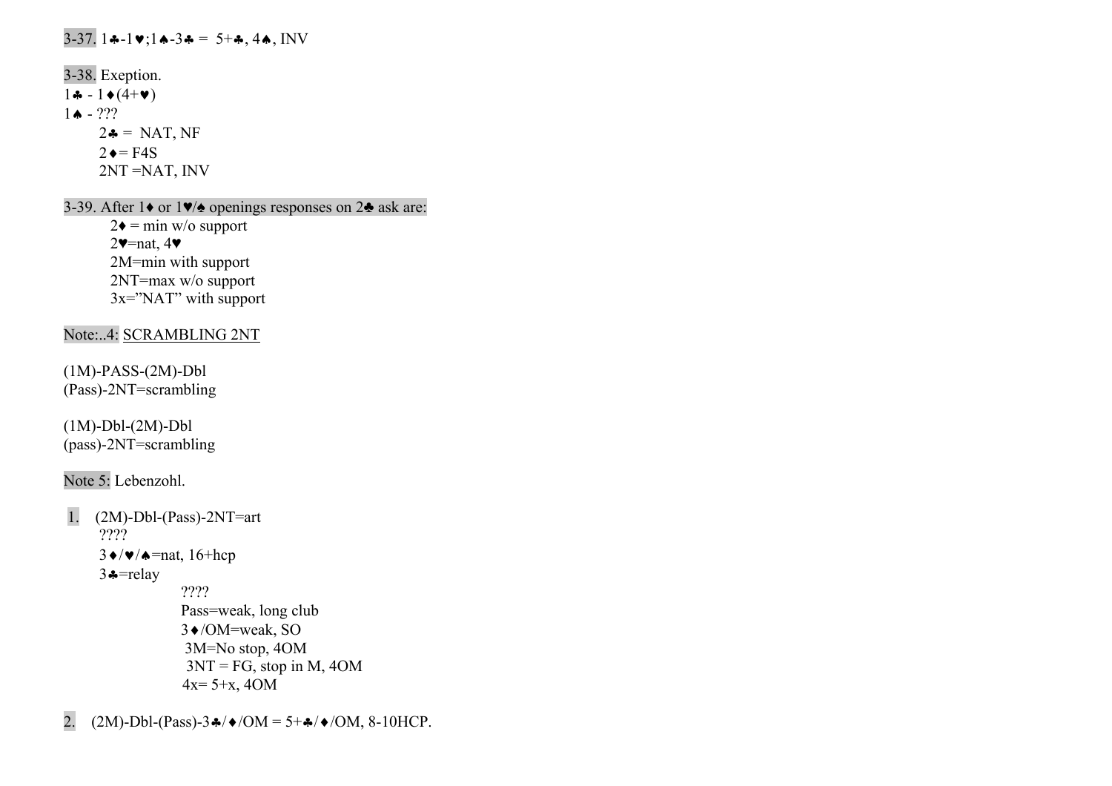# 3-37. 1♣-1♥;1♠-3♣ = 5+♣, 4♠, INV

3-38. Exeption. 1♣ - 1♦(4+♥) 1♠ - ???  $2\clubsuit$  = NAT, NF  $2 \triangleleft = F4S$ 2NT =NAT, INV

3-39. After 1♦ or 1♥/♠ openings responses on 2♣ ask are:

 $2\bullet$  = min w/o support 2♥=nat, 4♥ 2M=min with support 2NT=max w/o support 3x="NAT" with support

Note:..4: <u>SCRAMBLING 2NT</u>

(1M)-PASS-(2M)-Dbl (Pass)-2NT=scrambling

(1M)-Dbl-(2M)-Dbl (pass)-2NT=scrambling

Note 5: Lebenzohl.

 1. (2M)-Dbl-(Pass)-2NT=art ???? 3♦/♥/♠=nat, 16+hcp 3♣=relay ???? Pass=weak, long club 3♦/OM=weak, SO 3M=No stop, 4OM  $3NT = FG$ , stop in M, 4OM  $4x=5+x$ ,  $4OM$ 

2.  $(2M)$ -Dbl-(Pass)-3 $\frac{1}{2}$ / $\sqrt{OM} = 5 + \frac{1}{2}$ / $\sqrt{OM}$ , 8-10HCP.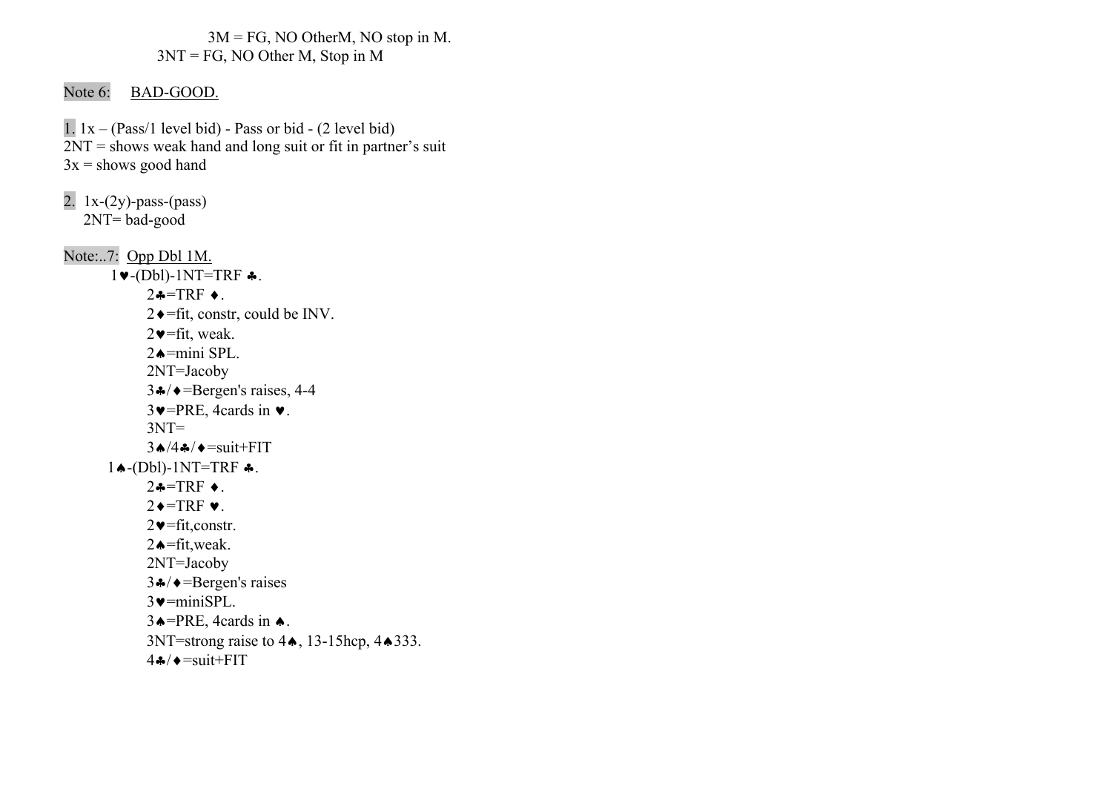3M = FG, NO OtherM, NO stop in M. 3NT = FG, NO Other M, Stop in M

# Note 6: BAD-GOOD.

1.  $1x - (Pass/1 level bid) - Pass or bid - (2 level bid)$ 2NT = shows weak hand and long suit or fit in partner's suit  $3x$  = shows good hand

2. 1x-(2y)-pass-(pass) 2NT= bad-good Note:..7: Opp Dbl 1M.  $1 \blacktriangleright$ -(Dbl)-1NT=TRF  $\clubsuit$ .  $2 \div = \text{TRF} \div$ .  $2 \rightarrow$ =fit, constr, could be INV.  $2\blacktriangleright$  = fit, weak.  $2 \triangle = \text{mini}$  SPL. 2NT=Jacoby  $3 \cdot \rightarrow$  = Bergen's raises, 4-4  $3 \vee$ =PRE, 4cards in  $\vee$ .  $3NT =$  $3 \bigtriangleup / 4 \bigtriangleup / \bigtriangleup = \text{suit} + \text{FIT}$  $1 \bigstar$ -(Dbl)-1NT=TRF  $\bigstar$ .  $2 \cdot = TRF \cdot$ .  $2 \rightarrow TRF \bullet$ .  $2 \cdot \text{Fit}$ , constr.  $2 \triangle = \text{fit}, \text{weak}.$  2NT=Jacoby  $3 \cdot \rightarrow$  = Bergen's raises  $3 \vee = \text{miniSPL}$ .  $3 \triangle = PRE$ , 4cards in  $\triangle$ . 3NT=strong raise to 4♦, 13-15hcp, 4♦333.  $4 \clubsuit / \triangleleft = \text{suit} + \text{FIT}$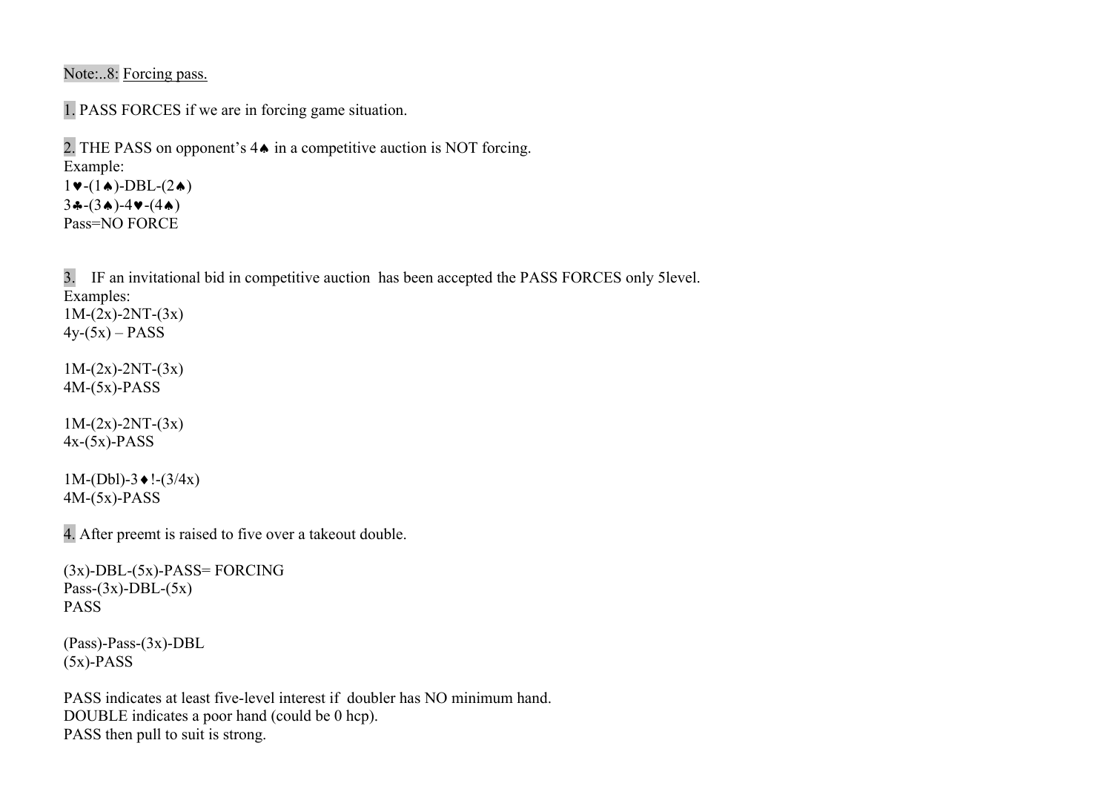Note:..8: Forcing pass.

1. PASS FORCES if we are in forcing game situation.

```
2. THE PASS on opponent's 4♠ in a competitive auction is NOT forcing. 
Example: 
1\blacktriangleright-(1\blacktriangle)-DBL-(2\blacktriangle)
3(-3*)-4v-(4*)
```
Pass=NO FORCE

3. IF an invitational bid in competitive auction has been accepted the PASS FORCES only 5level. Examples:  $1M-(2x)-2NT-(3x)$ 

 $4y-(5x) - PASS$ 

 $1M-(2x)-2NT-(3x)$ 4M-(5x)-PASS

 $1M-(2x)-2NT-(3x)$  $4x-(5x)$ -PASS

 $1M-(Db1)-3$  ♦  $!-(3/4x)$  $4M-(5x)-PASS$ 

4. After preemt is raised to five over a takeout double.

```
(3x)-DBL-(5x)-PASS= FORCING
Pass-(3x)-DBL-(5x)PASS
```
(Pass)-Pass-(3x)-DBL  $(5x)$ -PASS

PASS indicates at least five-level interest if doubler has NO minimum hand. DOUBLE indicates a poor hand (could be 0 hcp). PASS then pull to suit is strong.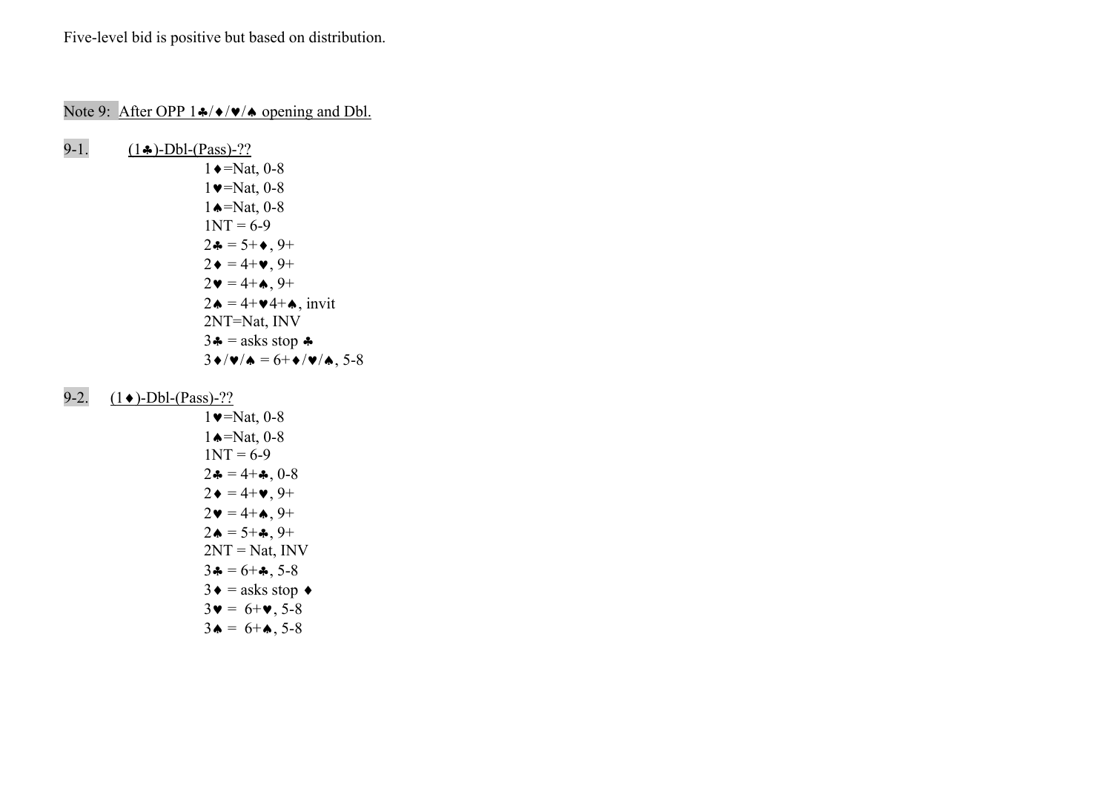Five-level bid is positive but based on distribution.

# Note 9: After OPP 1♣/♦/♥/♠ opening and Dbl.

9-1.  $(1\cdot)-Dbl-(Pass)-??$  $1 \rightarrow$ =Nat, 0-8  $1 \vee = \text{Nat}, 0 - 8$  1♠=Nat, 0-8  $1NT = 6-9$  $2\clubsuit = 5 + \spadesuit, 9 +$  $2 \bullet = 4 + \bullet, 9 +$  $2\bullet = 4 + \bullet$ , 9+  $2\bullet = 4 + \bullet 4 + \bullet$ , invit 2NT=Nat, INV  $3 \triangleq$  = asks stop  $\triangleq$  $3\bullet/\bullet/\bullet = 6+\bullet/\bullet/\bullet$ , 5-8

### 9-2. <u>(1◆)-Dbl-(Pass)-??</u>

1 
$$
\bullet
$$
=Nat, 0-8  
\n1  $\bullet$ =Nat, 0-8  
\n1 NT = 6-9  
\n2  $\bullet$  = 4+ $\bullet$ , 0-8  
\n2  $\bullet$  = 4+ $\bullet$ , 9+  
\n2  $\bullet$  = 4+ $\bullet$ , 9+  
\n2  $\bullet$  = 5+ $\bullet$ , 9+  
\n2 NT = Nat, INV  
\n3  $\bullet$  = 6+ $\bullet$ , 5-8  
\n3  $\bullet$  = asks stop  $\bullet$   
\n3  $\bullet$  = 6+ $\bullet$ , 5-8  
\n3  $\bullet$  = 6+ $\bullet$ , 5-8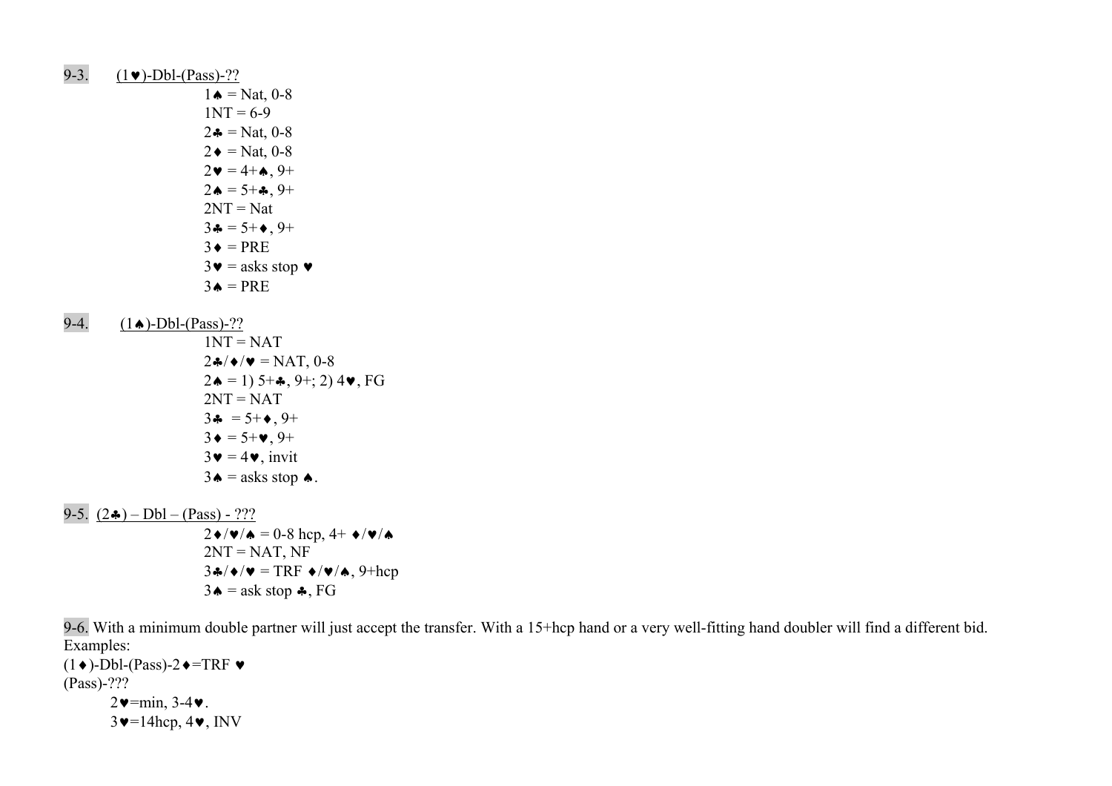- 9-3.  $(1 \bullet)$ -Dbl-(Pass)-??
- $1 \triangleq N$ at, 0-8  $1NT = 6-9$  $2\clubsuit$  = Nat, 0-8  $2 \triangleleft = \text{Nat}, 0 - 8$  $2 \cdot = 4 + \cdot 9 +$  $2 \cdot = 5 + 2 \cdot 9 +$  $2NT = Nat$  $3\clubsuit = 5 + \spadesuit, 9 +$  $3 \triangleleft = PRE$  $3\mathbf{v}$  = asks stop  $\mathbf{v}$  $3\bullet = \text{PRE}$
- 9-4.  $(1 \bullet)$ -Dbl-(Pass)-??
- $1NT = NAT$  $2\cdot\sqrt{\bullet}$  /  $\bullet$  = NAT, 0-8  $2 \triangleleft = 1$ ) 5+ $\triangleleft$ , 9+; 2) 4 $\triangledown$ , FG  $2NT = NAT$  $3 \clubsuit = 5 + \spadesuit, 9 +$  $3 \bullet = 5 + \bullet, 9 +$  $3\mathbf{v} = 4\mathbf{v}$ , invit  $3\bullet$  = asks stop  $\bullet$ .

9-5.  $(2\bullet)$  – Dbl – (Pass) - ???  $2\blacklozenge/\blacktriangledown/\blacktriangle = 0.8$  hcp,  $4+\blacklozenge/\blacktriangledown/\blacktriangle$  $2NT = NAT$ , NF  $3\clubsuit/\blacklozenge/\blacktriangledown = TRF \blacktriangledown/\blacktriangledown/\blacktriangle, 9+hep$  $3\spadesuit$  = ask stop  $\clubsuit$ , FG

9-6. With a minimum double partner will just accept the transfer. With a 15+hcp hand or a very well-fitting hand doubler will find a different bid. Examples:

 $(1\blacklozenge)$ -Dbl-(Pass)-2 $\blacklozenge$ =TRF  $\blacktriangleright$ (Pass)-???  $2\blacktriangledown$ =min, 3-4 $\blacktriangledown$ .  $3\blacktriangledown=14$ hcp,  $4\blacktriangledown$ , INV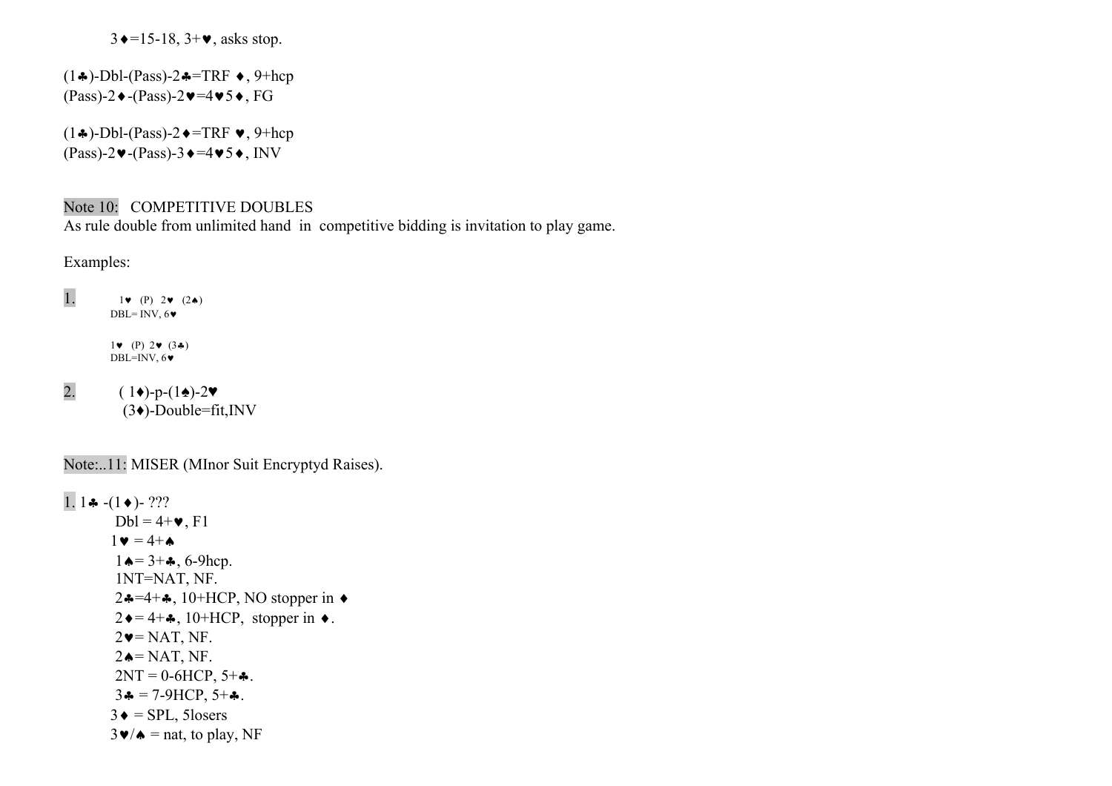$3 \rightarrow 15-18$ ,  $3+\bullet$ , asks stop.

 $(1\bullet)$ -Dbl-(Pass)-2 $\bullet$ =TRF  $\bullet$ , 9+hcp  $(Pass)-2 \blacklozenge-(Pass)-2 \blacktriangledown=4 \blacktriangledown 5 \blacklozenge$ , FG

 $(1\clubsuit)$ -Dbl-(Pass)-2 $\bullet$ =TRF  $\bullet$ , 9+hcp  $(Pass)-2 \vee -(Pass)-3 \vee =4 \vee 5 \vee, INV$ 

### Note 10: COMPETITIVE DOUBLES

As rule double from unlimited hand in competitive bidding is invitation to play game.

Examples:

1.  $1 \cdot (P) 2 \cdot (2*)$ DBL= INV,  $6\blacktriangledown$  $1 \bullet (P) 2 \bullet (3 \clubsuit)$ DBL=INV, 6♥

2.  $(1\bullet)-p-(1\bullet)-2\bullet$ (3♦)-Double=fit,INV

Note:..11: MISER (MInor Suit Encryptyd Raises).

1. 1 $\bullet$  -(1 $\bullet$ )- ???  $Dbl = 4 + \bullet$ , F1  $1 \cdot = 4 + \cdot$  $1 \triangle = 3 + \clubsuit$ , 6-9hcp. 1NT=NAT, NF. 2♣=4+♣, 10+HCP, NO stopper in  $\triangleleft$  $2 \cdot = 4 + \cdot 10 + HCP$ , stopper in  $\cdot$ .  $2\blacktriangledown$ = NAT, NF.  $2 \triangle = \text{NAT}$ , NF.  $2NT = 0-6HCP, 5+A$ .  $3 \cdot = 7 - 9$ HCP,  $5 + \cdot$ .  $3 \triangleleft =$  SPL, 5losers  $3\blacktriangleright/\blacktriangle$  = nat, to play, NF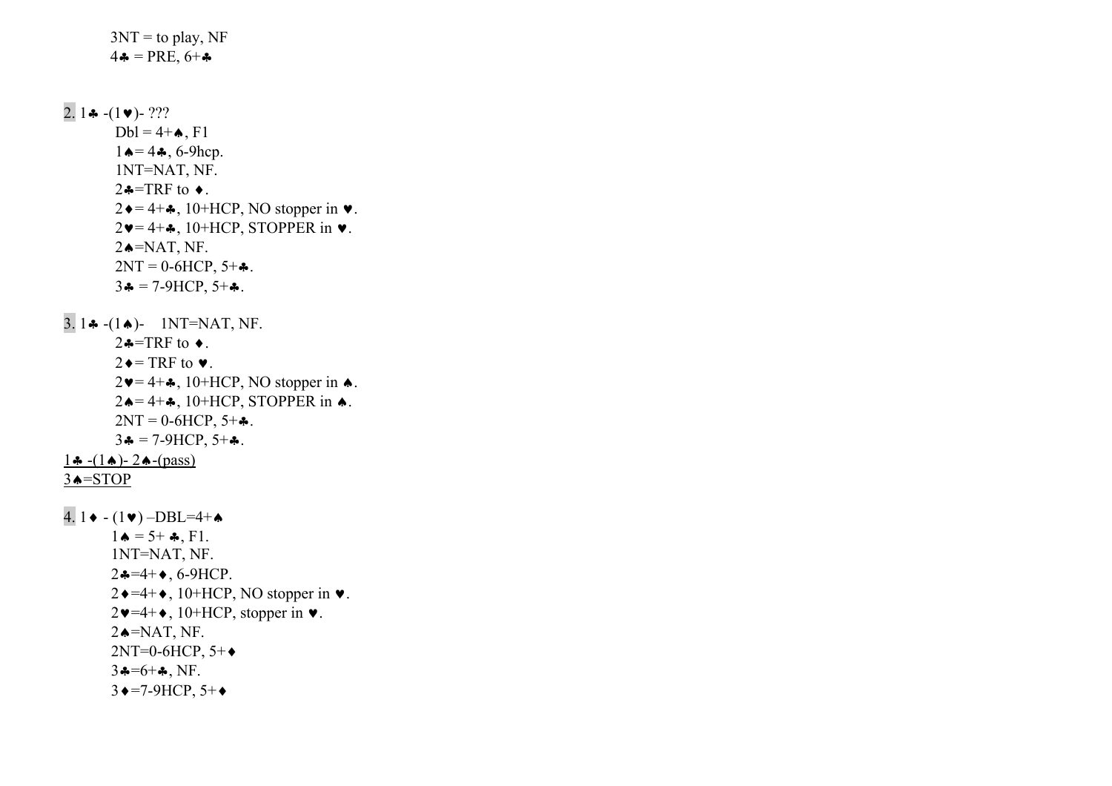$3NT =$  to play, NF  $4 \cdot = \text{PRE}, 6 + \cdot$  $2.1$  &  $-(1 \vee)$ - ???  $Dbl = 4 + \spadesuit, F1$  $1 \triangle = 4 \clubsuit, 6 \text{-} 9$ hcp. 1NT=NAT, NF.  $2 \div = \text{TRF}$  to  $\div$ .  $2 \rightarrow 4 + 4$ , 10+HCP, NO stopper in  $\bullet$ .  $2\blacktriangledown = 4 + \clubsuit$ , 10+HCP, STOPPER in  $\blacktriangledown$ .  $2 \triangleleft NAT$ , NF.  $2NT = 0 - 6HCP, 5 + .$  $3 \clubsuit = 7 - 9$ HCP,  $5 + \clubsuit$ . 3. 1 $\clubsuit$  -(1 $\spadesuit$ )- 1NT=NAT, NF.  $2 \div = \text{TRF}$  to  $\div$ .  $2 \rightarrow$  TRF to  $\bullet$ .  $2\blacktriangleright = 4 + \clubsuit$ , 10+HCP, NO stopper in  $\spadesuit$ .  $2 \triangle = 4 + \clubsuit$ , 10+HCP, STOPPER in  $\spadesuit$ .  $2NT = 0.6 HCP, 5+A.$  $3 \clubsuit = 7 - 9$ HCP,  $5 + \clubsuit$ . <u>1♣ -(1♠)- 2♠-(pass)</u> <u>3▲=STOP</u> 4. 1◆ - (1♥) -DBL=4+▲  $1 \bullet = 5 + \clubsuit, F1.$  1NT=NAT, NF.  $2 \cdot = 4 + \bullet$ , 6-9HCP.  $2 \rightarrow = 4 + \bullet$ , 10+HCP, NO stopper in  $\bullet$ .  $2\blacktriangleright 4+\blacktriangleright$ , 10+HCP, stopper in  $\blacktriangleright$ .  $2 \triangleleft NAT, NF.$  2NT=0-6HCP, 5+ ♦  $3 - 6 + 4$ , NF.  $3 \rightarrow = 7-9$ HCP,  $5+\rightarrow$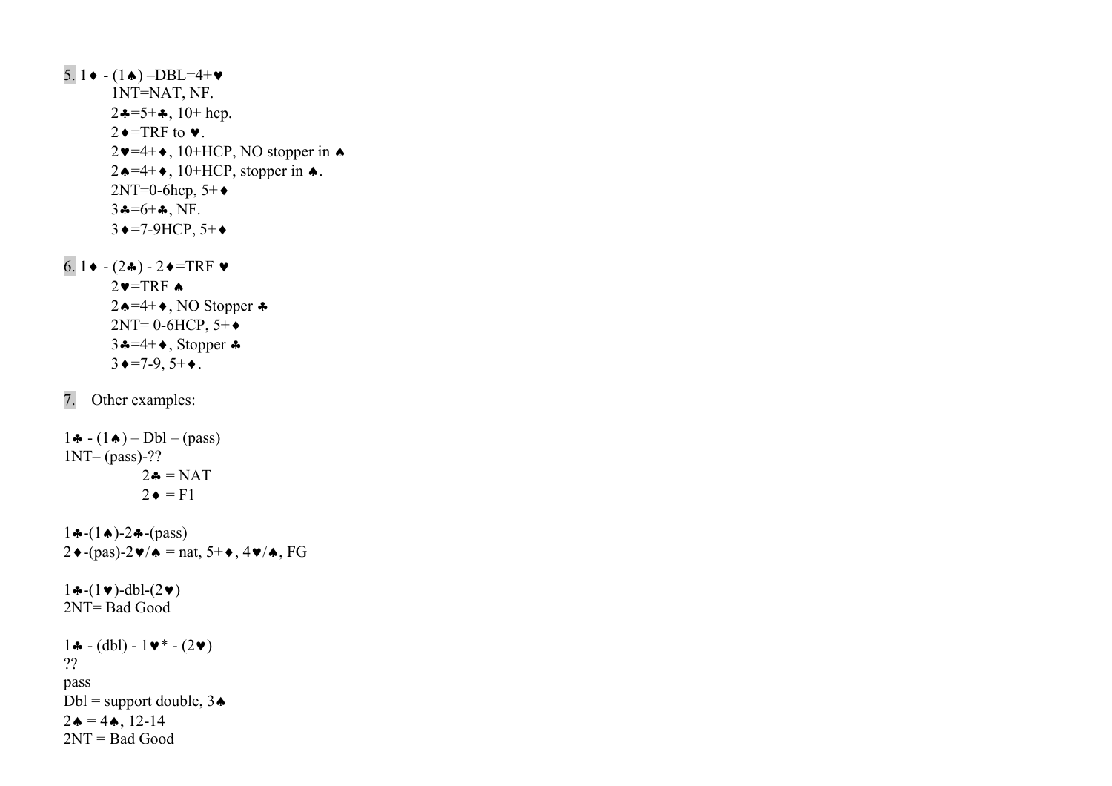$5.1 \cdot (1 \cdot) - DBL = 4 + \cdot$  1NT=NAT, NF.  $2\clubsuit = 5 + \clubsuit$ , 10+ hcp.  $2 \triangleleft = \text{TRF}$  to  $\blacktriangledown$ .  $2\blacktriangleright 4+\blacktriangleright$ , 10+HCP, NO stopper in  $\blacktriangleright$  $2\triangle = 4 + \diamond$ , 10+HCP, stopper in  $\triangle$ .  $2NT=0$ -6hcp,  $5+\bullet$  $3 - 6 +$ , NF.  $3 \rightarrow = 7 - 9$ HCP,  $5 + \rightarrow$ 

 $6.1 \bullet - (2 \clubsuit) - 2 \bullet = TRF \bullet$  $2 \vee = TRF \triangle$  $2\spadesuit = 4 + \spadesuit$ , NO Stopper ♣  $2NT= 0-6HCP, 5+\bullet$  $3 - 4 + 1$ , Stopper  $\clubsuit$  $3 \triangleleft = 7-9, 5+\bullet.$ 

7. Other examples:

1 $\clubsuit$  - (1 $\spadesuit$ ) – Dbl – (pass) 1NT– (pass)-??  $2\clubsuit = \text{NAT}$  $2 \triangleleft = F1$  $1 \cdot (-1 \cdot ) - 2 \cdot (-p \cdot )$  $2\blacklozenge$ -(pas)-2 $\blacktriangleright$ / $\blacktriangle$  = nat, 5+ $\blacktriangleright$ , 4 $\blacktriangleright$ / $\blacktriangle$ , FG  $1 \cdot (-1 \cdot )$ -dbl- $(2 \cdot )$ 2NT= Bad Good 1♣ - (dbl) - 1♥\* - (2♥) ?? pass Dbl = support double,  $3\spadesuit$  $2 \triangle = 4 \triangle$ , 12-14

 $2NT = Bad Good$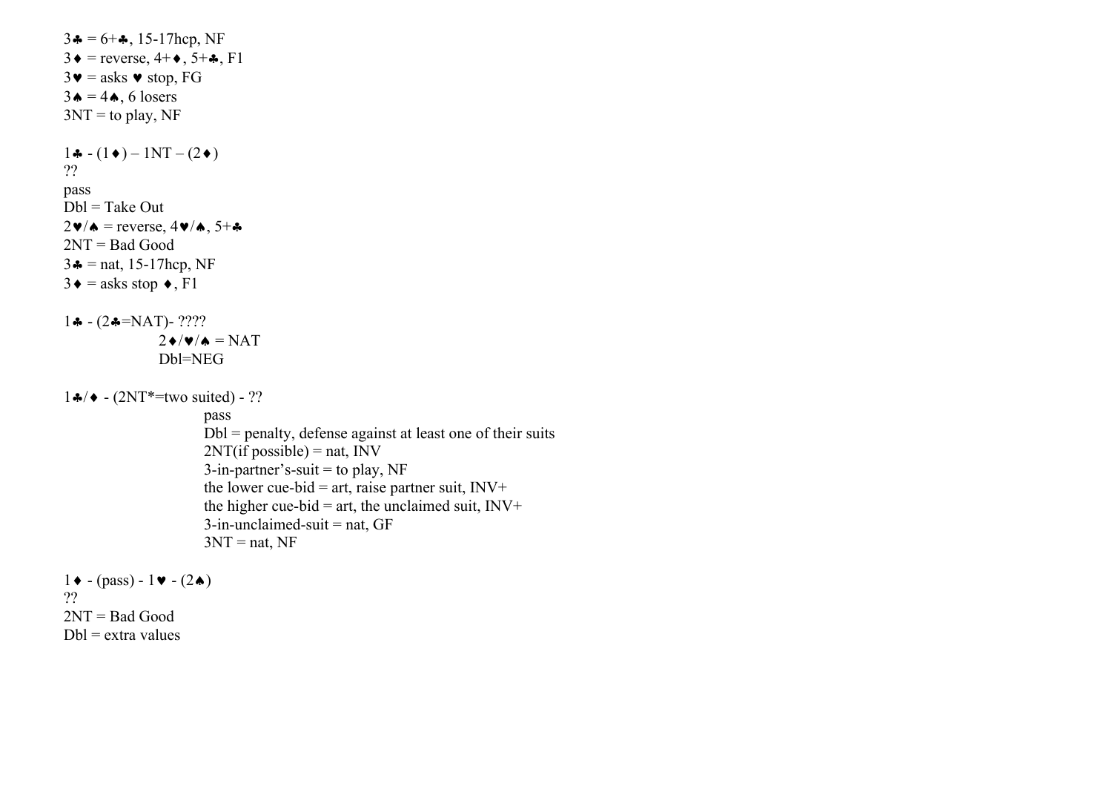```
3\clubsuit = 6 + \clubsuit, 15-17hcp, NF
3\bullet = reverse, 4+\bullet, 5+\bullet, F1
3\mathbf{v} = asks \mathbf{v} stop, FG
3\spadesuit = 4\spadesuit, 6 losers
3NT = to play, NF
1 \cdot (-1) \cdot (-1) N T - (2 \cdot )?? pass 
Dbl = Take Out 
2\blacktriangledown/\blacktriangle = reverse, 4\blacktriangledown/\blacktriangle, 5+\clubsuit2NT = Bad Good 
3 - \text{nat}, 15 - 17hcp, NF
3\bullet = asks stop \bullet, F1
1 \cdot (-2 \cdot = NAT) - ????
                     2\blacklozenge/\blacktriangledown/\blacktriangle=\text{NAT} .
                     Dbl=NEG 
1 \cdot 4 + (2NT^* = two \, suited) - ?? pass 
                               Dbl = penalty, defense against at least one of their suits 
                              2NT(i f possible) = nat, INV
                              3-in-partner's-suit = to play, NF
                              the lower cue-bid = art, raise partner suit, INV+the higher cue-bid = art, the unclaimed suit, INV+3-in-unclaimed-suit = nat, GF
                              3NT = nat, NF
1 \cdot (- (pass) - 1 \cdot (-2 \cdot )??
```
2NT = Bad Good  $Dbl =$ extra values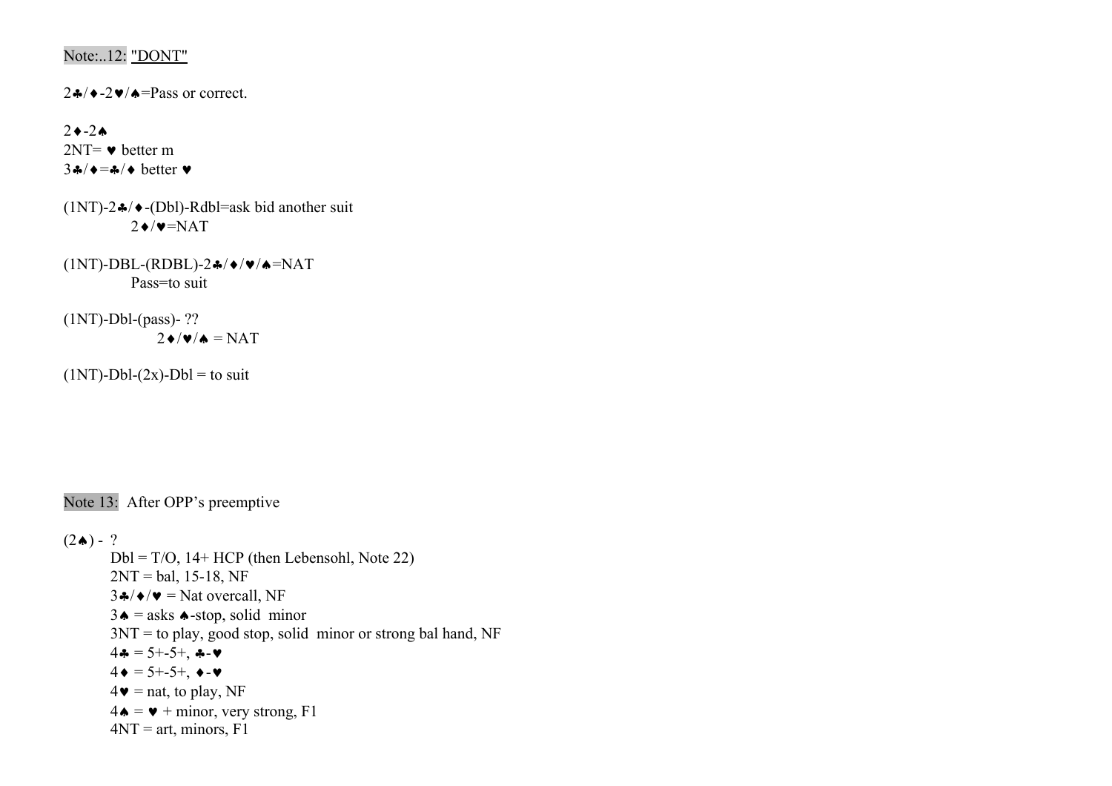# Note:..12: "DONT"

 $2\clubsuit/\blacklozenge-2\blacktriangledown/\blacklozenge=$ Pass or correct.

# 2♦-2♠

 $2NT = \bullet$  better m  $3\clubsuit/\bullet=\clubsuit/\bullet$  better  $\blacktriangledown$ 

- (1NT)-2♣/♦-(Dbl)-Rdbl=ask bid another suit  $2 \div \sqrt{\mathbf{v}} = NAT$
- (1NT)-DBL-(RDBL)-2♣/♦/♥/♠=NAT Pass=to suit

 $(1NT)$ -Dbl- $(pass)$ - ??  $2\bullet/\bullet/\bullet = \text{NAT}$ 

 $(1NT)$ -Dbl- $(2x)$ -Dbl = to suit

Note 13: After OPP's preemptive

 $(2\spadesuit) - ?$ 

 $Dbl = T/O$ , 14+ HCP (then Lebensohl, Note 22)  $2NT = bal, 15-18, NF$  $3\cdot\sqrt{4}$   $\sqrt{v}$  = Nat overcall, NF  $3\spadesuit$  = asks  $\spadesuit$ -stop, solid minor  $3NT =$  to play, good stop, solid minor or strong bal hand, NF  $4\clubsuit = 5 + -5 +$ ,  $\clubsuit - \blacktriangledown$  $4 \bullet = 5 + -5 + 6 \bullet - \bullet$  $4\bullet$  = nat, to play, NF  $4\bullet = \bullet + \text{minor}, \text{very strong}, \text{F1}$  $4NT = art$ , minors,  $F1$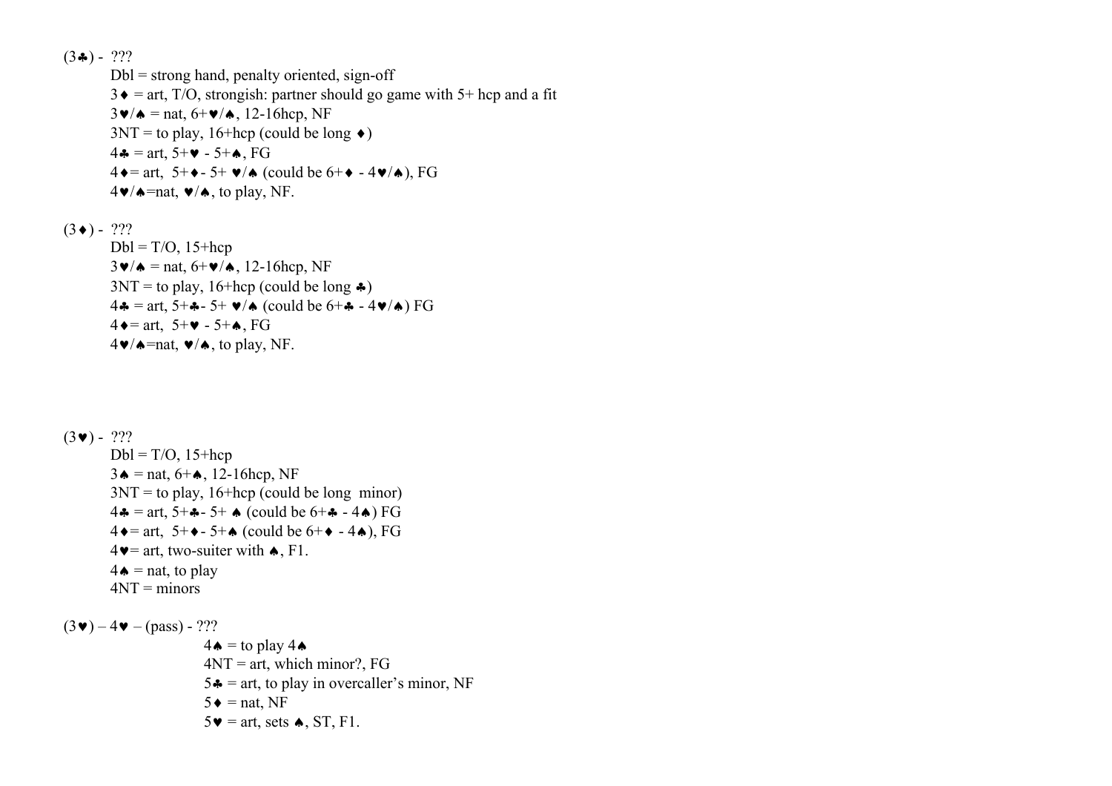$(3\clubsuit)$  - ???  $Dbl =$  strong hand, penalty oriented, sign-off  $3 \cdot \text{F} = \text{art}$ , T/O, strongish: partner should go game with 5+ hcp and a fit  $3\blacktriangledown/\blacktriangle =$  nat,  $6+\blacktriangledown/\blacktriangle$ , 12-16hcp, NF  $3NT =$  to play, 16+hcp (could be long  $\triangleleft$ ) 4 $\clubsuit$  = art, 5+ $\blacktriangleright$  - 5+ $\spadesuit$ , FG  $4\bullet$  = art, 5+ $\bullet$  - 5+  $\bullet$ / $\bullet$  (could be 6+ $\bullet$  - 4 $\bullet$ / $\bullet$ ), FG  $4\blacktriangleright\blacktriangle$  =nat,  $\blacktriangleright\blacktriangle$  / $\blacktriangle$ , to play, NF.  $(3 \bullet) - ?$ ??

 $Dbl = T/O$ , 15+hcp  $3\blacktriangledown/\blacktriangle = \text{nat}, 6+\blacktriangledown/\blacktriangle, 12-16$ hcp, NF  $3NT =$  to play, 16+hcp (could be long  $\clubsuit$ ) 4 $\hat{A}$  = art, 5+ $\hat{A}$ - 5+  $\hat{V}$  (could be 6+ $\hat{A}$  - 4 $\hat{V}$ ) FG  $4 \rightarrow$  = art,  $5+\rightarrow$  -  $5+\rightarrow$ , FG  $4\blacktriangleright/\blacktriangle$ =nat,  $\blacktriangleright/\blacktriangle$ , to play, NF.

```
(3 \vee) - ???
          Dbl = T/O, 15+hcp
          3\spadesuit = nat, 6+\spadesuit, 12-16hcp, NF
          3NT = to play, 16+hcp (could be long minor)
          4\clubsuit = art, 5+\clubsuit- 5+\spadesuit (could be 6+\clubsuit - 4\spadesuit) FG
          4 \cdot = art, 5+\cdot = 5+\cdot (could be 6+\cdot = 4\cdot), FG
          4\blacktriangleright = art, two-suiter with \blacktriangle, F1.
          4\spadesuit = nat, to play
4NT = minors
```
 $(3\vee) - 4\vee - (pass) - ?$ ??  $4\spadesuit$  = to play 4 $\spadesuit$  $4NT = art$ , which minor?, FG  $5 \div =$  art, to play in overcaller's minor, NF  $5 \triangleleft = \text{nat}$ , NF  $5\blacktriangleright$  = art, sets  $\blacktriangle$ , ST, F1.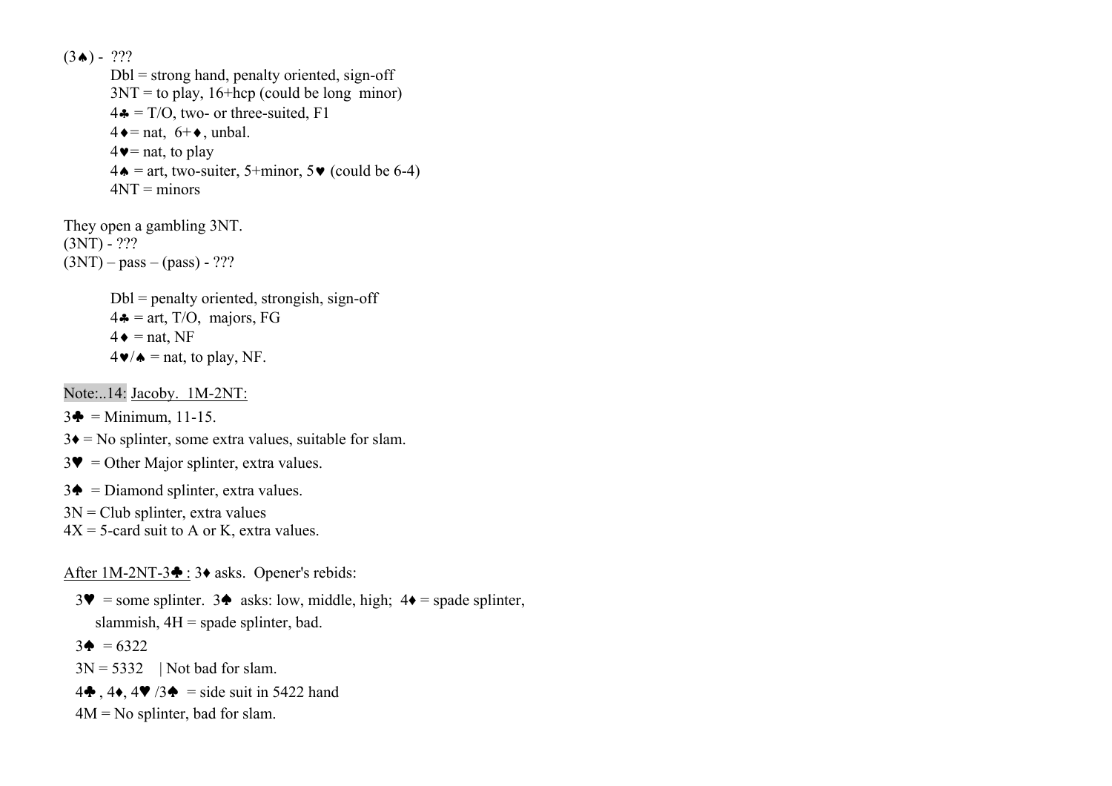$(3 \spadesuit) - ?$ ??

 $Dbl =$  strong hand, penalty oriented, sign-off  $3NT =$  to play, 16+hcp (could be long minor)  $4\clubsuit = T/O$ , two- or three-suited, F1  $4 \triangleleft =$  nat,  $6+\triangleleft$ , unbal.  $4\blacktriangleright$  = nat, to play  $4\bullet$  = art, two-suiter, 5+minor, 5 $\bullet$  (could be 6-4)  $4NT =$  minors

They open a gambling 3NT.  $(3NT) - ?$ ??  $(3NT) - pass - (pass) - ?$ ??

> $Dbl = penalty$  oriented, strongish, sign-off  $4\clubsuit$  = art, T/O, majors, FG  $4\bullet$  = nat, NF  $4\blacktriangleright/\blacktriangle$  = nat, to play, NF.

Note:..14: Jacoby. 1M-2NT:

 $3\clubsuit$  = Minimum, 11-15.

 $3\blacklozenge =$  No splinter, some extra values, suitable for slam.

- $3\Psi$  = Other Major splinter, extra values.
- $3\spadesuit$  = Diamond splinter, extra values.
- $3N = Club$  splinter, extra values
- $4X = 5$ -card suit to A or K, extra values.

After 1M-2NT-3♣ : 3♦ asks. Opener's rebids:

 $3\blacktriangledown$  = some splinter.  $3\blacklozenge$  asks: low, middle, high;  $4\blacklozenge$  = spade splinter, slammish,  $4H =$  spade splinter, bad.

 $3\spadesuit = 6322$ 

 $3N = 5332$  | Not bad for slam.

4 $\clubsuit$ , 4 $\spadesuit$ , 4 $\blacktriangledown$  /3 $\spadesuit$  = side suit in 5422 hand

 $4M = No$  splinter, bad for slam.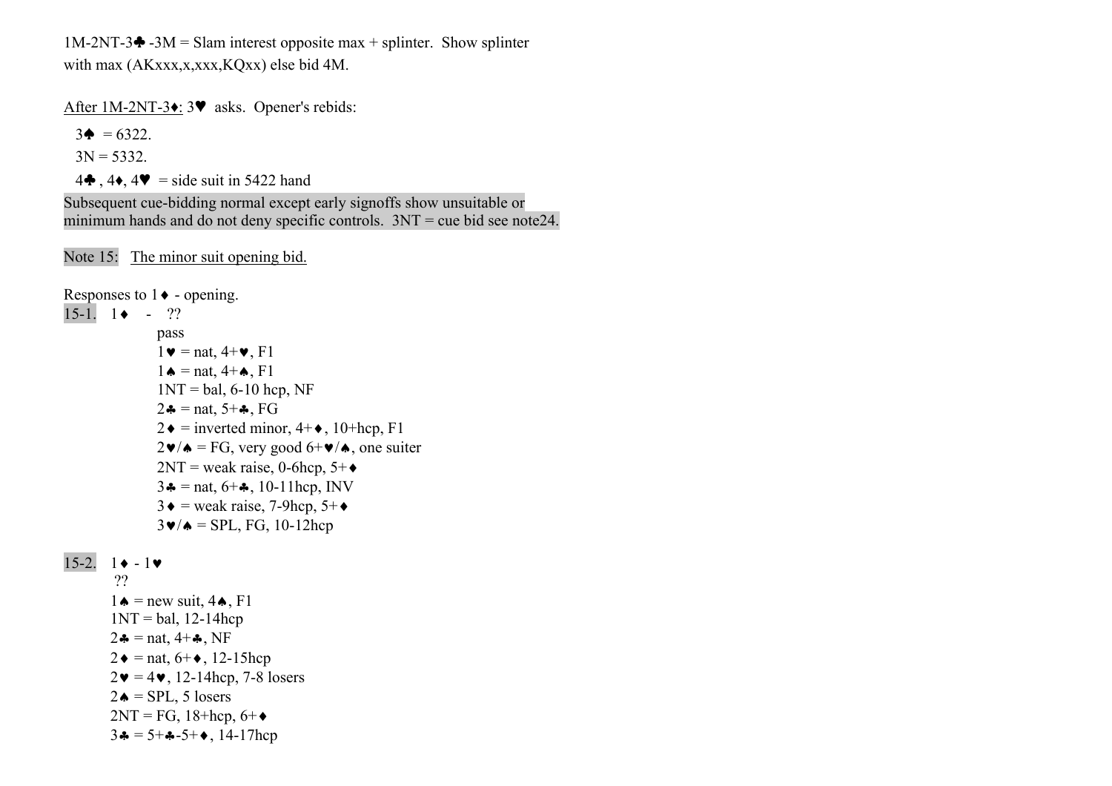1M-2NT-3 $\triangleq$  -3M = Slam interest opposite max + splinter. Show splinter with max (AKxxx,x,xxx,KOxx) else bid 4M.

After 1M-2NT-3♦: 3♥ asks. Opener's rebids:

 $3\spadesuit = 6322$ .

 $3N = 5332$ .

4 $\clubsuit$ , 4 $\clubsuit$ , 4 $\blacktriangleright$  = side suit in 5422 hand

Subsequent cue-bidding normal except early signoffs show unsuitable or minimum hands and do not deny specific controls.  $3NT =$  cue bid see note24.

Note 15: The minor suit opening bid.

```
Responses to 1 \blacklozenge - opening.
 15-1. 1♦ - ?? 
                        pass 
                       1\blacktriangleright = nat, 4+\blacktriangleright, F1
                       1 \triangle = \text{nat}, 4+\triangle, \text{F1}1NT = bal, 6-10 hcp, NF
                       2\clubsuit = nat, 5+\clubsuit, FG
                       2\bullet = inverted minor, 4+\bullet, 10+hcp, F1
                       2\mathbf{v}/\mathbf{A} = FG, very good 6+\mathbf{v}/\mathbf{A}, one suiter
                       2NT = weak raise, 0-6hcp, 5+\bullet3\clubsuit = \text{nat}, 6+\clubsuit, 10-11hcp, INV
                       3\bullet = weak raise, 7-9hcp, 5+\bullet3\blacktriangledown/\blacktriangle = SPL, FG, 10-12hcp
15-2. 1 \cdot -1 \cdot ?? 1 \triangle = new suit, 4 \triangle, F1
           1NT = bal, 12-14hcp
           2 \cdot \bullet = \text{nat}, 4 + \bullet, \text{NF}2 \bullet = \text{nat}, 6 + \bullet, 12 - 15 \text{hcp}
```

```
2\mathbf{v} = 4\mathbf{v}, 12-14hcp, 7-8 losers
```

```
2\bullet = SPL, 5 losers
```

```
2NT = FG, 18 + hcp, 6 + \diamond
```

```
3\clubsuit = 5 + \clubsuit - 5 + \spadesuit, 14-17hcp
```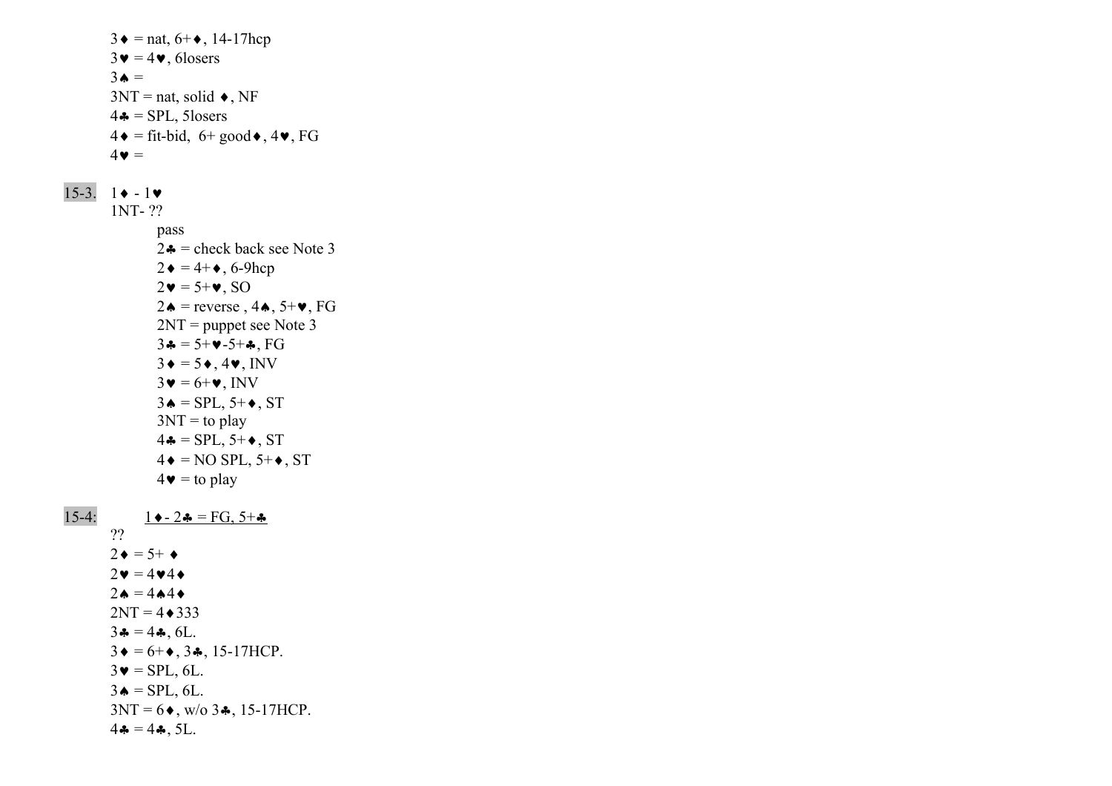$3 \bullet = \text{nat}, 6 + \bullet, 14 - 17 \text{hcp}$  $3\blacktriangledown = 4\blacktriangledown$ , 6losers  $3 \triangle$  =  $3NT = nat$ , solid  $\bullet$ , NF  $4\bullet$  = SPL, 5losers  $4\bullet$  = fit-bid, 6+ good  $\bullet$ , 4 $\bullet$ , FG  $4\bullet =$ 15-3. 1♦ - 1♥ 1NT- ?? pass  $2 \cdot \bullet$  = check back see Note 3  $2\bullet = 4 + \bullet$ , 6-9hcp  $2\mathbf{v} = 5\mathbf{+v}$ , SO 2♦ = reverse,  $4\spadesuit$ ,  $5+\blacktriangledown$ , FG 2NT = puppet see Note 3  $3\clubsuit = 5+\vee -5+\clubsuit$ , FG  $3\bullet = 5\bullet$ , 4 $\bullet$ , INV  $3\mathbf{v} = 6+\mathbf{v}$ , INV  $3\spadesuit$  = SPL, 5+ $\spadesuit$ , ST  $3NT =$  to play  $4\clubsuit =$  SPL, 5+ $\blacklozenge$ , ST  $4\bullet = NO$  SPL,  $5+\bullet$ , ST  $4\bullet$  = to play 15-4:  $1 \bullet - 2 \bullet = FG, 5 + \bullet$  ??  $2 \bullet = 5^+ \bullet$  $2\mathbf{v} = 4\mathbf{v}4\mathbf{\Leftrightarrow}$  $2 \bullet = 4 \bullet 4 \bullet$  $2NT = 4 \cdot 333$  $3\clubsuit = 4\clubsuit$ , 6L.  $3 \bullet = 6 + \bullet$ ,  $3 \clubsuit$ , 15-17HCP.  $3\blacktriangledown =$  SPL, 6L.  $3\spadesuit$  = SPL, 6L.  $3NT = 6$ , w/o  $3$ , 15-17HCP.  $4\clubsuit = 4\clubsuit$ , 5L.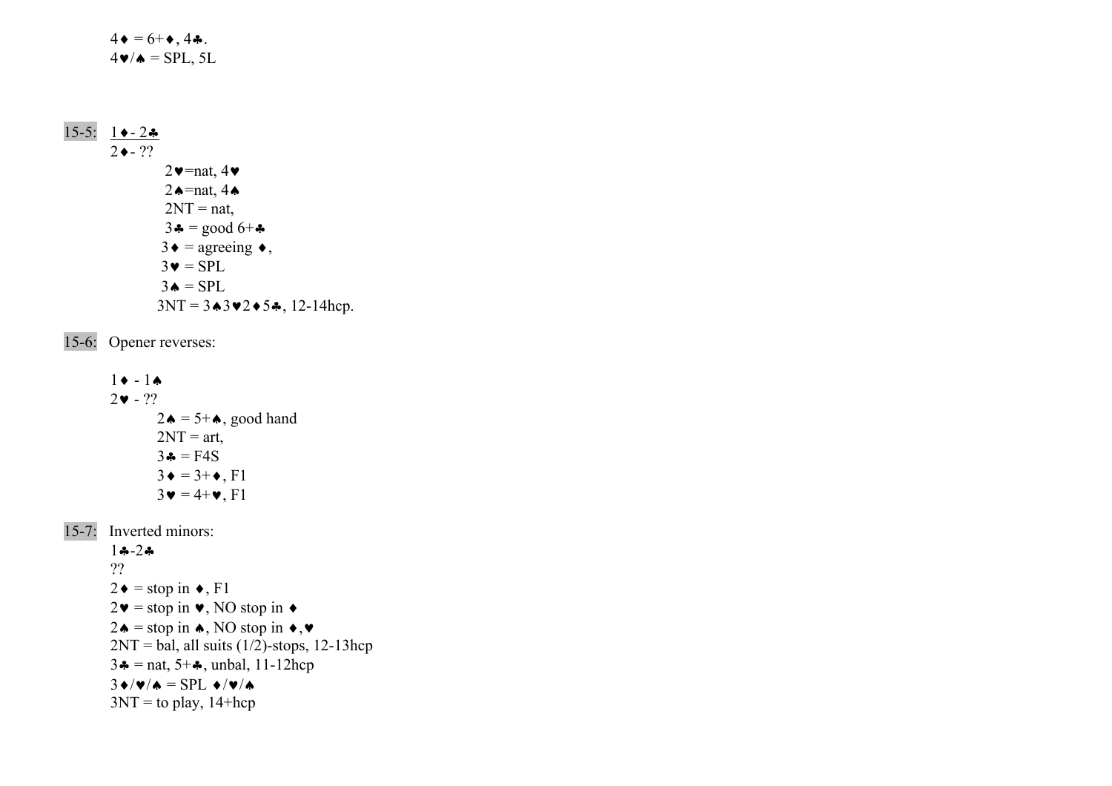$4 \bullet = 6 + \bullet$ , 4÷.  $4\blacktriangledown/\blacktriangle =$  SPL, 5L

# 15-5: 1♦-2♣  $2 \leftarrow 2$ ?  $2\blacktriangledown$ =nat,  $4\blacktriangledown$ 2  $\triangle$ =nat, 4  $\triangle$  $2NT = nat$ ,  $3\clubsuit = \text{good } 6 + \clubsuit$  $3 \bullet = \text{agreeing} \bullet$ ,  $3\bullet = \text{SPL}$  $3\bullet = \text{SPL}$  $3NT = 3 \cdot 3 \cdot 2 \cdot 5 \cdot 5 \cdot 12 - 14$ hcp.

15-6: Opener reverses:

 $1 \cdot -1 \cdot$  $2 \cdot \cdot ??$  $2\spadesuit$  = 5+ $\spadesuit$ , good hand  $2NT = art$ ,  $3\clubsuit = F4S$  $3 \bullet = 3 + \bullet$ , F1  $3\mathbf{v} = 4 + \mathbf{v}$ , F1

15-7: Inverted minors:

1♣-2♣

 ??  $2 \bullet = \text{stop in} \bullet, F1$  $2\mathbf{v}$  = stop in  $\mathbf{v}$ , NO stop in  $\mathbf{\triangleleft}$  $2\spadesuit$  = stop in  $\spadesuit$ , NO stop in  $\spadesuit$ ,  $\blacktriangledown$  $2NT = bal$ , all suits (1/2)-stops, 12-13hcp 3 $\triangleq$  = nat, 5+ $\triangleq$ , unbal, 11-12hcp  $3\blacklozenge/\blacktriangledown/\blacktriangle=\mathrm{SPL}\blacktriangleright/\blacktriangledown/\blacktriangle$  $3NT =$  to play, 14+hcp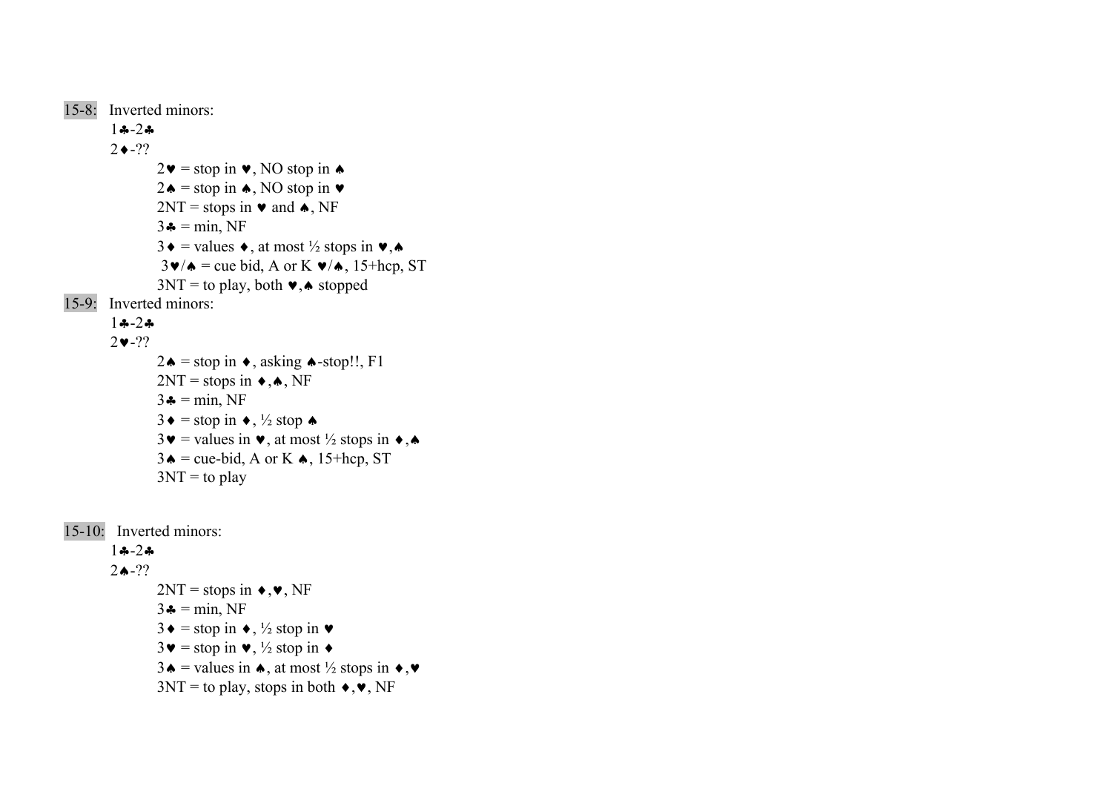```
15-8: Inverted minors: 
            1♣-2♣2 \cdot -??2\mathbf{v} = stop in \mathbf{v}, NO stop in \mathbf{\triangle}2♦ = stop in ♦, NO stop in \blacktriangleright2NT = stops in \cdot and \cdot, NF
                       3\clubsuit = \min, NF
                       3\bullet = values \bullet, at most \frac{1}{2} stops in \bullet, \bullet3\mathbf{v}/\mathbf{A} = cue bid, A or K \mathbf{v}/\mathbf{A}, 15+hcp, ST
                       3NT = to play, both \blacktriangleright, \blacktriangle stopped
15-9: Inverted minors:  1♣-2♣2\blacktriangledown-??
                       2\spadesuit = stop in \bullet, asking \spadesuit-stop!!, F1
                       2NT = stops in \triangle A, NF
                       3\clubsuit = \min, NF
                       3 \bullet = \text{stop in} \bullet, \frac{1}{2} \text{stop} \bullet3\mathbf{v} = values in \mathbf{v}, at most \frac{1}{2} stops in \mathbf{\bullet}, \mathbf{\bullet}3\spadesuit = cue-bid, A or K \spadesuit, 15+hcp, ST
                       3NT = to play
```

```
15-10: Inverted minors: 
             1♣-2♣ 2♠-?? 2NT = stops in \rightarrow, \rightarrow, NF3\clubsuit = \min, NF
                          3\bullet = stop in \bullet, \frac{1}{2} stop in \bullet3\blacktriangledown = \text{stop in } \blacktriangledown, \frac{1}{2} \text{stop in } \blacktriangleright3\spadesuit = values in \spadesuit, at most ½ stops in \blacklozenge, \blacktriangledown3NT = to play, stops in both \blacklozenge, \blacktriangledown, NF
```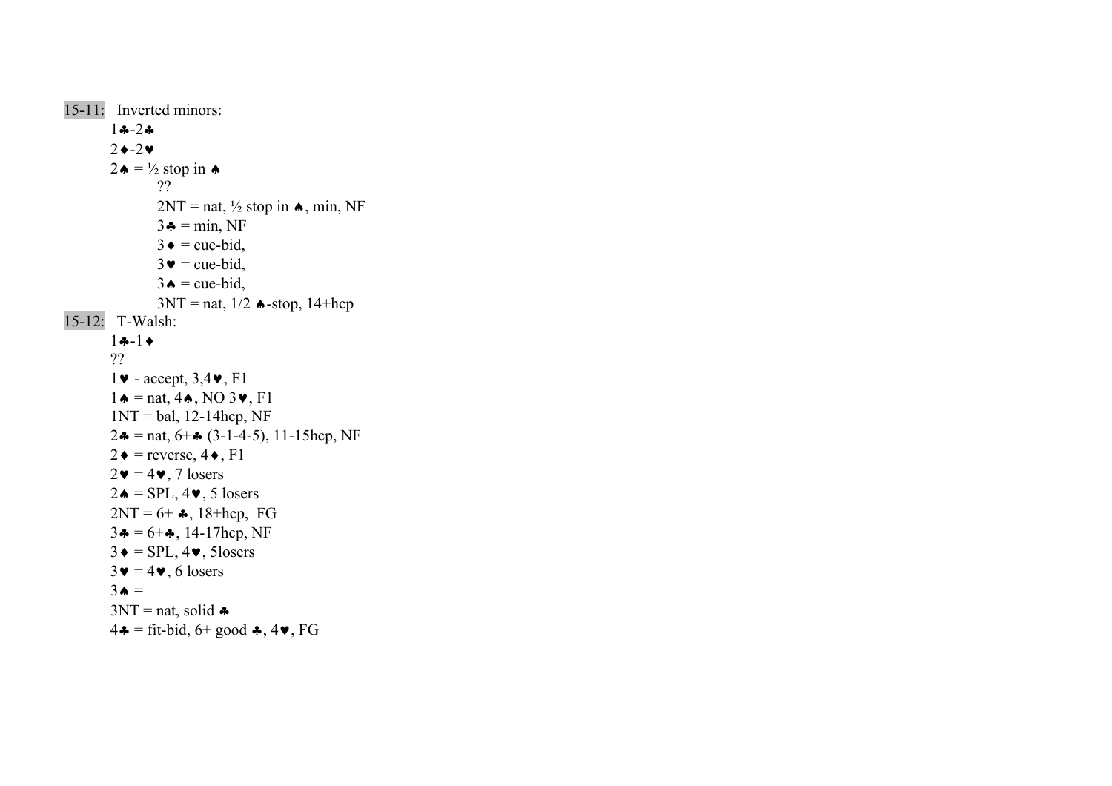```
15-11: Inverted minors: 
 1♣-2♣2 \rightarrow -2 \blacktriangledown2 \cdot \bullet = \frac{1}{2} stop in \bullet ?? 2NT = nat, \frac{1}{2} stop in \triangle, min, NF
3 \triangleq \text{ = min, NF}3 \bullet = \text{cue-bid},3 \bullet = \text{cue-bid},3 \triangle = \text{cue-bid},3NT = nat, 1/2 \triangleleft-stop, 14 + hcp15-12: T-Walsh: 
1 - 1 ?? 
1\blacktriangleright - accept, 3,4\blacktriangleright, F1
1 \triangleq \text{mat}, 4 \triangle, \text{NO } 3 \blacktriangleright, \text{F1}1NT = bal, 12-14hcp, NF
2 \cdot \bullet = \text{nat}, 6 + \bullet (3 - 1 - 4 - 5), 11 - 15 \text{hcp}, NF2 \bullet = reverse, 4 \bullet, F1
2\mathbf{v} = 4\mathbf{v}, 7 losers
2 \triangleleft = SPL, 4 \blacktriangleright, 5 losers
2NT = 6 + 4, 18+hcp, FG
3 \clubsuit = 6 + \clubsuit, 14-17hcp, NF
3 \bullet = \text{SPL}, 4 \bullet, 5 \text{losers}3\blacktriangledown = 4\blacktriangledown, 6 losers
3 \bullet =3NT = nat, solid \clubsuit4\clubsuit = fit-bid, 6+ good \clubsuit, 4\blacktriangledown, FG
```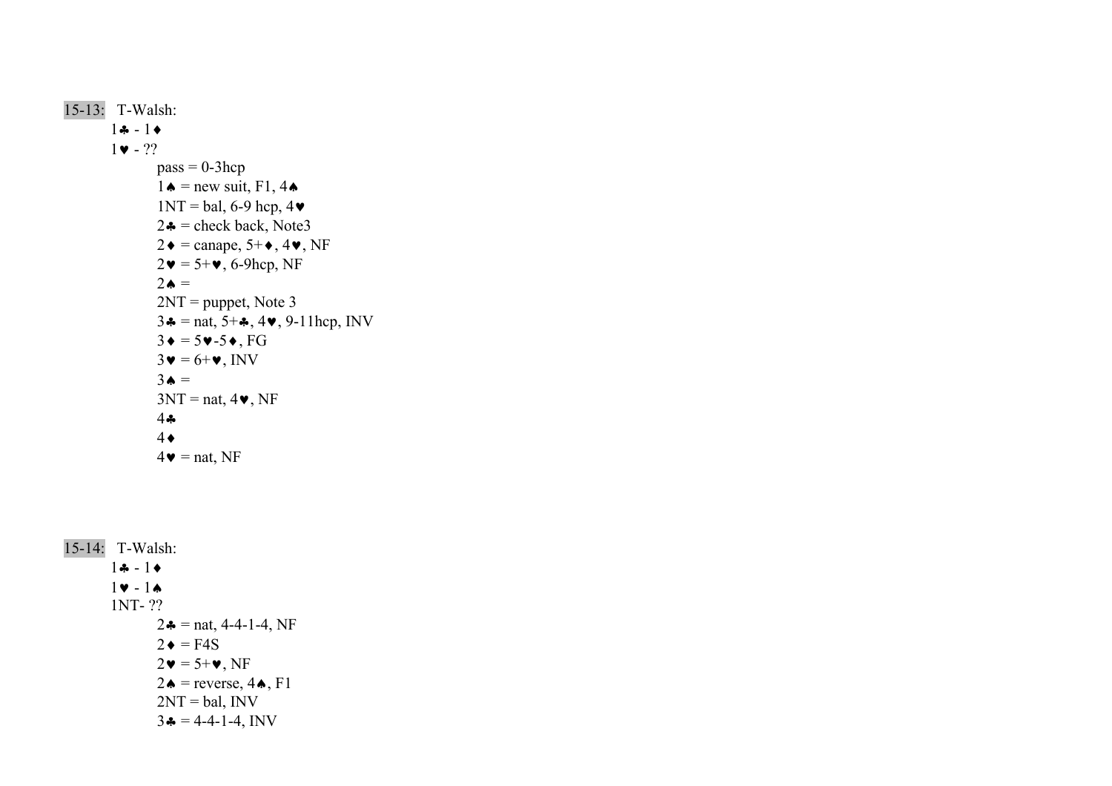```
15-13: T-Walsh: 
        1♣ - 1♦1 \bullet - ??pass = 0-3hcp
                1\spadesuit = new suit, F1, 4\spadesuit1NT = bal, 6-9 hep, 42\clubsuit = check back, Note3
                2\bullet = \text{canape}, 5+\bullet, 4\bullet, \text{NF}2\mathbf{v} = 5 + \mathbf{v}, 6-9hcp, NF
2\bullet =2NT = puppet, Note 3
                3\triangle = nat, 5+\triangle, 4\triangledown, 9-11hcp, INV
                3\bullet = 5\bullet - 5\bullet, FG
                3\mathbf{v} = 6\mathbf{+v}, INV
3\bullet =3NT = nat, 4, NF
 4♣
 4♦
                4\bullet = nat, NF
```

```
15-14: T-Walsh: 
        1♣ - 1♦1 \vee - 1 \wedge 1NT- ?? 
                2\clubsuit = nat, 4-4-1-4, NF
2\bullet = \text{F4S}2\mathbf{v} = 5\mathbf{+v}, NF
                2 \triangle = reverse, 4 \triangle, F1
                2NT = bal, INV
                3\clubsuit = 4-4-1-4, INV
```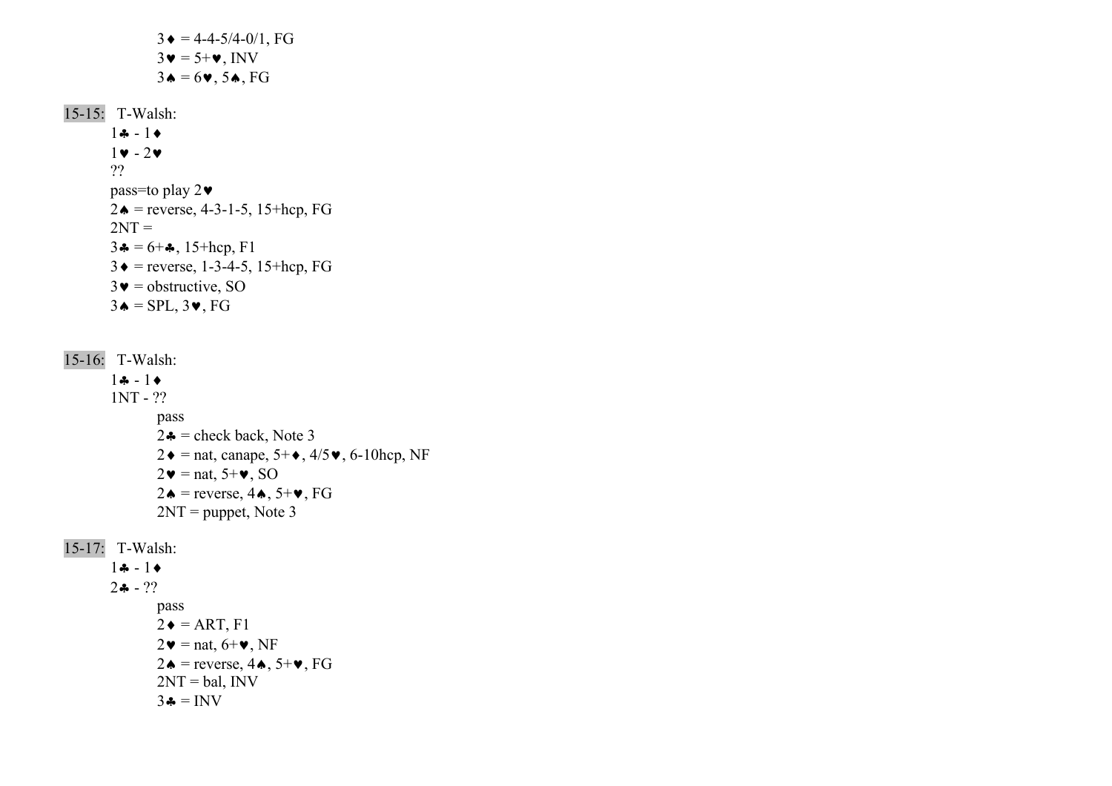```
3 \triangleleft = 4 - 4 - 5/4 - 0/1, FG
                 3\mathbf{v} = 5\mathbf{+v}, INV
                  3\spadesuit = 6\spadesuit, 5\spadesuit, FG15-15: T-Walsh: 
        1 - 11 \vee -2 \vee ??  pass=to play 2♥
        2\bullet = reverse, 4-3-1-5, 15+hcp, FG
2NT =3\clubsuit = 6 + \clubsuit, 15+hcp, F1
        3 \bullet = reverse, 1-3-4-5, 15+hcp, FG
        3\blacktriangledown = obstructive, SO
        3\spadesuit = SPL, 3\spadesuit, FG
15-16: T-Walsh: 
         1♣ - 1♦ 1NT - ?? 
                   pass 
                 2\clubsuit = check back, Note 3
                  2\bullet = nat, canape, 5+\bullet, 4/5\bullet, 6-10hcp, NF
                 2\mathbf{v} = \text{nat}, 5\mathbf{+v}, SO2♦ = reverse, 4\spadesuit, 5+\blacktriangleright, FG
                  2NT = puppet, Note 3
15-17: T-Walsh: 
         1♣ - 1♦2 - 2.
                  pass
```

```
2 \triangleleft = ART, F12\mathbf{v} = nat, 6+\mathbf{v}, NF
2♦ = reverse, 4\spadesuit, 5+\blacktriangleright, FG
2NT = bal, INV
3\clubsuit = INV
```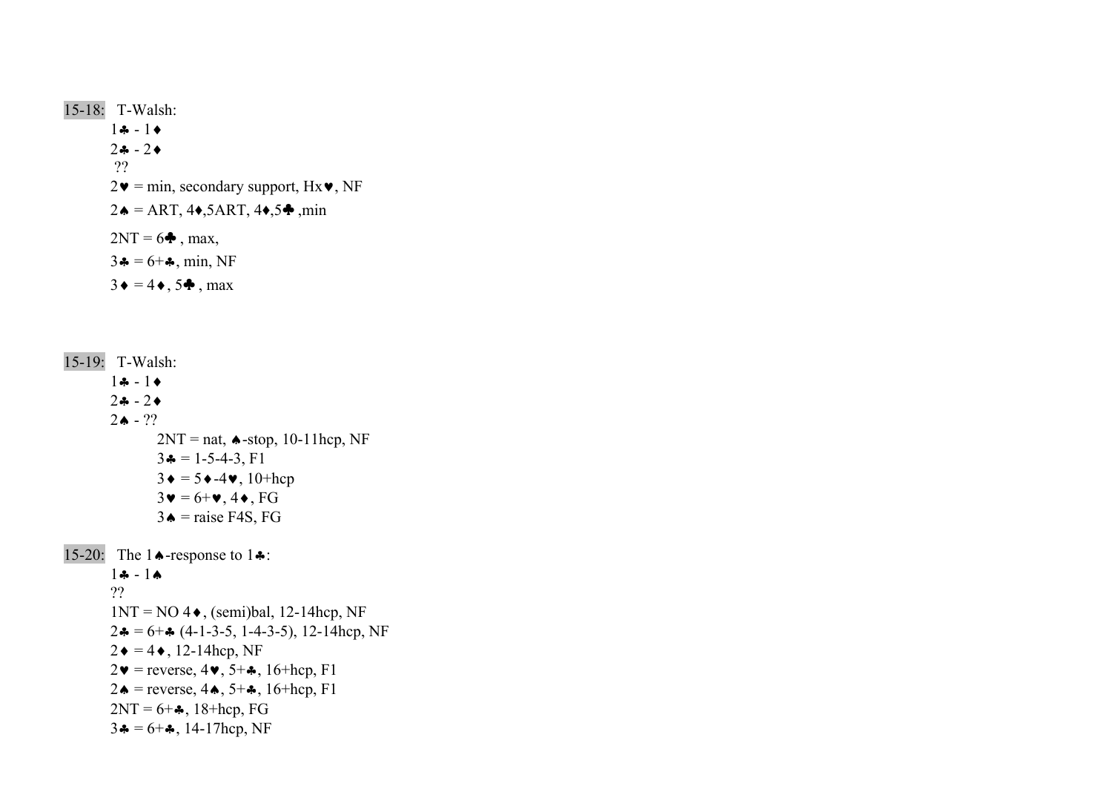15-18: T-Walsh: 1♣ - 1♦ 2♣ - 2♦ ??  $2\blacktriangledown = \min$ , secondary support, Hx $\blacktriangledown$ , NF  $2 \triangle = \text{ART}, 4 \triangle, 5 \text{ART}, 4 \triangle, 5 \clubsuit, \text{min}$  $2NT = 6$ <sup>o</sup>, max,  $3\clubsuit = 6 + \clubsuit$ , min, NF  $3 \bullet = 4 \bullet$ ,  $5 \bullet$ , max

15-19: T-Walsh: 1♣ - 1♦ 2♣ - 2♦ $2\spadesuit$  - ??  $2NT = nat$ ,  $\triangle$ -stop, 10-11hcp, NF  $3\clubsuit = 1-5-4-3, F1$  $3\bullet = 5\bullet - 4\bullet$ , 10+hcp  $3\mathbf{v} = 6\mathbf{+v}$ ,  $4\mathbf{+}$ , FG 3  $\triangle$  = raise F4S, FG 15-20: The 1♠-response to 1♣:  $1 - 1$  ??  $1NT = NO 4 \bullet$ , (semi)bal, 12-14hcp, NF  $2\clubsuit = 6 + \clubsuit (4-1-3-5, 1-4-3-5), 12-14$ hcp, NF  $2\bullet = 4\bullet$ , 12-14hcp, NF  $2\mathbf{v}$  = reverse,  $4\mathbf{v}$ ,  $5+\mathbf{A}$ ,  $16+\text{hcp}$ , F1 2♦ = reverse,  $4\spadesuit$ ,  $5+\clubsuit$ ,  $16+\text{hcp}$ ,  $F1$  $2NT = 6 + 4$ , 18+hcp, FG  $3\clubsuit = 6 + \clubsuit$ , 14-17hcp, NF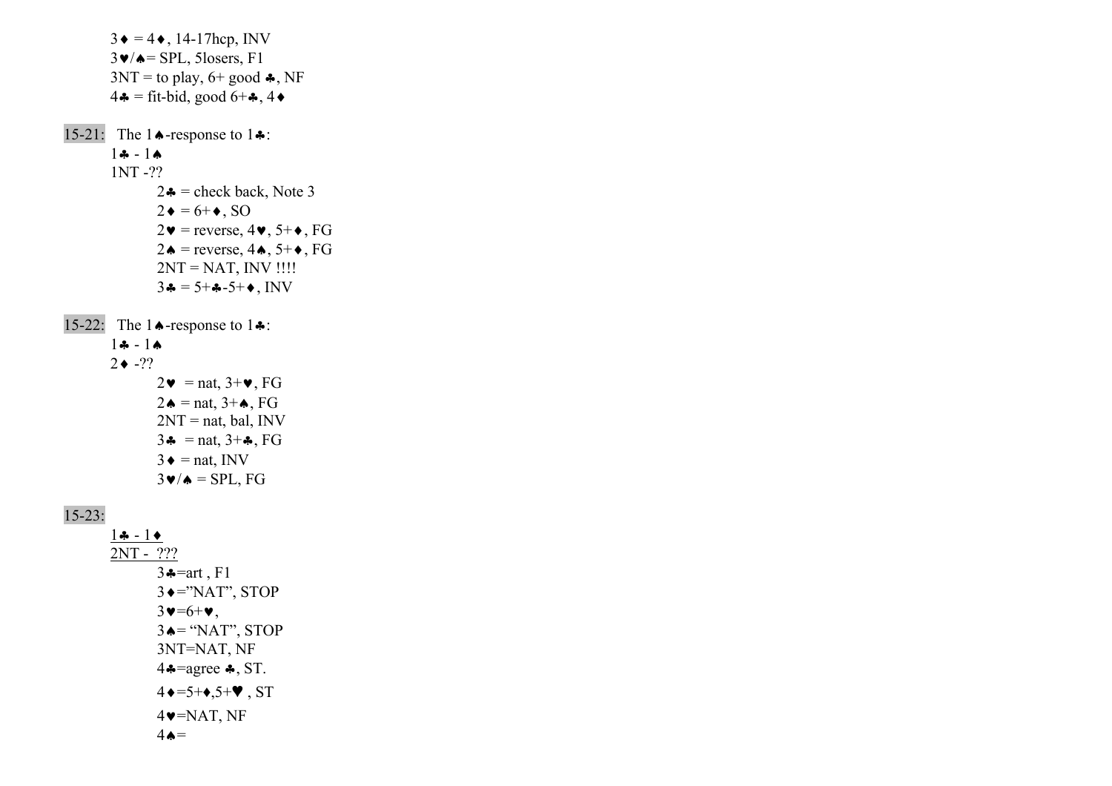$3\bullet = 4\bullet$ , 14-17hcp, INV  $3\blacktriangledown/\blacktriangle =$  SPL, 5losers, F1  $3NT =$  to play, 6+ good  $\clubsuit$ , NF  $4\bullet$  = fit-bid, good  $6+\bullet$ ,  $4\bullet$ 15-21: The 1♠-response to 1♣:  $1\clubsuit - 1\spadesuit$  1NT -??  $2\clubsuit$  = check back, Note 3  $2\bullet = 6 + \bullet$ , SO  $2\mathbf{v}$  = reverse,  $4\mathbf{v}$ ,  $5+\mathbf{e}$ , FG 2♦ = reverse,  $4\spadesuit$ ,  $5+\spadesuit$ , FG  $2NT = NAT$ ,  $INV$  !!!!  $3\clubsuit = 5 + 1.5 + 1.5$ 15-22: The 1♠-response to 1♣: 1♣ - 1♠ $2 \bullet -??$  $2\mathbf{v} = \text{nat}, 3+\mathbf{v}, FG$  $2\spadesuit$  = nat,  $3+\spadesuit$ , FG  $2NT = nat$ , bal, INV 3 $\clubsuit$  = nat, 3+ $\clubsuit$ , FG  $3 \triangleq$  = nat, INV  $3\blacktriangledown/\blacktriangle =$  SPL, FG  $15-23$ :  $1 \bullet - 1 \bullet$  2NT - ??? 3♣=art , F1 3♦="NAT", STOP  $3\blacktriangledown=6+\blacktriangledown,$ 

 $3 \triangle =$  "NAT", STOP 3NT=NAT, NF 4♣=agree ♣, ST.  $4 \rightarrow 5+\rightarrow,5+\rightarrow$ , ST  $4\blacktriangledown$ =NAT, NF

 $4 \triangle =$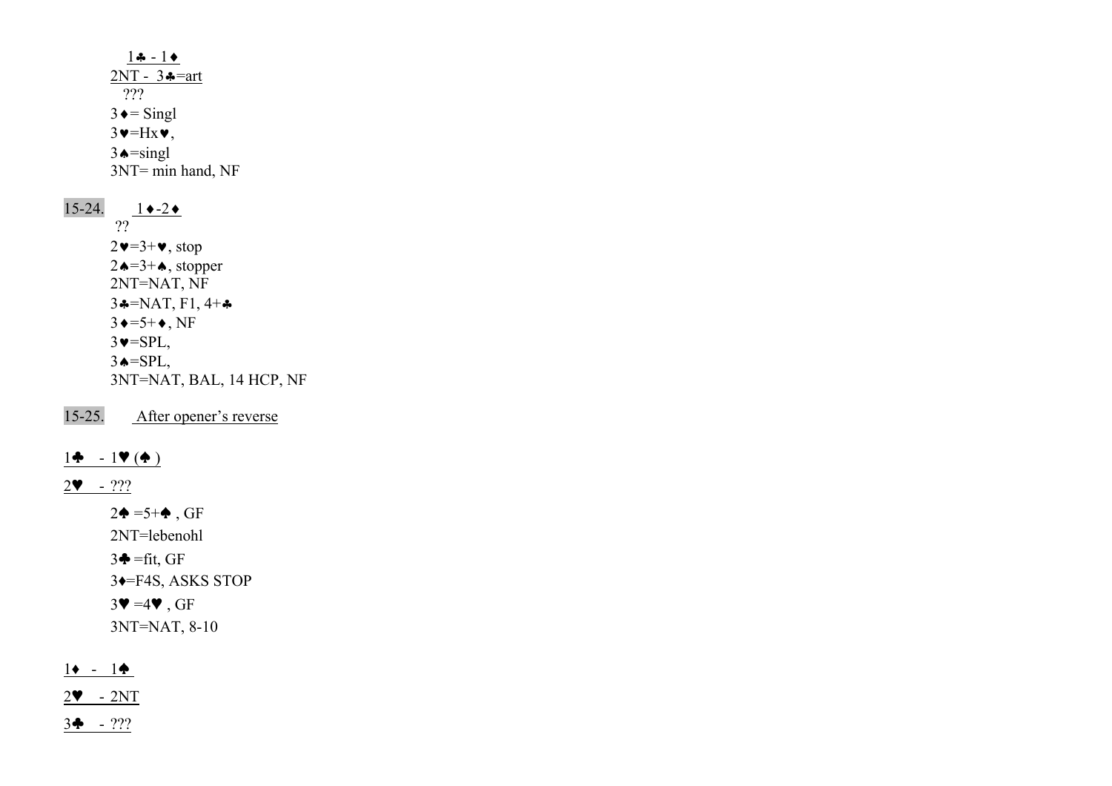$1\clubsuit - 1\spadesuit$ 2NT -  $3 - \pi$  ???  $3 \triangleleft$  = Singl  $3\blacktriangledown$ =Hx $\blacktriangledown$ ,  $3 \triangle =$ singl 3NT= min hand, NF 15-24. 1♦-2♦ ??  $2\blacktriangledown=3+\blacktriangledown$ , stop  $2\spadesuit = 3 + \spadesuit$ , stopper 2NT=NAT, NF  $3 \div NAT$ , F1, 4+ $\div$  $3 \rightarrow 5+ \rightarrow$ , NF  $3\blacktriangledown =$ SPL,  $3 \triangle = SPL$ , 3NT=NAT, BAL, 14 HCP, NF

15-25. After opener's reverse

# 1♣ - 1♥ (♠ )

2♥ - ???

 $2\spadesuit = 5 + \spadesuit$ , GF 2NT=lebenohl  $3\clubsuit = \text{fit}$ , GF 3♦=F4S, ASKS STOP  $3\Psi = 4\Psi$ , GF 3NT=NAT, 8-10

# 1♦ - 1♠

2♥ - 2NT

3♣ - ???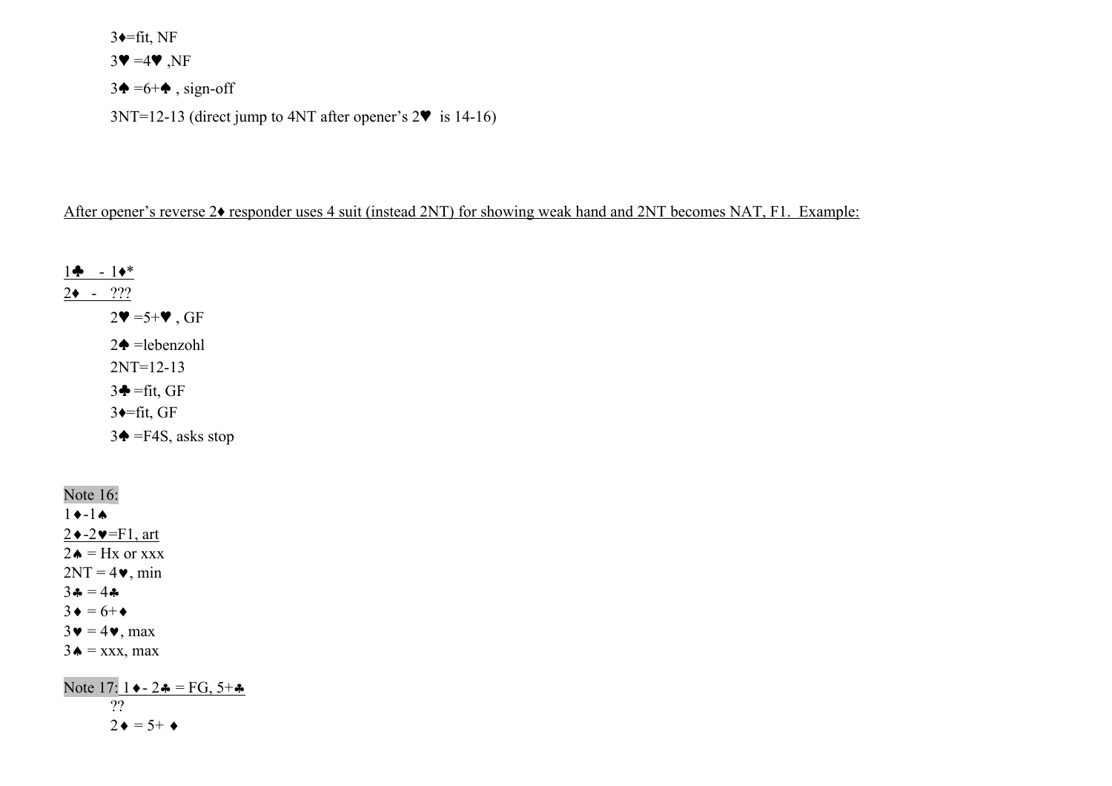$3 \leftarrow$ =fit, NF

 $3\Psi = 4\Psi$ , NF

 $3\spadesuit = 6 + \spadesuit$ , sign-off

 $3NT=12-13$  (direct jump to  $4NT$  after opener's  $2\Psi$  is 14-16)

# After opener's reverse 2 $\bullet$  responder uses 4 suit (instead 2NT) for showing weak hand and 2NT becomes NAT, F1. Example:

1♣ - 1♦\* 2♦ - ???  $2\Psi = 5+\Psi$ , GF  $2\spadesuit$  =lebenzohl 2NT=12-13  $3\clubsuit = \text{fit}$ , GF  $3 \leftarrow$ fit, GF  $3\spadesuit$  =F4S, asks stop

Note 16:  $1 \rightarrow -1 \spadesuit$  $2 \rightarrow -2 \rightarrow$ =F1, art 2 $\triangle$  = Hx or xxx  $2NT = 4$ , min  $3 - 4 - 1$  $3 \bullet = 6 + \bullet$  $3\mathbf{v} = 4\mathbf{v}$ , max  $3 \triangle =$  xxx, max

Note 17:  $1 \cdot 2 = \text{FG}, 5 +$  ??  $2 \bullet = 5 + \bullet$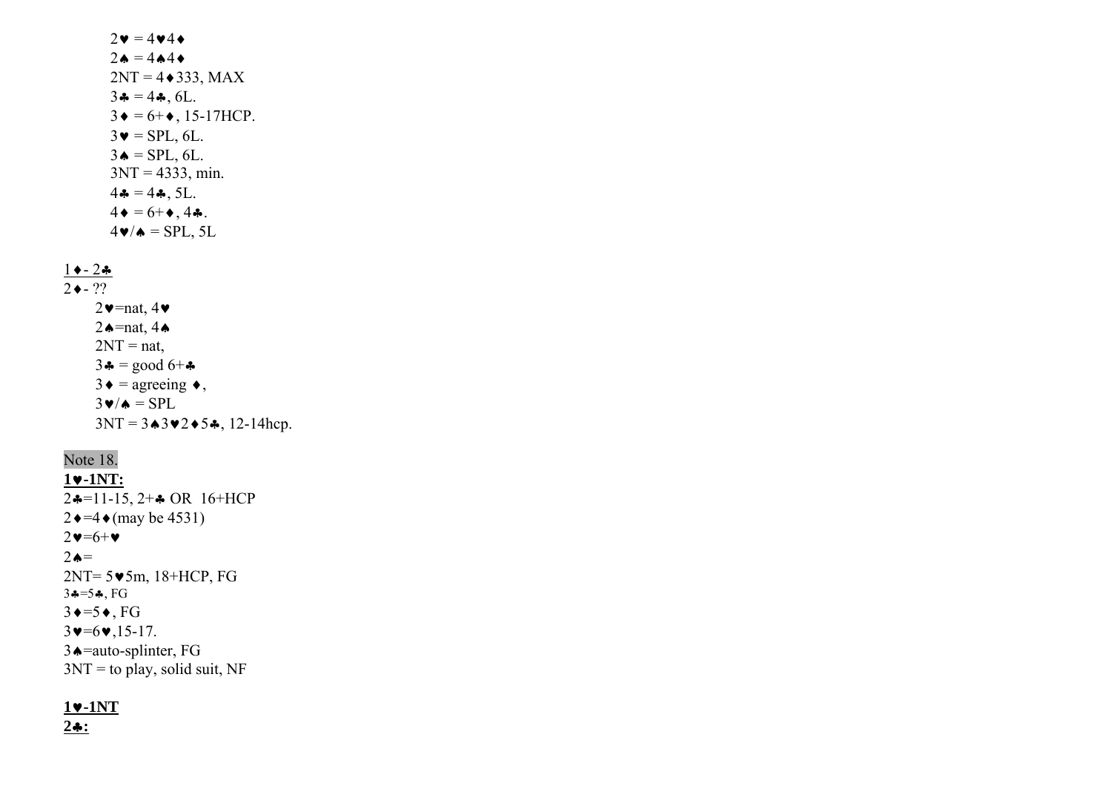$2\bullet = 4\bullet 4\bullet$  $2\spadesuit = 4\spadesuit 4\spadesuit$  $2NT = 4 \cdot 333$ , MAX  $3\clubsuit = 4\clubsuit$ , 6L.  $3 \bullet = 6 + \bullet$ , 15-17HCP.  $3\blacktriangledown =$  SPL, 6L.  $3\bullet =$  SPL, 6L.  $3NT = 4333$ , min.  $4\clubsuit = 4\clubsuit$ , 5L.  $4 \bullet = 6 + \bullet$ , 4 $\clubsuit$ .  $4\blacktriangledown/\blacktriangle =$  SPL, 5L

# 1♦- 2♣

 $2 \rightarrow - ??$  $2\blacktriangledown$ =nat,  $4\blacktriangledown$ 2  $\triangle$ =nat, 4  $\triangle$  $2NT = nat$ ,  $3\clubsuit = \text{good } 6 + \clubsuit$  $3 \bullet = \text{agreeing} \bullet$ ,  $3\blacktriangledown/\blacktriangle =$  SPL  $3NT = 3 \cdot 3 \cdot 2 \cdot 5 \cdot 5 \cdot 12 - 14$ hcp.

#### Note 18.

**1**♥**-1NT:** 2♣=11-15, 2+♣ OR 16+HCP  $2 \triangleleft = 4 \triangleleft ($ may be 4531)  $2 \cdot = 6 + \cdot$ 2♠= 2NT= 5♥5m, 18+HCP, FG 3♣=5♣, FG  $3 \rightarrow 5 \rightarrow$ , FG  $3 \vee 5 \vee 5 \vee 15 - 17$ . 3♠=auto-splinter, FG  $3NT =$  to play, solid suit, NF

#### **1**♥**-1NT**

**2**♣**:**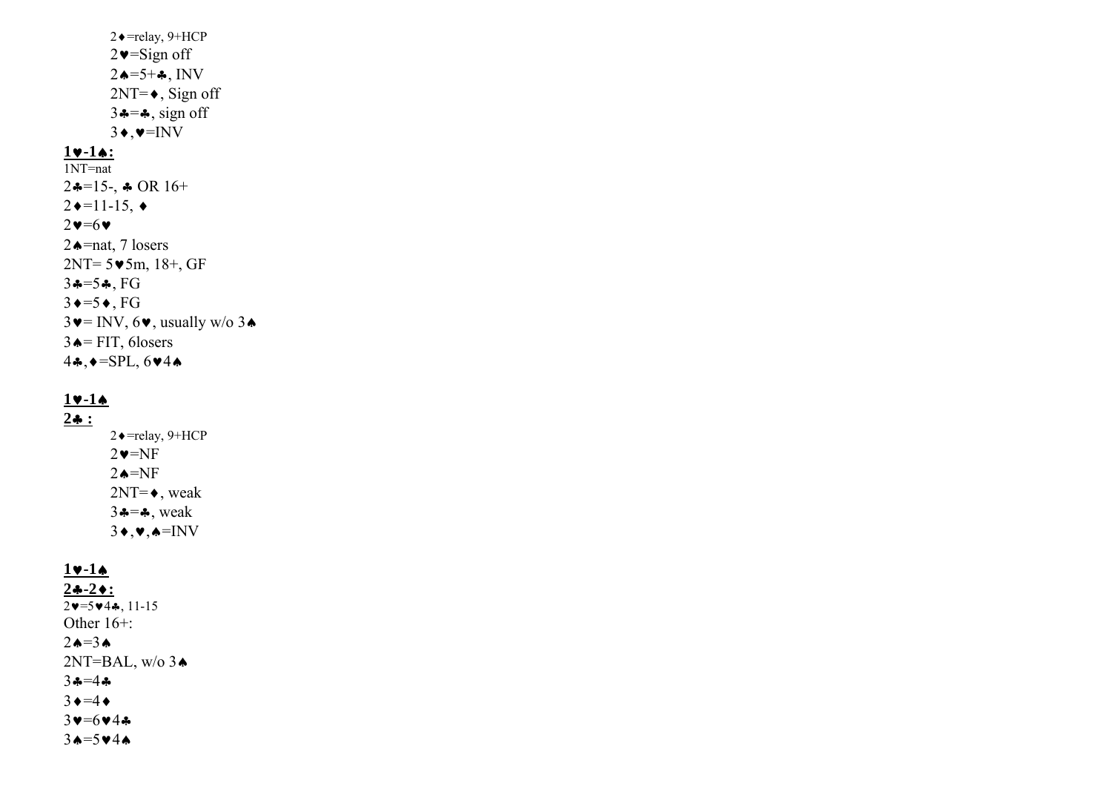2♦=relay, 9+HCP 2♥=Sign off  $2\spadesuit = 5 + \clubsuit$ , INV  $2NT=\bullet$ , Sign off  $3 \div = \div$ , sign off  $3\bullet,\bullet=\text{INV}$ 

#### **1**♥**-1**♠**:**

1NT=nat  $2\clubsuit = 15$ -,  $\clubsuit$  OR 16+  $2 \rightarrow 11 - 15, \rightarrow$  $2 \vee 5 \vee$ 2♠=nat, 7 losers 2NT= 5♥5m, 18+, GF 3♣=5♣, FG  $3 \rightarrow 5 \rightarrow$ , FG  $3\blacktriangleright$  = INV,  $6\blacktriangleright$ , usually w/o  $3\blacktriangle$  $3 \triangle =$  FIT, 6losers 4♣,♦=SPL, 6♥4♠

# **1**♥**-1**♠

**2**♣ **:**

 2♦=relay, 9+HCP  $2 \vee = N$ F 2⇔=NF  $2NT=\bullet$ , weak  $3 \div 3$ , weak  $3\bullet,\bullet,\bullet=\text{INV}$ 

# **1**♥**-1**♠

**2**♣**-2**♦**:**  $2v=5v4, 11-15$ Other 16+:  $2\spadesuit=3\spadesuit$  $2NT=BAL$ , w/o  $3\triangle$ 3♣=4♣ $3 \rightarrow 4 \rightarrow$ 3♥=6♥4♣ 3♠=5♥4♠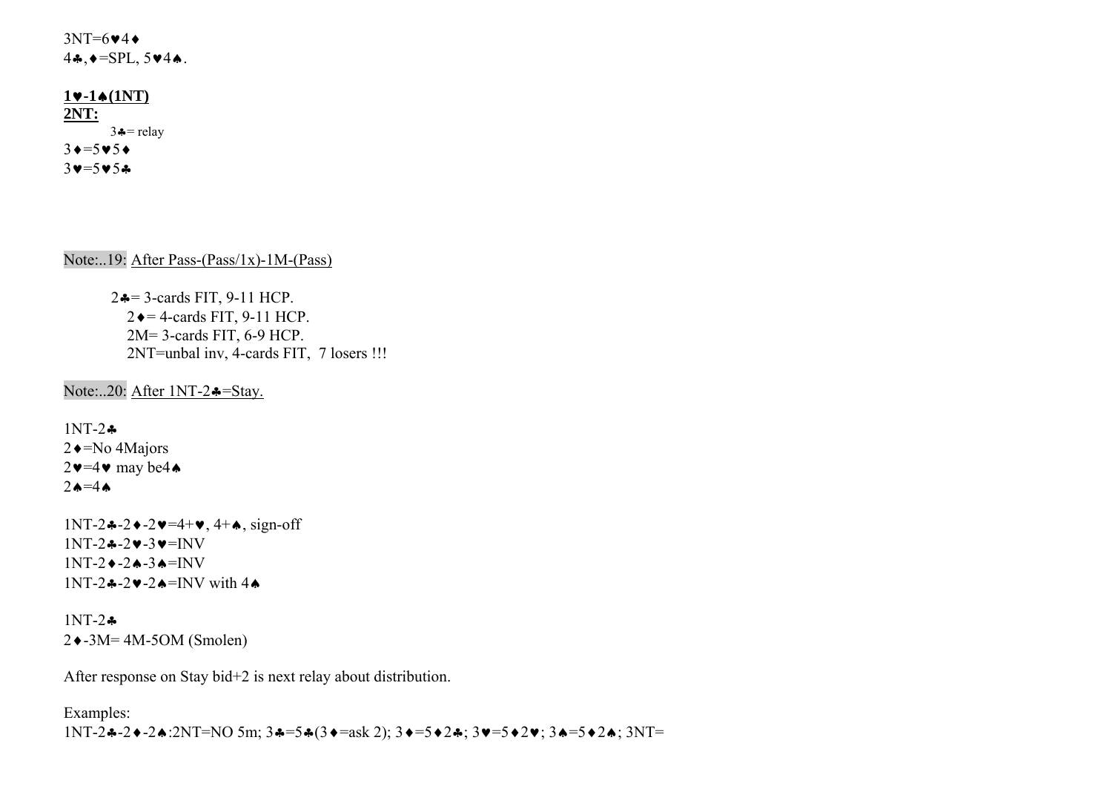$3NT=6$  $44$ 4♣,♦=SPL, 5♥4♠.

### **1**♥**-1**♠**(1NT) 2NT:**  $3 \div =$  relay  $3 \rightarrow 5 \rightarrow 5 \rightarrow 5$  $3 \vee = 5 \vee 5 \circ$

Note:..19: After Pass-(Pass/1x)-1M-(Pass)

2♣= 3-cards FIT, 9-11 HCP.  $2 \triangleleft = 4$ -cards FIT, 9-11 HCP. 2M= 3-cards FIT, 6-9 HCP. 2NT=unbal inv, 4-cards FIT, 7 losers !!!

Note:..20: After 1NT-2♣=Stay.

1NT-2♣2♦=No 4Majors  $2 \vee 4 \vee \text{ may be } 4 \wedge$  $2 \triangle = 4 \triangle$ 

1NT-2♣-2♦-2♥=4+♥, 4+♠, sign-off  $1NT-2*-2v-3v=NV$  $1NT-2$   $\leftarrow$  -2 $\leftarrow$  -3 $\leftarrow$  = INV  $1NT-2$ ့→ $-2$   $\rightarrow$  =INV with 4 $\rightarrow$ 

1NT-2♣2♦-3M= 4M-5OM (Smolen)

After response on Stay bid+2 is next relay about distribution.

Examples: 1NT-2♣-2♦-2♠:2NT=NO 5m; 3♣=5♣(3♦=ask 2); 3♦=5♦2♣; 3♥=5♦2♥; 3♠=5♦2♠; 3NT=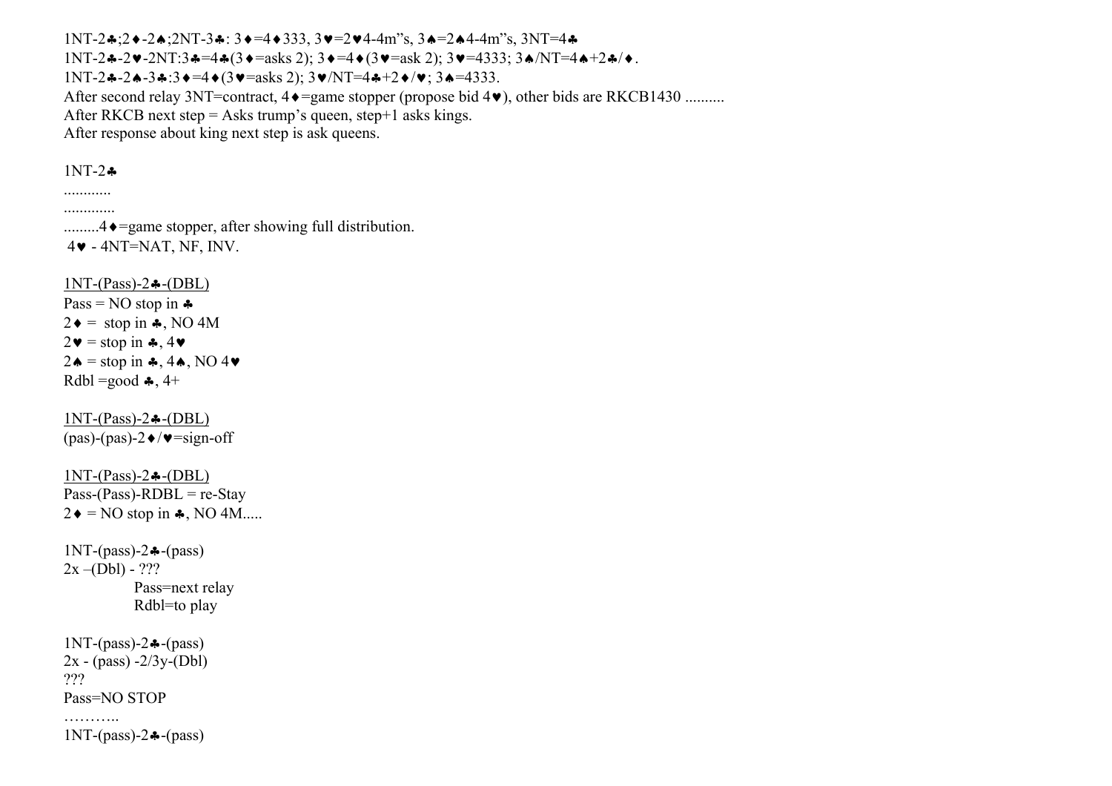1NT-2♣;2♦-2♠;2NT-3♣: 3♦=4♦333, 3♥=2♥4-4m"s, 3♠=2♠4-4m"s, 3NT=4♣  $1NT-2$ ♣-2♥-2NT:3♣=4♣(3♦=asks 2);  $3♦=4♦(3♦=ask 2)$ ;  $3♦=4333$ ;  $3♦/NT=4♦+2♦/♦$ . 1NT-2♣-2♠-3♣:3♦=4♦(3♥=asks 2); 3♥/NT=4♣+2♦/♥; 3♠=4333. After second relay 3NT=contract, 4♦=game stopper (propose bid 4♥), other bids are RKCB1430 .......... After RKCB next step  $=$  Asks trump's queen, step $+1$  asks kings. After response about king next step is ask queens.

# 1NT-2♣

............ .............

.........4♦=game stopper, after showing full distribution. 4♥ - 4NT=NAT, NF, INV.

 $1NT-(Pass)-2$   $\leftarrow$  (DBL)

Pass = NO stop in  $\clubsuit$  $2\bullet =$  stop in  $\clubsuit$ , NO 4M  $2\mathbf{v} = \text{stop in } 4\mathbf{v}$  $2\spadesuit$  = stop in  $\clubsuit$ , 4 $\spadesuit$ , NO 4 $\blacktriangledown$ Rdbl =good  $\clubsuit$ , 4+

 $1NT-(Pass)-2$   $\triangleleft$ - $(DBL)$  $(pas)-(pas)-2 \blacklozenge/\blacktriangledown=\text{sign-off}$ 

 $1NT-(Pass)-2$   $\triangleleft$ - $(DBL)$  $Pass-(Pass)-RDBL = re-Stay$  $2\bullet = NO$  stop in  $\clubsuit$ , NO 4M.....

1NT-(pass)-2♣-(pass)  $2x - (Db1) - ???$  Pass=next relay Rdbl=to play

1NT-(pass)-2♣-(pass)  $2x - (pass) -2/3y - (Dbl)$ ??? Pass=NO STOP

. . . . . . . . . . 1NT-(pass)-2♣-(pass)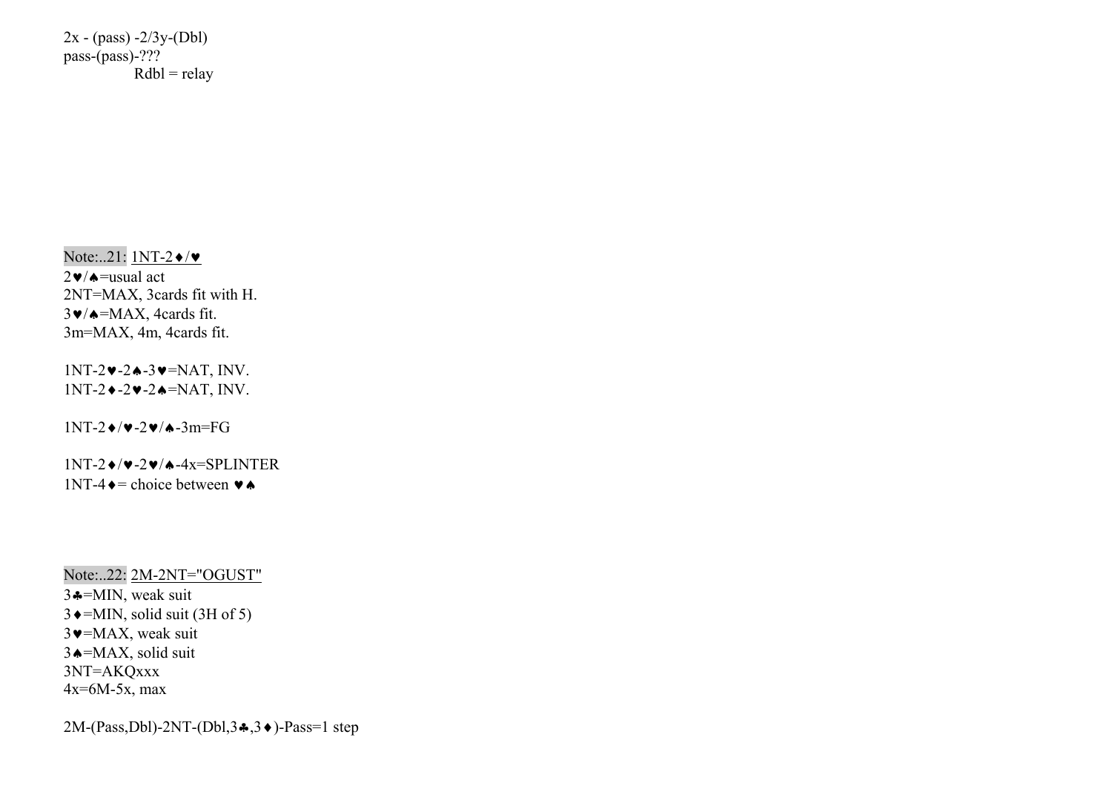$2x - (pass) -2/3y - (Dbl)$ pass-(pass)-???  $Rdbl = relay$ 

Note:..21: 1NT-2♦/♥

 $2\ntriangleright$   $\blacktriangle$  = usual act 2NT=MAX, 3cards fit with H. 3♥/♠=MAX, 4cards fit. 3m=MAX, 4m, 4cards fit.

1NT-2♥-2♠-3♥=NAT, INV. 1NT-2♦-2♥-2♠=NAT, INV.

1NT-2♦/♥-2♥/♠-3m=FG

 $1NT-2$   $\blacktriangleright$ / $\blacktriangleright$  -2 $\blacktriangleright$ / $\blacktriangleright$  -4x=SPLINTER  $1NT-4 \rightarrow$ = choice between  $\rightarrow \rightarrow$ 

Note:..22: 2M-2NT="OGUST" 3♣=MIN, weak suit  $3 \triangleleft$ =MIN, solid suit (3H of 5)  $3$   $\blacktriangleright$  = MAX, weak suit 3♠=MAX, solid suit 3NT=AKQxxx 4x=6M-5x, max

2M-(Pass,Dbl)-2NT-(Dbl,3♣,3♦)-Pass=1 step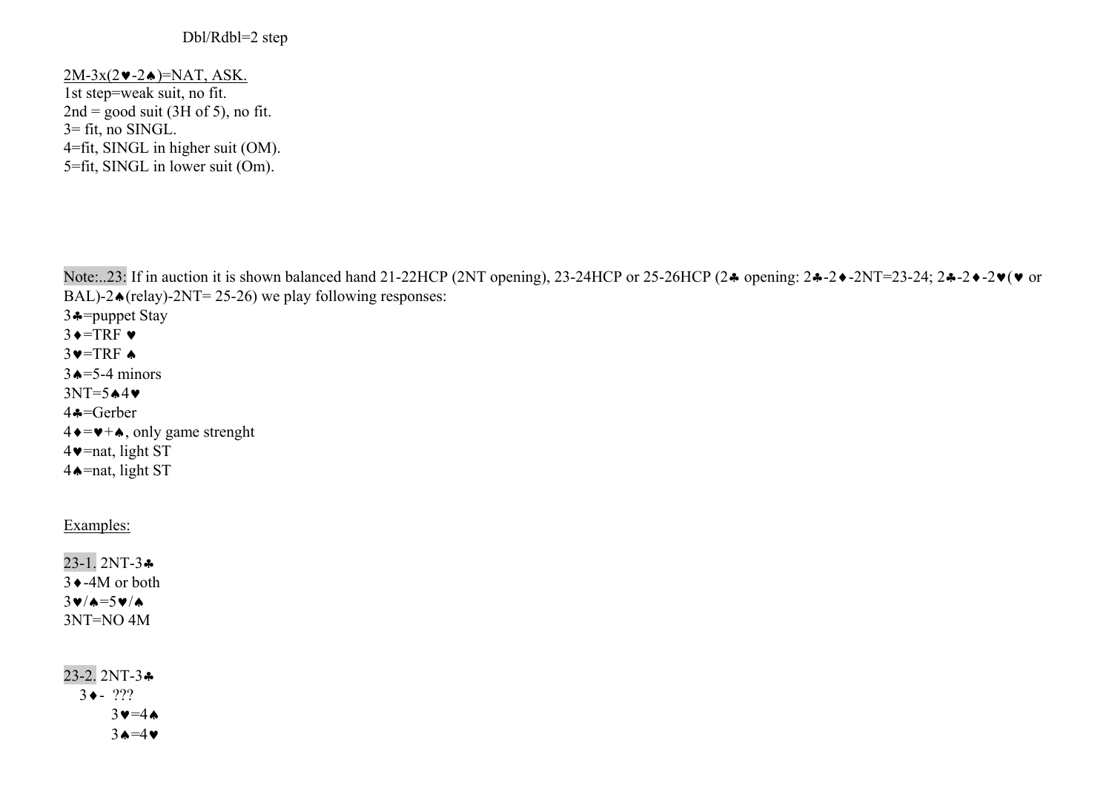## Dbl/Rdbl=2 step

# $2M-3x(2\cdot -2\cdot)$ =NAT, ASK.

1st step=weak suit, no fit.  $2nd = good suit (3H of 5)$ , no fit.  $3=$  fit, no SINGL. 4=fit, SINGL in higher suit (OM). 5=fit, SINGL in lower suit (Om).

Note:..23: If in auction it is shown balanced hand 21-22HCP (2NT opening), 23-24HCP or 25-26HCP (2♣ opening: 2♣-2♦-2NT=23-24; 2♣-2♦-2♥(♥ or BAL)-2 $\triangle$ (relay)-2NT= 25-26) we play following responses:

3♣=puppet Stay  $3 \triangleleft = TRF \triangleright$  $3$  $=$ TRF  $\triangle$  $3 \triangle = 5-4$  minors 3NT=5♠4♥4♣=Gerber  $4 \rightarrow \rightarrow +\bullet$ , only game strenght 4♥=nat, light ST 4♠=nat, light ST

# Examples:

23-1. 2NT-3♣ 3♦-4M or both 3♥/♠=5♥/♠3NT=NO 4M

23-2. 2NT-3♣ 3♦- ???  $3$   $\blacktriangleright$  =4 $\blacktriangle$ 3♠=4♥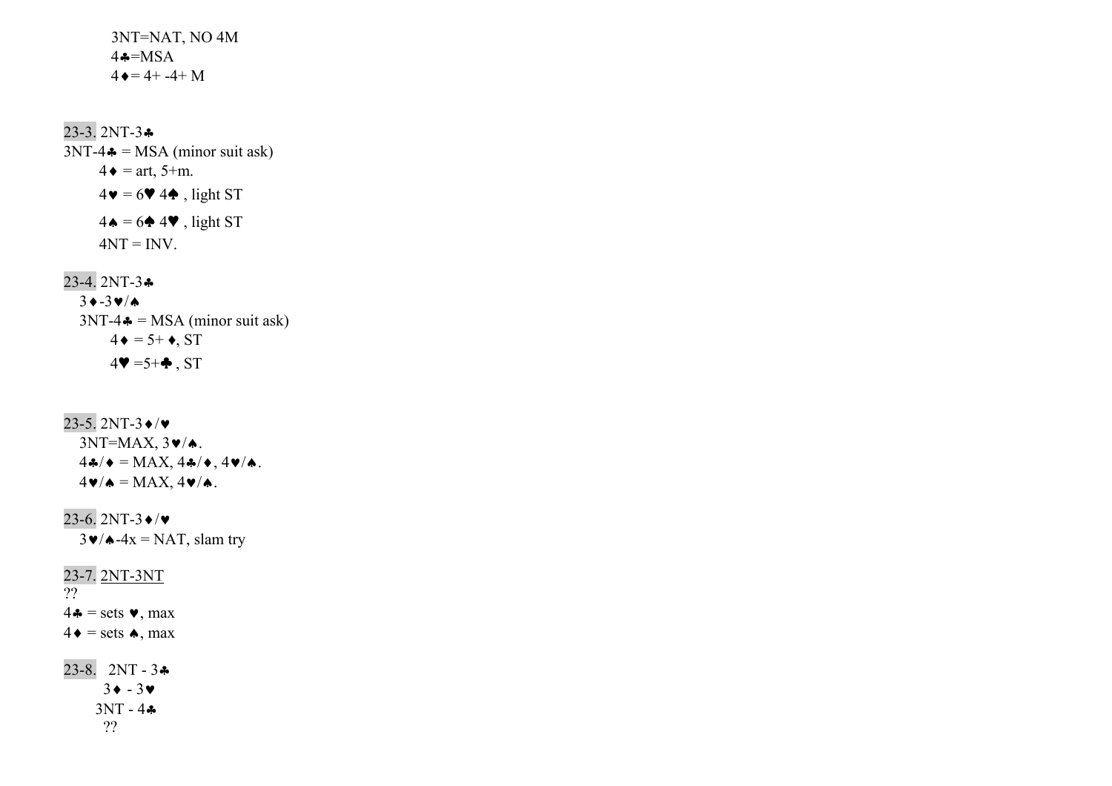3NT=NAT, NO 4M  $4 \clubsuit = MSA$  $4 \bullet = 4 + -4 + M$ 

23-3. 2NT-3♣  $3NT-4$   $\bullet$  = MSA (minor suit ask)  $4 \bullet = \text{art}, 5+m.$  $4\blacktriangledown = 6\blacktriangledown 4\blacktriangle$ , light ST  $4 \bullet = 6 \bullet 4 \bullet$ , light ST  $4NT = INV$ .

23-4. 2NT-3♣

 3 ♦-3 ♥/♠  $3NT-4$   $\bullet$  = MSA (minor suit ask)  $4 \bullet = 5 + \bullet, ST$  $4\Psi = 5 + \clubsuit$ , ST

23-5. 2NT-3 ♦/♥  $3NT=MAX, 3\blacktriangledown/\blacktriangle$ .  $4\clubsuit/\bullet = \text{MAX}, 4\clubsuit/\bullet, 4\blacktriangledown/\spadesuit.$  $4\blacktriangledown/\blacktriangle = \text{MAX}, 4\blacktriangledown/\blacktriangle$ .

23-6. 2NT-3♦/♥ $3\blacktriangleright$  / $\blacktriangle$ -4x = NAT, slam try 23-7. 2NT-3NT ??  $4\bullet$  = sets  $\bullet$ , max  $4 \bullet = \text{sets} \bullet, \text{max}$ 23-8. 2NT - 3♣

 $3 \bullet - 3 \bullet$  3NT - 4♣??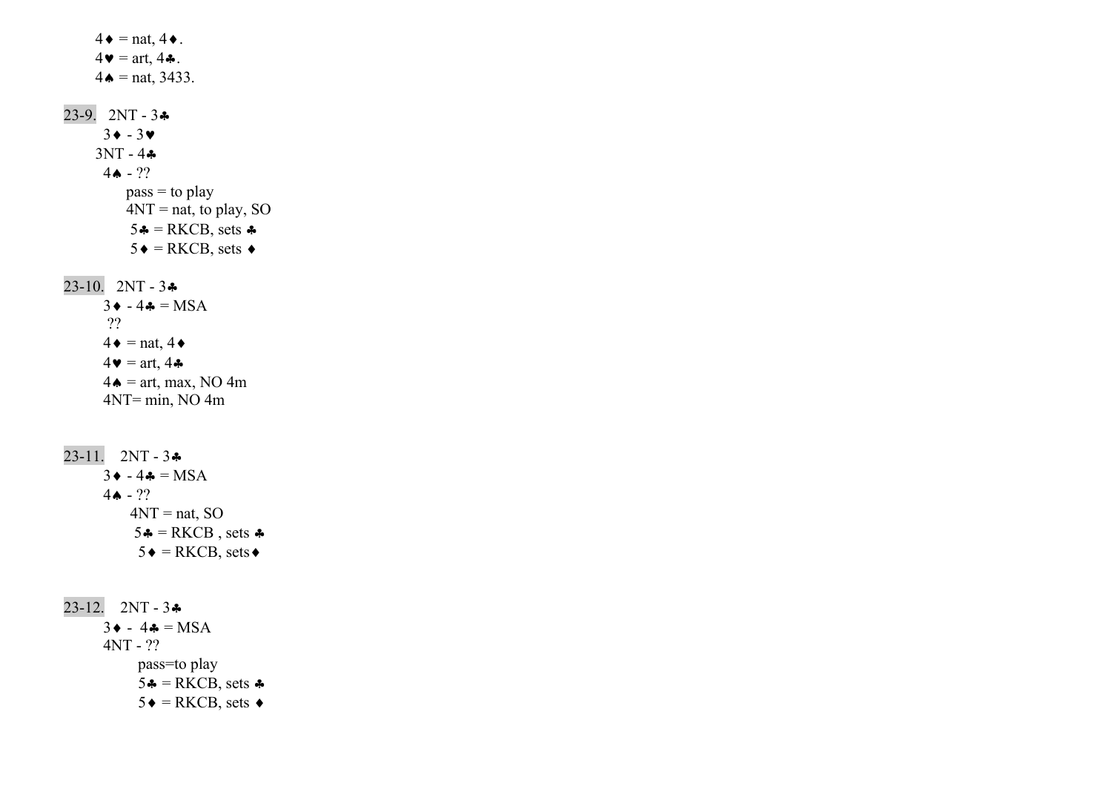$4\bullet = \text{nat}, 4\bullet.$  $4\bullet = \text{art}, 4\clubsuit.$  $4 \bullet = \text{nat}, 3433.$ 23-9. 2NT - 3♣ 3♦ - 3♥ $3NT - 4$   $\clubsuit$  $4$  →  $??$  $pass = to play$  $4NT = nat$ , to play, SO  $5 \triangleq$  = RKCB, sets  $\triangleq$  $5 \triangleleft$  = RKCB, sets  $\triangleleft$ 23-10. 2NT - 3♣  $3 \cdot -4 \cdot = MSA$  ??  $4\bullet$  = nat,  $4\bullet$  $4\bullet = \text{art}, 4\clubsuit$  $4\bullet = \text{art}, \text{max}, \text{NO } 4\text{m}$  4NT= min, NO 4m  $23-11. 2NT - 3$  $3 \cdot -4 \cdot = MSA$  $4$  → ??  $4NT = nat$ , SO  $5 \triangleq$  = RKCB, sets  $\triangleq$  $5 \triangleleft = R KCB$ , sets  $\triangleleft$  $23-12.$  2NT -  $3\clubsuit$  $3 \bullet - 4 \bullet = MSA$  4NT - ?? pass=to play  $5 \div = R KCB$ , sets  $\div$  $5 \triangleleft = R KCB$ , sets  $\triangleleft$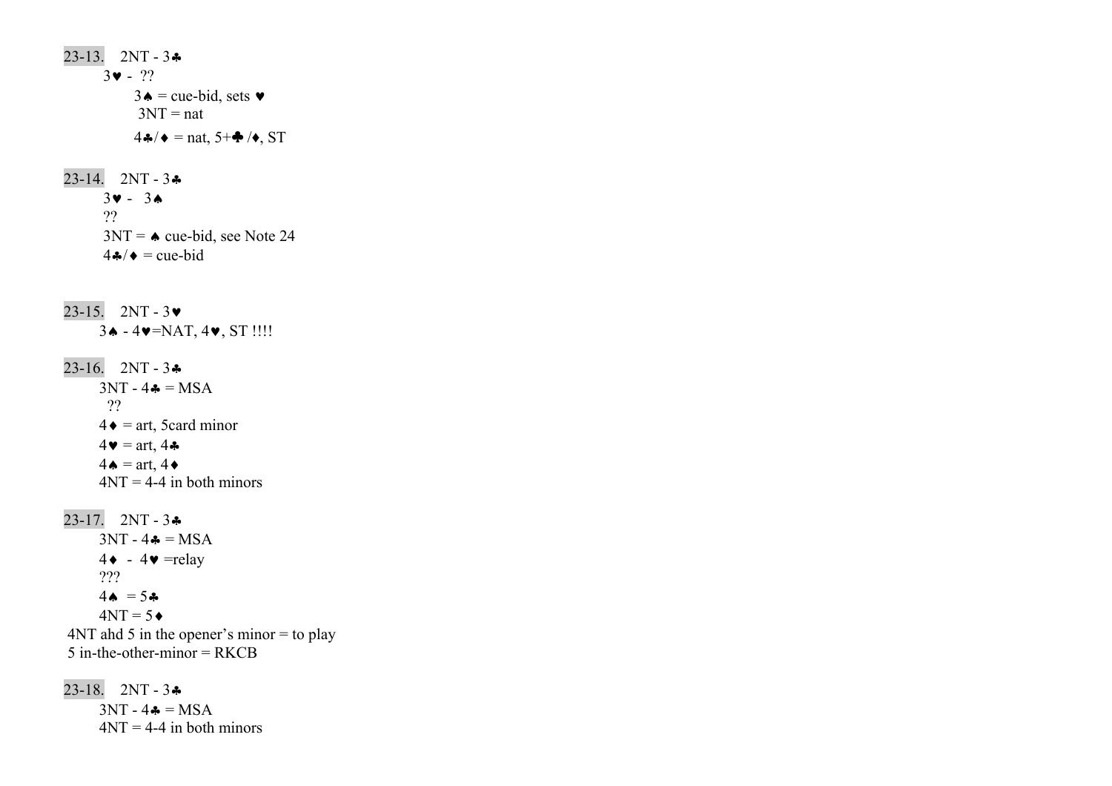23-13. 2NT - 3♣ 3♥ - ??  $3\bullet$  = cue-bid, sets  $\bullet$  $3NT = nat$  $4\clubsuit/\bullet$  = nat, 5+ $\spadesuit/\bullet$ , ST  $23-14.$  2NT -  $3\clubsuit$  $3 \vee - 3 \wedge$  ??  $3NT = \bullet$  cue-bid, see Note 24  $4 \cdot 4 \cdot \bullet = \text{cue-bid}$ 23-15. 2NT - 3♥ 3♠ - 4♥=NAT, 4♥, ST !!!! 23-16. 2NT - 3♣  $3NT - 4 \clubsuit = MSA$  ??  $4 \bullet =$  art, 5card minor  $4\bullet = \text{art}, 4\clubsuit$  $4\spadesuit$  = art,  $4\spadesuit$  $4NT = 4-4$  in both minors 23-17. 2NT - 3♣  $3NT - 4 \clubsuit = MSA$  $4 \bullet - 4 \bullet =$ relay ???  $4 \spadesuit = 5 \clubsuit$  $4NT = 5 \bullet$  $4NT$  ahd 5 in the opener's minor  $=$  to play  $5$  in-the-other-minor = RKCB

23-18. 2NT - 3♣  $3NT - 4 \clubsuit = MSA$  $4NT = 4-4$  in both minors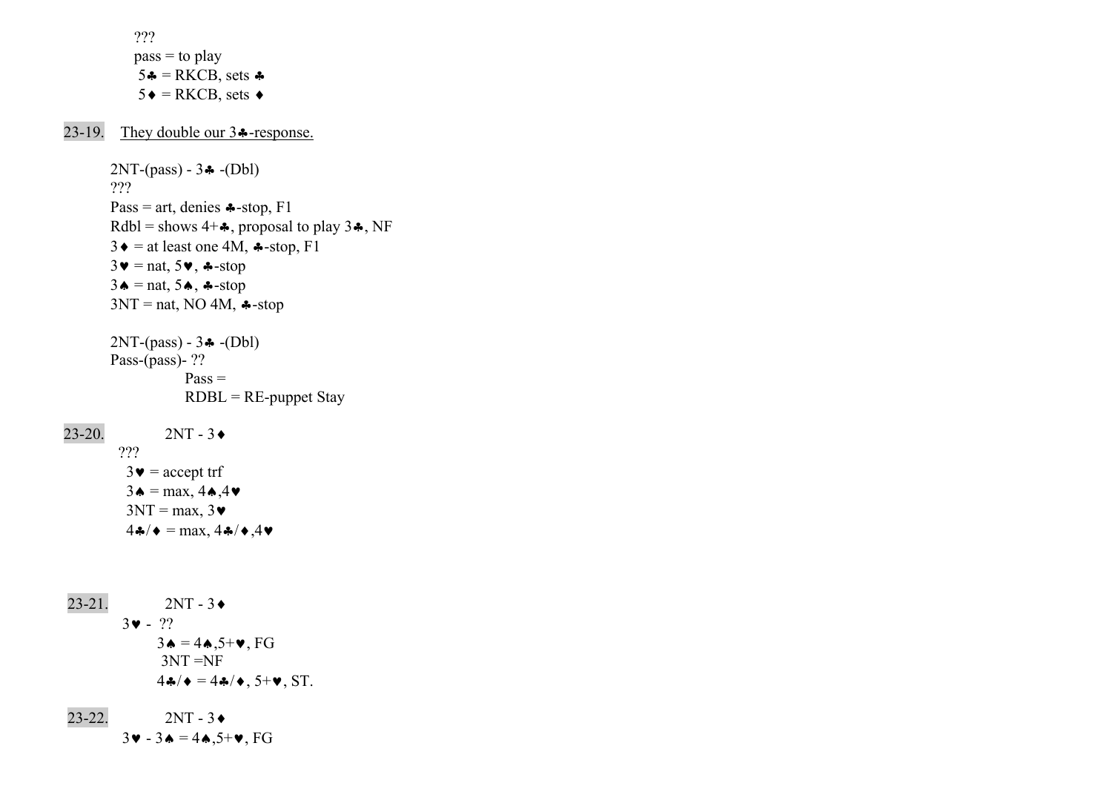???  $pass = to play$  $5 \triangleq$  = RKCB, sets  $\triangleq$  $5 \triangleleft = R KCB$ , sets  $\triangleleft$ 

23-19. They double our 3♣-response.

 2NT-(pass) - 3♣ -(Dbl) ??? Pass = art, denies  $\triangle$ -stop, F1 Rdbl = shows  $4+A$ , proposal to play  $3A$ , NF  $3 \bullet =$  at least one 4M,  $\clubsuit$ -stop, F1  $3\mathbf{v} = \text{nat}, 5\mathbf{v}, \triangle$ -stop  $3\spadesuit$  = nat, 5 $\spadesuit$ ,  $\clubsuit$ -stop  $3NT = nat$ , NO 4M,  $\clubsuit$ -stop 2NT-(pass) - 3♣ -(Dbl) Pass-(pass)-??  $Pass =$  $RDBL = RE$ -puppet Stay  $23-20.$  2NT -  $3\bullet$  ???  $3\mathbf{v}$  = accept trf  $3\bullet$  = max, 4 $\bullet$ , 4 $\bullet$  $3NT = max, 3$  $4\clubsuit/\bullet = \max, 4\clubsuit/\bullet, 4\blacktriangledown$  $23-21.$  2NT - 3 3♥ - ??  $3\spadesuit = 4\spadesuit, 5+\spadesuit, FG$  $3NT = NF$  $4\clubsuit/\bullet = 4\clubsuit/\bullet$ , 5+ $\blacktriangledown$ , ST.  $23-22.$  2NT -  $3\bullet$ 

 $3\blacktriangledown - 3\blacktriangle = 4\blacktriangle, 5+\blacktriangledown, FG$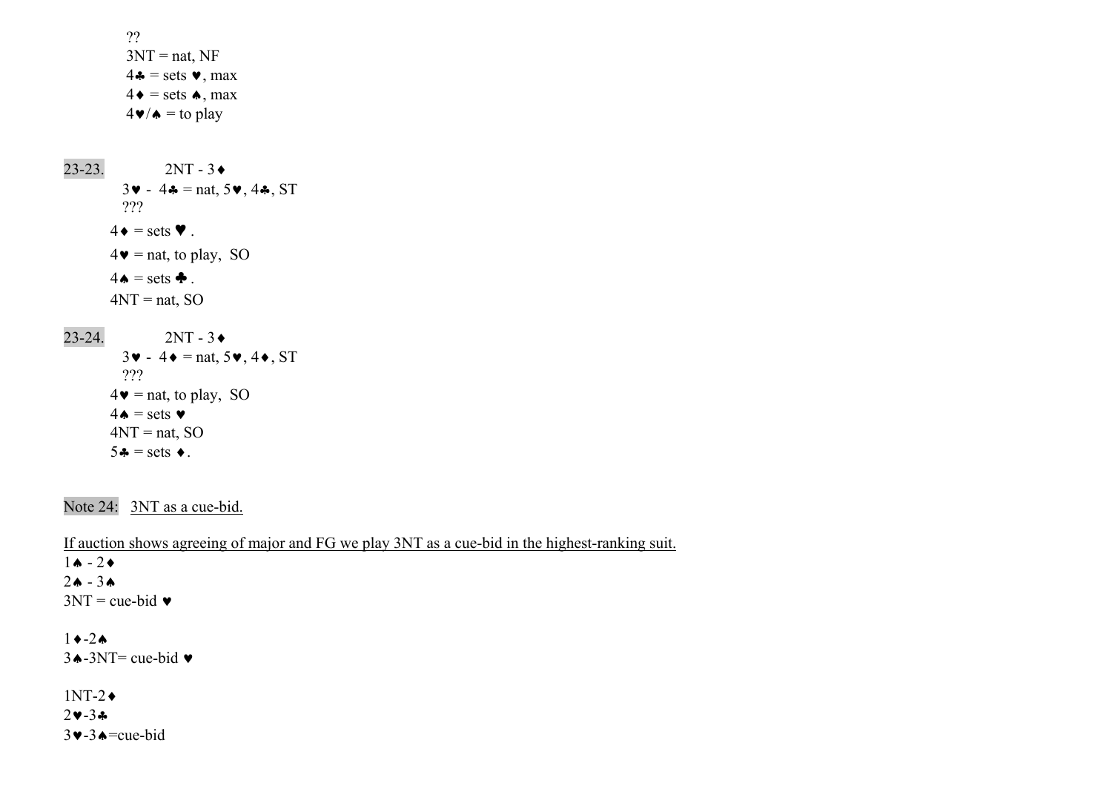```
 ?? 3NT = nat, NF
              4\bullet = sets \bullet, max
              4\bullet = sets \bullet, max
              4\blacktriangledown/\blacktriangle = to play
23-23. 2NT - 3\bullet3\triangleright - 4\clubsuit = nat, 5\triangleright, 4\clubsuit, ST
              ??? 4\bullet = \text{sets } \blacktriangledown.
          4\bullet = nat, to play, SO
 4 \cdot = \text{sets } \cdot4NT = nat, SO
 23-24. 2NT - 3
             3\mathbf{v} - 4\mathbf{v} = \text{nat}, 5\mathbf{v}, 4\mathbf{v}, \text{ST} ??? 4\bullet = nat, to play, SO
          4\spadesuit = sets \blacktriangledown4NT = nat, SO
 5 - 5 = \text{sets}.
```
Note 24: 3NT as a cue-bid.

If auction shows agreeing of major and FG we play 3NT as a cue-bid in the highest-ranking suit.  $1$ ♠ - 2♦ 2♠ - 3♠ $3NT = cue-bid$  $1 \rightarrow -2 \spadesuit$  $3 \triangle -3NT$ = cue-bid  $\triangledown$ 1NT-2♦

2♥-3♣3♥-3♠=cue-bid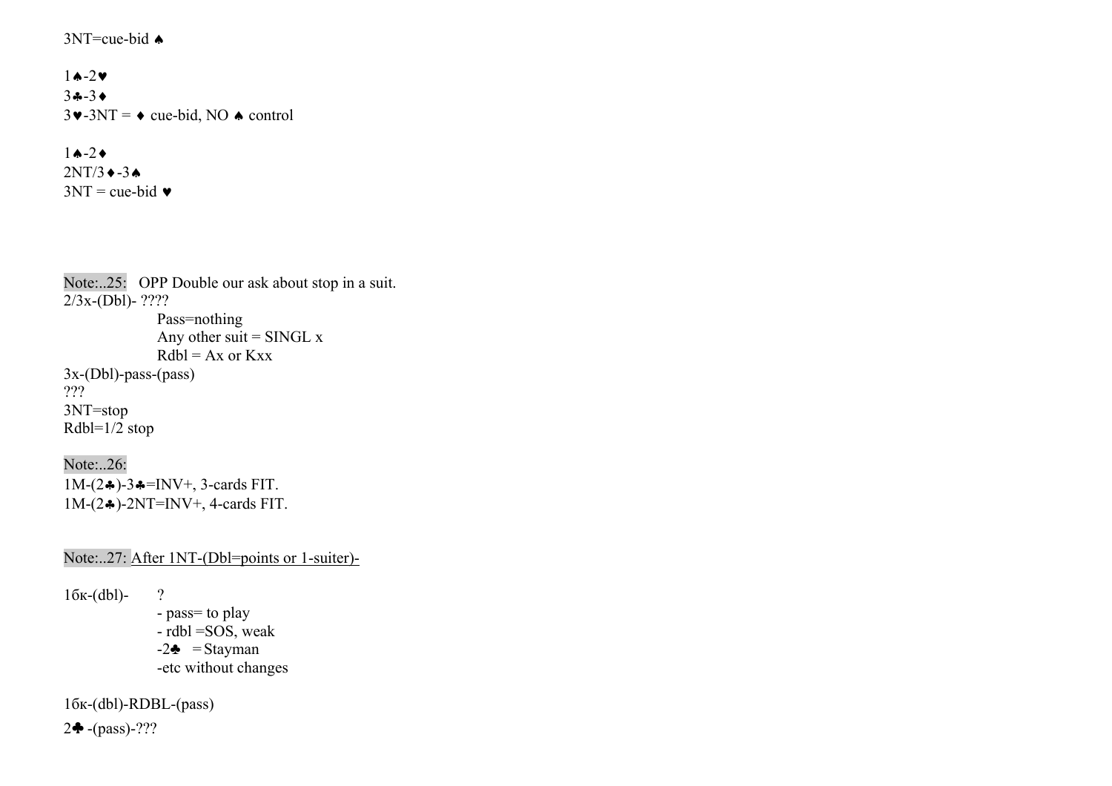### $3NT=cu$ e-bid  $\triangle$

1♠-2♥3♣-3♦ $3\blacktriangleright$ -3NT =  $\blacktriangleright$  cue-bid, NO  $\blacktriangle$  control

# $1$ **↑**-2◆

 $2NT/3$   $\leftrightarrow$  -3  $\leftrightarrow$  $3NT = cue-bid$ 

Note:..25: OPP Double our ask about stop in a suit.  $2/3x-(Db1) - ????$ 

 Pass=nothing Any other suit = SINGL  $x$  $Rdbl = Ax$  or  $Kxx$ 3x-(Dbl)-pass-(pass) ??? 3NT=stop Rdbl=1/2 stop

Note:..26: 1M- $(2\clubsuit)$ -3♣=INV+, 3-cards FIT. 1M-(2♣)-2NT=INV+, 4-cards FIT.

Note:..27: After 1NT-(Dbl=points or 1-suiter)-

 $16$ к-(dbl)-?

- pass= to play
- rdbl =SOS, weak
- $-2\clubsuit$  = Stayman
- -etc without changes

1бк-(dbl)-RDBL-(pass)

2♣ -(pass)-???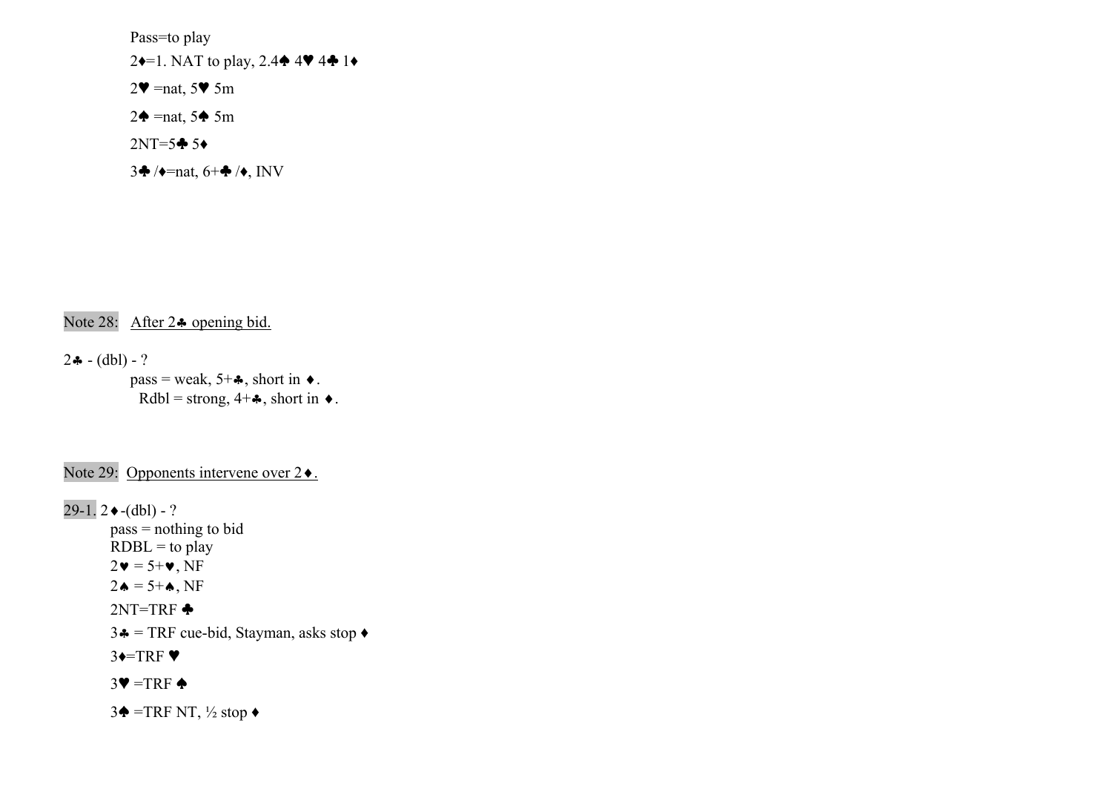Pass=to play

2♦=1. NAT to play, 2.4♠ 4♥ 4♣ 1♦

 $2\Psi = \text{nat}, 5\Psi$  5m

 $2\blacklozenge$  =nat, 5 $\blacklozenge$  5m

 $2NT=5$  $\bullet$  5 $\bullet$ 

 $3\clubsuit$  / $\blacklozenge$ =nat,  $6+\clubsuit$  / $\blacklozenge$ , INV

Note 28: After 2♣ opening bid.

 $2 - (-1) - ?$  $pass = weak, 5+A$ , short in  $\bullet$ .

 $Rdbl = strong, 4+A, short in \rightarrow$ .

Note 29: Opponents intervene over 2♦.

 $29-1.2 \cdot (dbl) - ?$  pass = nothing to bid  $RDBL =$  to play  $2\mathbf{v} = 5\mathbf{+v}$ , NF  $2\spadesuit = 5 + \spadesuit$ , NF  $2NT=TRF$   $\triangleq$ 3  $\triangle$  = TRF cue-bid, Stayman, asks stop  $\triangle$  $3 \rightarrow TRF$  $3\Psi = TRF \triangleq$ 

3♦ =TRF NT,  $\frac{1}{2}$  stop  $\bullet$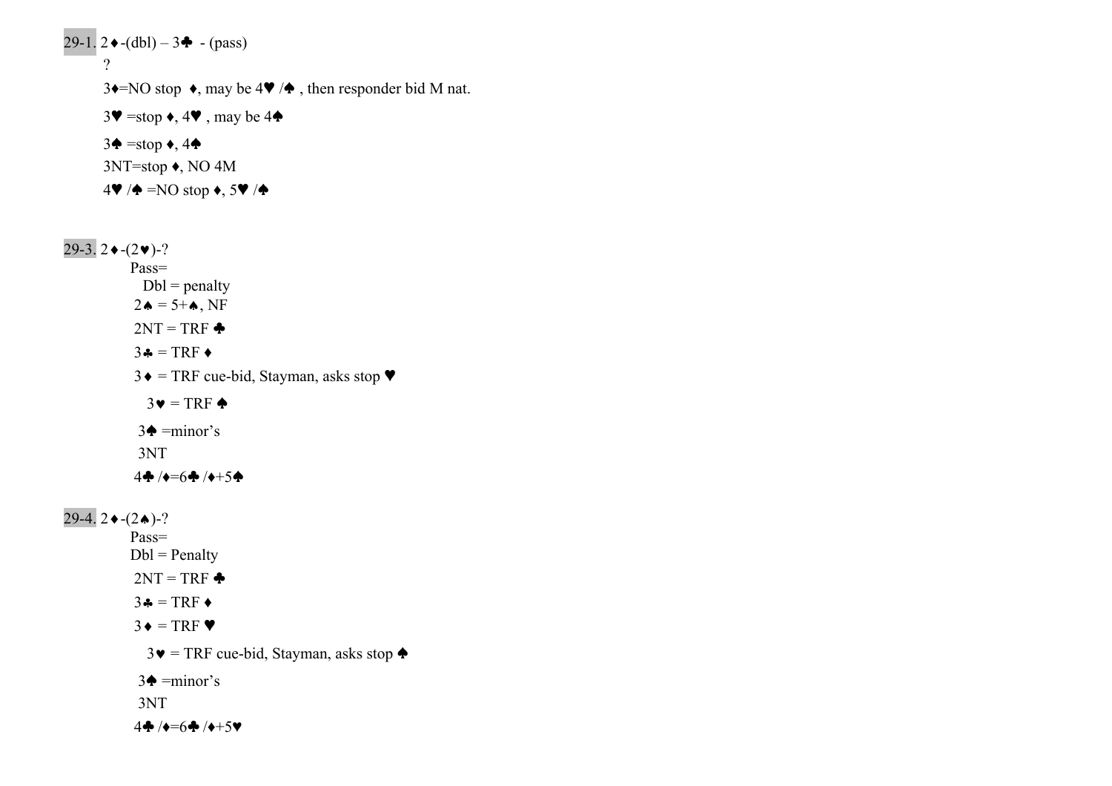$29-1. \ 2 \cdot (-\text{dbl}) - 3 \cdot (-\text{pass})$  ? 3 $\triangleleft$ =NO stop  $\triangleleft$ , may be 4 $\triangleleft$  / $\triangleleft$ , then responder bid M nat.  $3\Psi = \text{stop} \star, 4\Psi$ , may be 4 $\blacklozenge$  $3\blacklozenge$  =stop  $\blacklozenge$ , 4 $\blacklozenge$  3NT=stop ♦, NO 4M  $4\Psi/\spadesuit = NO$  stop  $\bullet$ , 5 $\Psi/\spadesuit$ 

 $29-3.2 \cdot -(2 \cdot )-?$  Pass=  $Dbl = penalty$  $2\spadesuit = 5 + \spadesuit$ , NF  $2NT = TRF$   $\triangleleft$  $3\clubsuit = TRF \spadesuit$  $3\bullet$  = TRF cue-bid, Stayman, asks stop  $\blacktriangledown$  $3\bullet = \text{TRF} \triangleq$  $3\blacklozenge = \text{minor's}$  3NT  $4\clubsuit$  / $\leftrightarrow$ =6 $\spadesuit$  / $\leftrightarrow$ +5 $\spadesuit$ 

 $29-4.2 \cdot (2 \cdot )$ -? Pass=  $Dbl = Penalty$  $2NT = TRF$   $\triangleleft$  $3 \clubsuit = \text{TRF} \blacktriangleleft$  $3 \bullet = \text{TRF}$  $3\bullet$  = TRF cue-bid, Stayman, asks stop  $\bullet$  $3\blacklozenge = \text{minor's}$  3NT  $4\clubsuit$  / $\bullet = 6\clubsuit$  / $\bullet + 5\blacktriangledown$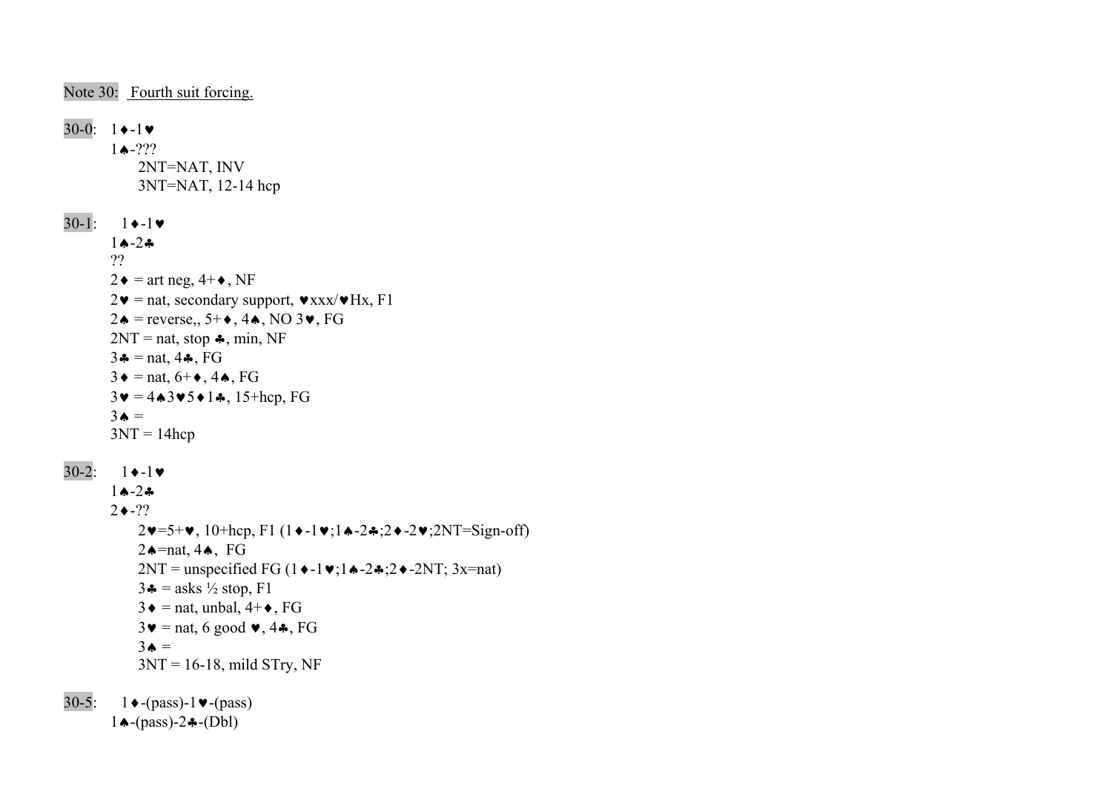Note 30: Fourth suit forcing.

 $30-0: 1 \rightarrow -1 \triangleright$  $1 \bullet -???$  2NT=NAT, INV 3NT=NAT, 12-14 hcp  $30-1: 1 \rightarrow -1 \rightarrow$  1♠-2♣ ??  $2\bullet$  = art neg,  $4+\bullet$ , NF  $2\mathbf{v}$  = nat, secondary support,  $\mathbf{v}$ xxx/ $\mathbf{v}$ Hx, F1 2♦ = reverse,,  $5+$  ♦,  $4 \spadesuit$ , NO  $3 \blacktriangledown$ , FG  $2NT = nat$ , stop  $\clubsuit$ , min, NF  $3 \clubsuit = \text{nat}, 4 \clubsuit, \text{FG}$  $3 \bullet = \text{nat}, 6 + \bullet, 4 \spadesuit, \text{FG}$  $3\mathbf{v} = 4\mathbf{A}3\mathbf{v}5\mathbf{A}1\mathbf{A}$ , 15+hcp, FG  $3\spadesuit$  =  $3NT = 14$ hcp  $30-2: 1 \rightarrow -1 \blacktriangleright$  1♠-2♣ $2 \bullet -??$  2♥=5+♥, 10+hcp, F1 (1♦-1♥;1♠-2♣;2♦-2♥;2NT=Sign-off) 2♠=nat, 4♠, FG 2NT = unspecified FG  $(1 \cdot -1 \cdot 1 \cdot -2 \cdot 2 \cdot -2NT)$ ; 3x=nat)  $3\clubsuit$  = asks  $\frac{1}{2}$  stop, F1  $3\bullet$  = nat, unbal,  $4+\bullet$ , FG  $3\blacktriangledown =$  nat, 6 good  $\blacktriangledown$ , 4 $\clubsuit$ , FG  $3\spadesuit$  =  $3NT = 16-18$ , mild STry, NF 30-5:  $1 \cdot (-pass) - 1 \cdot (-pass)$ 

1♠-(pass)-2♣-(Dbl)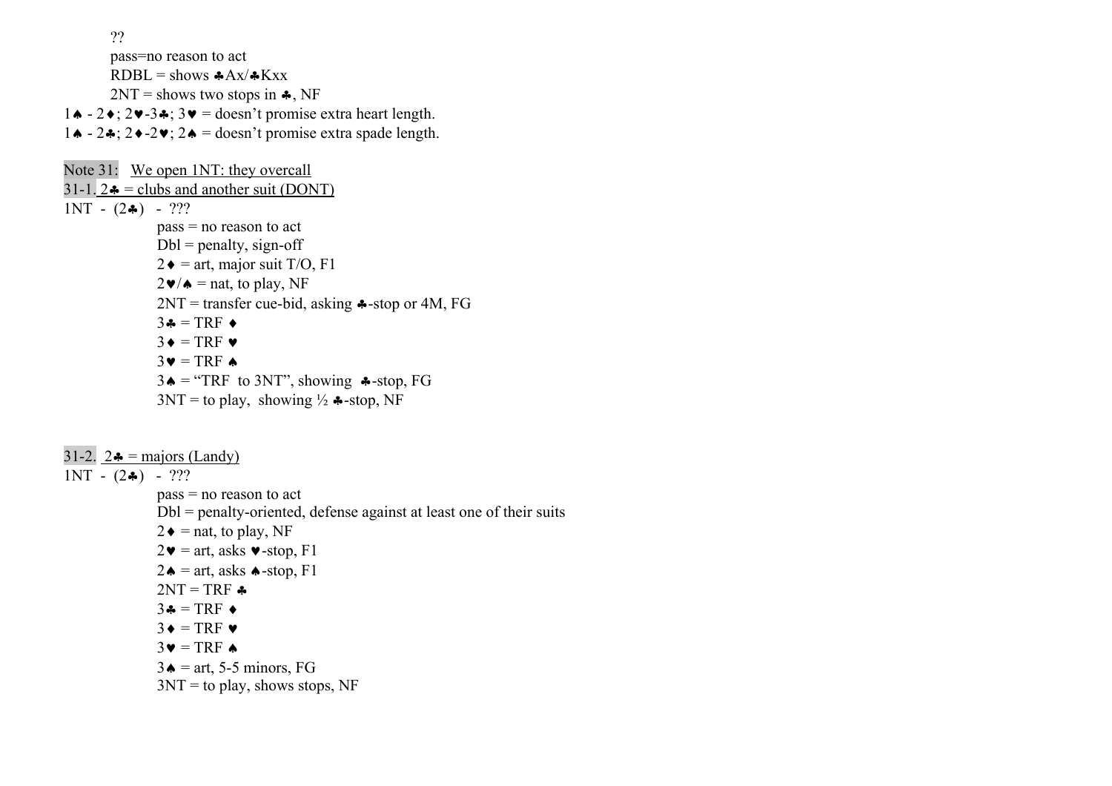??

pass=no reason to act

 $RDBL =$ shows  $A\rightarrow Ax/+Kxx$ 

 $2NT =$  shows two stops in  $\clubsuit$ , NF

- 1♠ 2♦; 2♥-3♣; 3♥ = doesn't promise extra heart length.
- 1♠ 2♣; 2♦-2♥; 2♠ = doesn't promise extra spade length.

Note 31: We open 1NT: they overcall 31-1.  $2\bullet$  = clubs and another suit (DONT)  $1NT - (2*) - ?$ ? pass = no reason to act  $Dbl = penalty$ , sign-off  $2\blacklozenge$  = art, major suit T/O, F1  $2\blacktriangleright/\blacktriangle =$  nat, to play, NF  $2NT = transfer cue-bid, asking$   $\clubsuit$ -stop or 4M, FG  $3\clubsuit$  = TRF  $\triangleleft$  $3 \triangleleft = \text{TRF} \triangledown$  $3\blacktriangledown = TRF \blacktriangle$  $3\spadesuit$  = "TRF to 3NT", showing  $\clubsuit$ -stop, FG  $3NT =$  to play, showing  $\frac{1}{2}$   $\clubsuit$ -stop, NF

31-2.  $2\bullet = \text{majors (Landy)}$  $1NT - (2\clubsuit) - ?$ ? pass = no reason to act Dbl = penalty-oriented, defense against at least one of their suits  $2\bullet$  = nat, to play, NF  $2\mathbf{v}$  = art, asks  $\mathbf{v}$ -stop, F1  $2\spadesuit$  = art, asks  $\spadesuit$ -stop, F1  $2NT = TRF$   $\triangleleft$  $3\clubsuit = TRF \spadesuit$  $3 \triangleleft = TRF \triangleright$  $3\blacktriangledown = TRF \blacktriangle$  $3\bullet$  = art, 5-5 minors, FG  $3NT =$  to play, shows stops, NF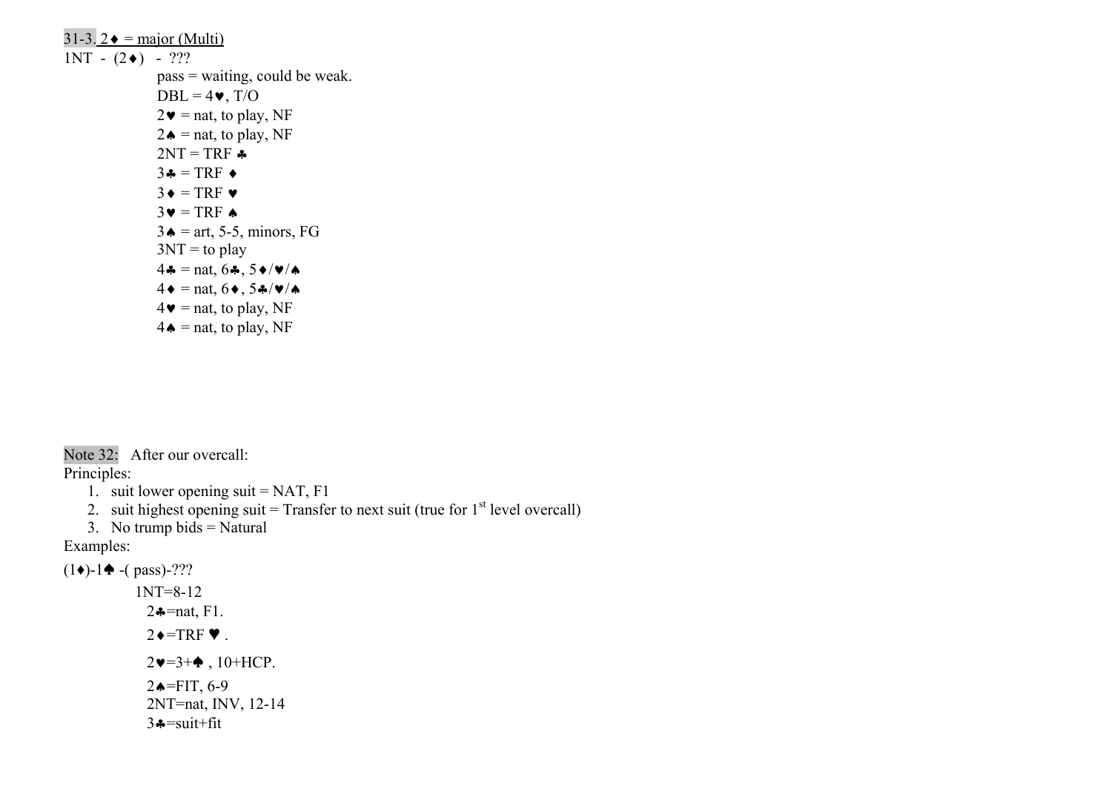$31-3.2 \triangleleft$  = major (Multi)  $1NT - (2+) - ?$ ? pass = waiting, could be weak.  $DBL = 4$  $\bullet$ , T/O  $2\blacktriangledown =$  nat, to play, NF  $2\spadesuit$  = nat, to play, NF  $2NT = TRF$  $3\clubsuit = TRF \bullet$  $3 \triangleleft = TRF \triangleright$  $3\blacktriangledown = TRF \blacktriangle$  $3\bullet$  = art, 5-5, minors, FG  $3NT =$  to play  $4\clubsuit$  = nat, 6 $\clubsuit$ , 5 $\blacklozenge/\blacktriangledown/\blacktriangle$  $4\bullet = \text{nat}, 6\bullet, 5\clubsuit/\blacktriangledown/\spadesuit$  $4\bullet$  = nat, to play, NF  $4\spadesuit$  = nat, to play, NF

Note 32: After our overcall:

Principles:

- 1. suit lower opening suit = NAT, F1
- 2. suit highest opening suit = Transfer to next suit (true for  $1<sup>st</sup>$  level overcall)
- 3. No trump bids = Natural

Examples:

 $(1\bullet)$ -1 $\bullet$  -( pass)-???

 1NT=8-12 2♣=nat, F1.  $2 \rightarrow TRF$   $\blacktriangledown$ .  $2\vee=3+\diamond$ , 10+HCP. 2♠=FIT, 6-9 2NT=nat, INV, 12-14  $3 - \text{suit} + \text{fit}$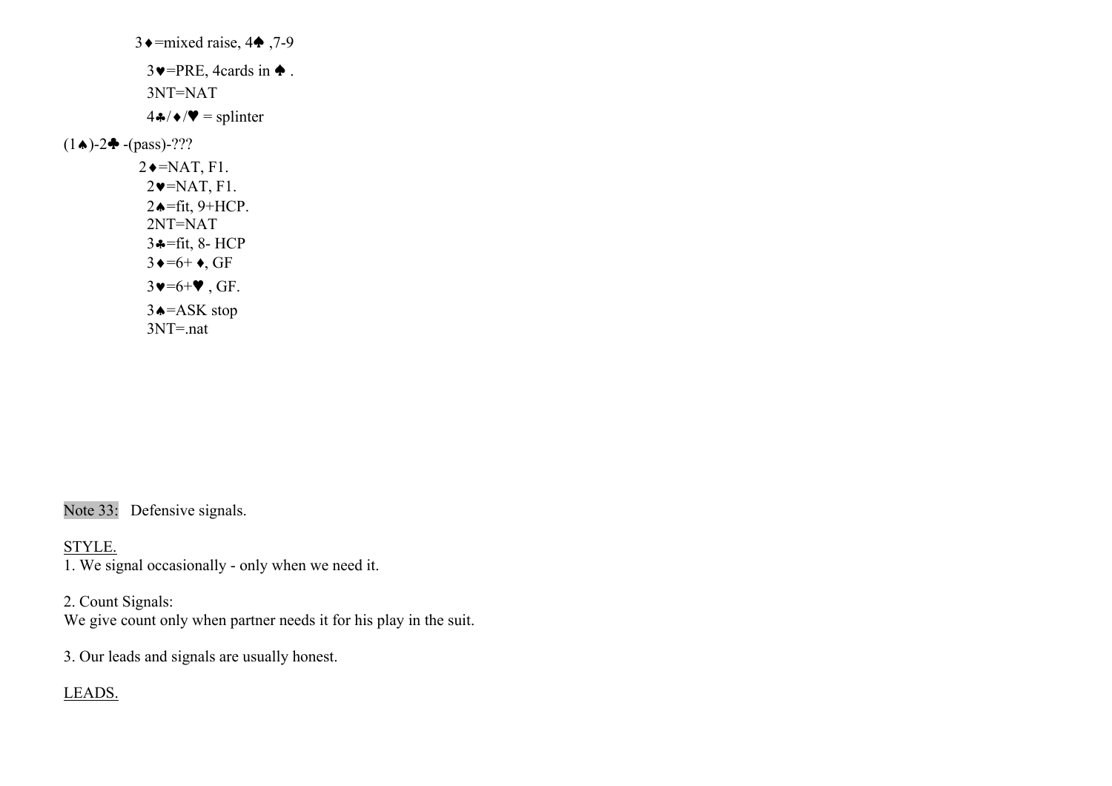3 $\triangleleft$ =mixed raise, 4 $\triangleleft$ , 7-9  $3\blacktriangleright$ =PRE, 4cards in  $\blacklozenge$ . 3NT=NAT  $4 \cdot \sqrt{\bullet} = \text{split}$  $(1\spadesuit)$ -2 $\clubsuit$  -(pass)-???  $2 \triangleleft = \text{NAT}, \text{F1}.$  $2\blacktriangledown$ =NAT, F1. 2♠=fit, 9+HCP. 2NT=NAT 3♣=fit, 8- HCP  $3 \triangleleft = 6 + \bullet$ , GF  $3\vee 56+\vee$ , GF. 3♠=ASK stop 3NT=.nat

Note 33: Defensive signals.

STYLE.

1. We signal occasionally - only when we need it.

2. Count Signals: We give count only when partner needs it for his play in the suit.

3. Our leads and signals are usually honest.

LEADS.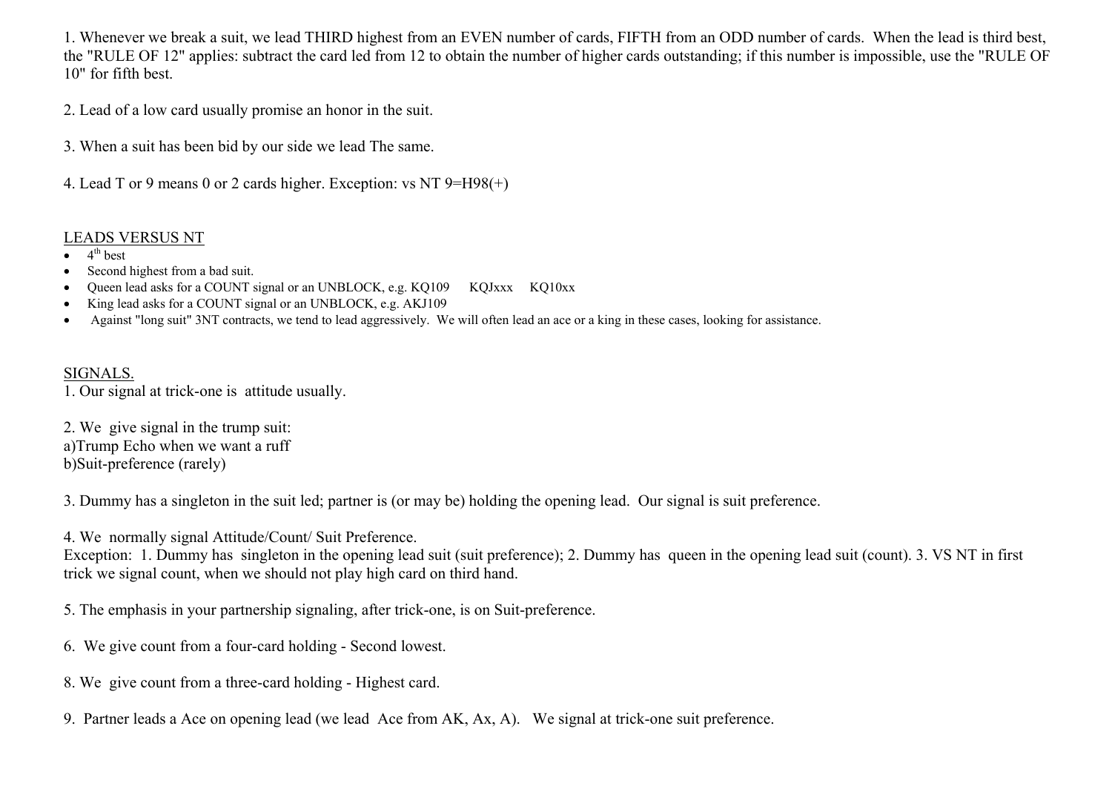1. Whenever we break a suit, we lead THIRD highest from an EVEN number of cards, FIFTH from an ODD number of cards. When the lead is third best, the "RULE OF 12" applies: subtract the card led from 12 to obtain the number of higher cards outstanding; if this number is impossible, use the "RULE OF 10" for fifth best.

2. Lead of a low card usually promise an honor in the suit.

3. When a suit has been bid by our side we lead The same.

4. Lead T or 9 means 0 or 2 cards higher. Exception: vs NT 9=H98(+)

# LEADS VERSUS NT

- • $4<sup>th</sup>$  best
- •Second highest from a bad suit.
- •Queen lead asks for a COUNT signal or an UNBLOCK, e.g. KQ109 KOJxxx KQ10xx
- •King lead asks for a COUNT signal or an UNBLOCK, e.g. AKJ109
- Against "long suit" 3NT contracts, we tend to lead aggressively. We will often lead an ace or a king in these cases, looking for assistance.

# SIGNALS.

1. Our signal at trick-one is attitude usually.

2. We give signal in the trump suit: a)Trump Echo when we want a ruff b)Suit-preference (rarely)

3. Dummy has a singleton in the suit led; partner is (or may be) holding the opening lead. Our signal is suit preference.

4. We normally signal Attitude/Count/ Suit Preference.

Exception: 1. Dummy has singleton in the opening lead suit (suit preference); 2. Dummy has queen in the opening lead suit (count). 3. VS NT in first trick we signal count, when we should not play high card on third hand.

5. The emphasis in your partnership signaling, after trick-one, is on Suit-preference.

- 6. We give count from a four-card holding Second lowest.
- 8. We give count from a three-card holding Highest card.
- 9. Partner leads a Ace on opening lead (we lead Ace from AK, Ax, A). We signal at trick-one suit preference.